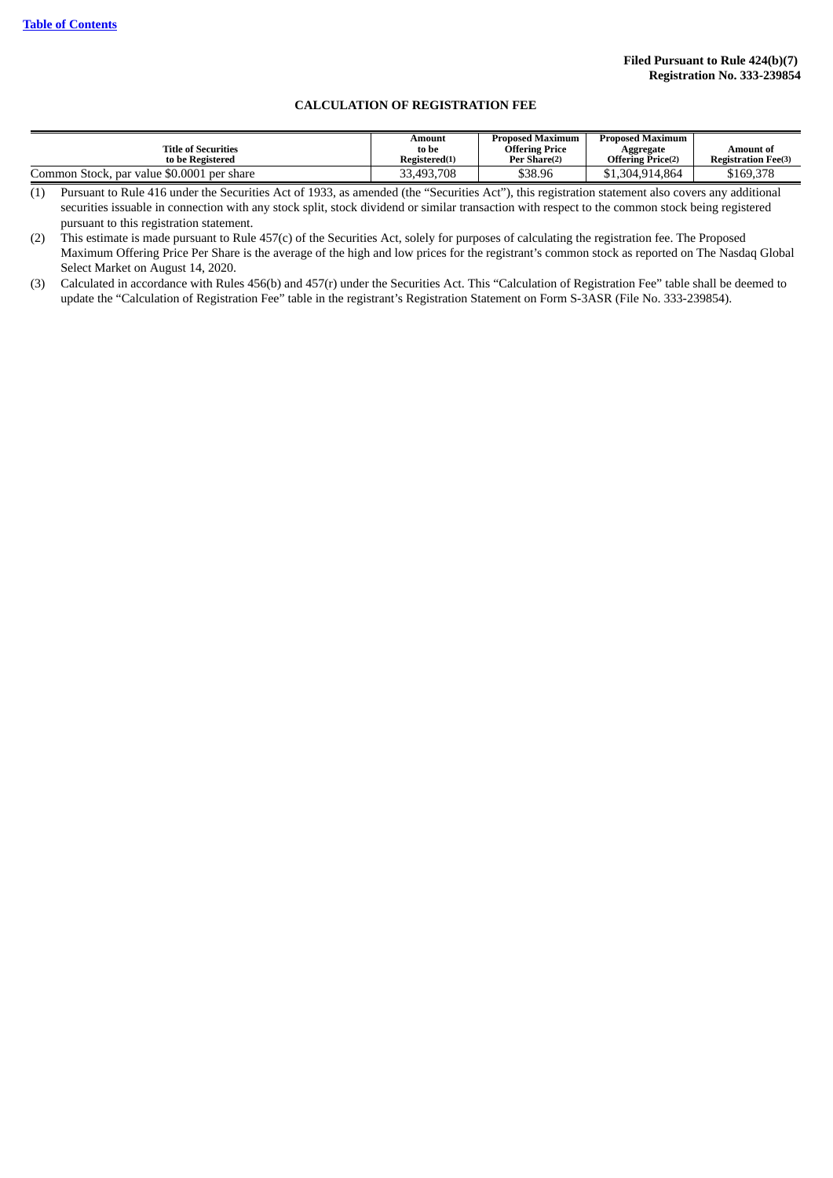### **CALCULATION OF REGISTRATION FEE**

| <b>Title of Securities</b><br>to be Registered | Amount<br>to be<br>Registered(1) | <b>Proposed Maximum</b><br><b>Offering Price</b><br>Per Share(2) | <b>Proposed Maximum</b><br>Aggregate<br><b>Offering Price(2)</b> | Amount of<br><b>Registration Fee(3)</b> |
|------------------------------------------------|----------------------------------|------------------------------------------------------------------|------------------------------------------------------------------|-----------------------------------------|
| Common Stock, par value \$0.0001 per share     | 33,493,708                       | \$38.96                                                          | \$1.304.914.864                                                  | \$169,378                               |

(1) Pursuant to Rule 416 under the Securities Act of 1933, as amended (the "Securities Act"), this registration statement also covers any additional securities issuable in connection with any stock split, stock dividend or similar transaction with respect to the common stock being registered pursuant to this registration statement.

(2) This estimate is made pursuant to Rule 457(c) of the Securities Act, solely for purposes of calculating the registration fee. The Proposed Maximum Offering Price Per Share is the average of the high and low prices for the registrant's common stock as reported on The Nasdaq Global Select Market on August 14, 2020.

(3) Calculated in accordance with Rules 456(b) and 457(r) under the Securities Act. This "Calculation of Registration Fee" table shall be deemed to update the "Calculation of Registration Fee" table in the registrant's Registration Statement on Form S-3ASR (File No. 333-239854).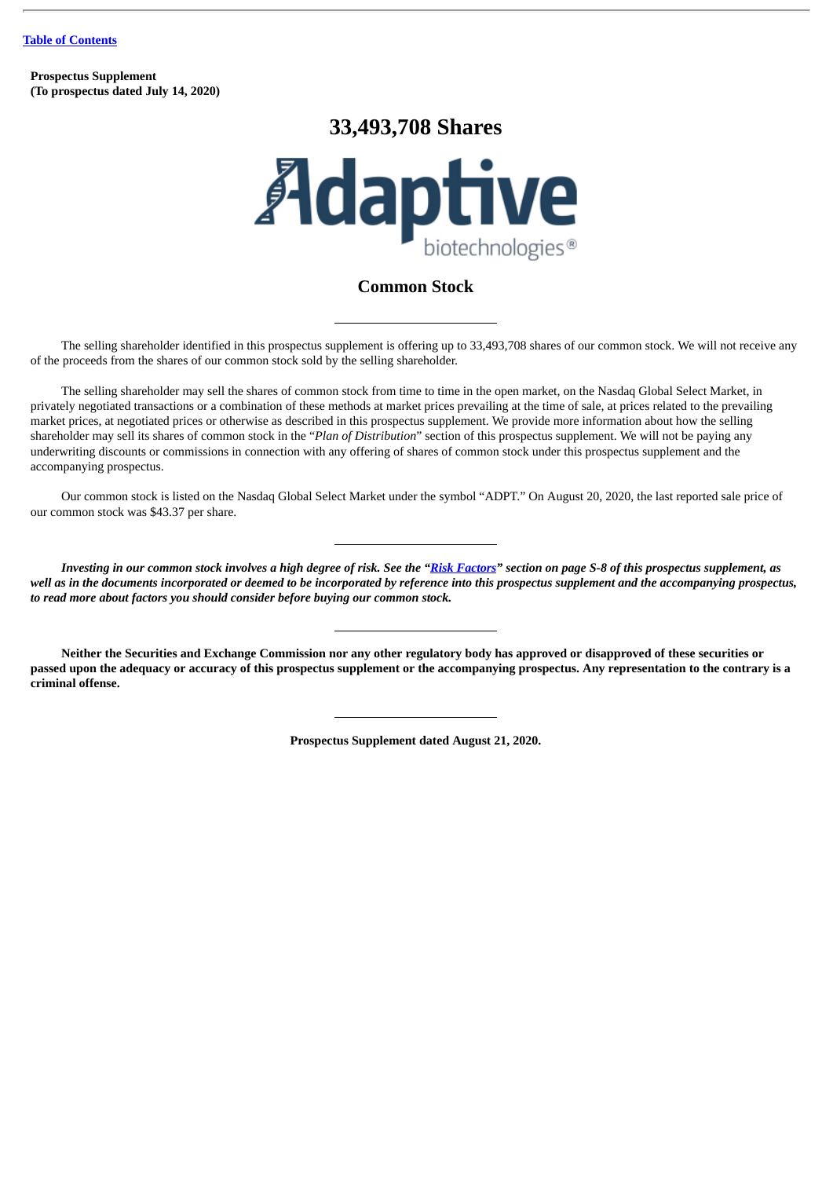**Prospectus Supplement (To prospectus dated July 14, 2020)**

# **33,493,708 Shares**



# **Common Stock**

The selling shareholder identified in this prospectus supplement is offering up to 33,493,708 shares of our common stock. We will not receive any of the proceeds from the shares of our common stock sold by the selling shareholder.

The selling shareholder may sell the shares of common stock from time to time in the open market, on the Nasdaq Global Select Market, in privately negotiated transactions or a combination of these methods at market prices prevailing at the time of sale, at prices related to the prevailing market prices, at negotiated prices or otherwise as described in this prospectus supplement. We provide more information about how the selling shareholder may sell its shares of common stock in the "*Plan of Distribution*" section of this prospectus supplement. We will not be paying any underwriting discounts or commissions in connection with any offering of shares of common stock under this prospectus supplement and the accompanying prospectus.

Our common stock is listed on the Nasdaq Global Select Market under the symbol "ADPT." On August 20, 2020, the last reported sale price of our common stock was \$43.37 per share.

Investing in our common stock involves a high degree of risk. See the "Risk [Factors"](#page-10-0) section on page S-8 of this prospectus supplement, as well as in the documents incorporated or deemed to be incorporated by reference into this prospectus supplement and the accompanying prospectus, *to read more about factors you should consider before buying our common stock.*

Neither the Securities and Exchange Commission nor any other regulatory body has approved or disapproved of these securities or passed upon the adequacy or accuracy of this prospectus supplement or the accompanying prospectus. Any representation to the contrary is a **criminal offense.**

**Prospectus Supplement dated August 21, 2020.**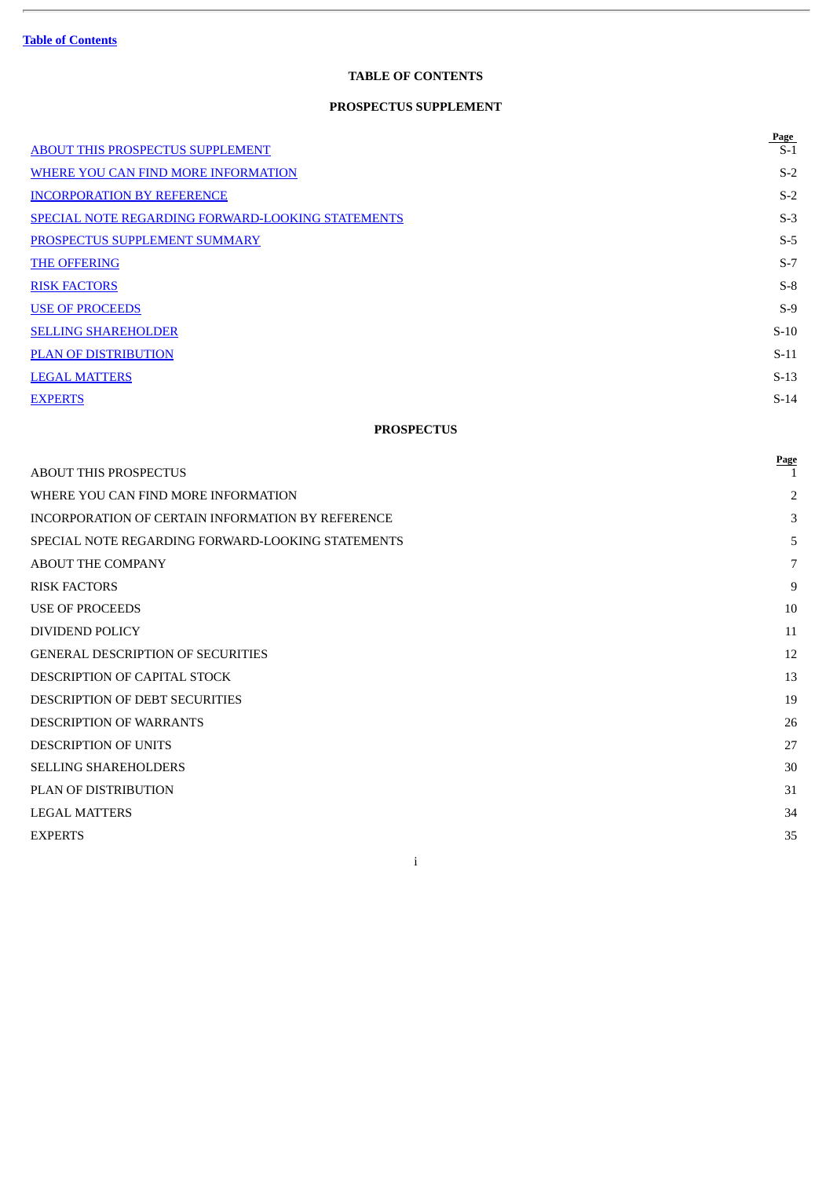ł.

# **TABLE OF CONTENTS**

# **PROSPECTUS SUPPLEMENT**

|                                                          | Page   |
|----------------------------------------------------------|--------|
| ABOUT THIS PROSPECTUS SUPPLEMENT                         | $S-1$  |
| WHERE YOU CAN FIND MORE INFORMATION                      | $S-2$  |
| <b>INCORPORATION BY REFERENCE</b>                        | $S-2$  |
| <b>SPECIAL NOTE REGARDING FORWARD-LOOKING STATEMENTS</b> | $S-3$  |
| PROSPECTUS SUPPLEMENT SUMMARY                            | $S-5$  |
| <b>THE OFFERING</b>                                      | $S-7$  |
| <b>RISK FACTORS</b>                                      | $S-8$  |
| <b>USE OF PROCEEDS</b>                                   | $S-9$  |
| <b>SELLING SHAREHOLDER</b>                               | $S-10$ |
| <b>PLAN OF DISTRIBUTION</b>                              | $S-11$ |
| <b>LEGAL MATTERS</b>                                     | $S-13$ |
| <b>EXPERTS</b>                                           | $S-14$ |

# **PROSPECTUS**

|                                                   | Page |
|---------------------------------------------------|------|
| <b>ABOUT THIS PROSPECTUS</b>                      |      |
| WHERE YOU CAN FIND MORE INFORMATION               | 2    |
| INCORPORATION OF CERTAIN INFORMATION BY REFERENCE | 3    |
| SPECIAL NOTE REGARDING FORWARD-LOOKING STATEMENTS | 5    |
| <b>ABOUT THE COMPANY</b>                          | 7    |
| <b>RISK FACTORS</b>                               | 9    |
| <b>USE OF PROCEEDS</b>                            | 10   |
| DIVIDEND POLICY                                   | 11   |
| <b>GENERAL DESCRIPTION OF SECURITIES</b>          | 12   |
| DESCRIPTION OF CAPITAL STOCK                      | 13   |
| <b>DESCRIPTION OF DEBT SECURITIES</b>             | 19   |
| <b>DESCRIPTION OF WARRANTS</b>                    | 26   |
| <b>DESCRIPTION OF UNITS</b>                       | 27   |
| <b>SELLING SHAREHOLDERS</b>                       | 30   |
| PLAN OF DISTRIBUTION                              | 31   |
| <b>LEGAL MATTERS</b>                              | 34   |
| <b>EXPERTS</b>                                    | 35   |
| $\mathbf{I}$                                      |      |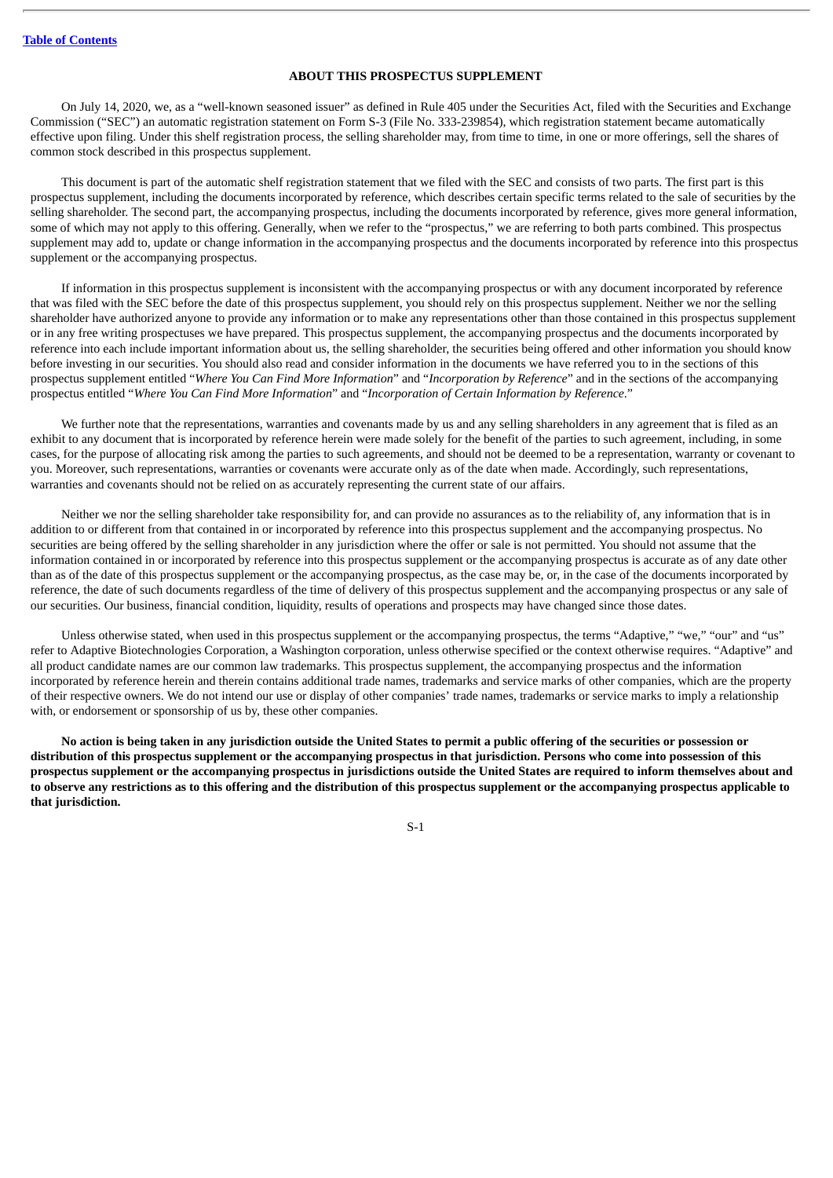### **ABOUT THIS PROSPECTUS SUPPLEMENT**

<span id="page-3-0"></span>On July 14, 2020, we, as a "well-known seasoned issuer" as defined in Rule 405 under the Securities Act, filed with the Securities and Exchange Commission ("SEC") an automatic registration statement on Form S-3 (File No. 333-239854), which registration statement became automatically effective upon filing. Under this shelf registration process, the selling shareholder may, from time to time, in one or more offerings, sell the shares of common stock described in this prospectus supplement.

This document is part of the automatic shelf registration statement that we filed with the SEC and consists of two parts. The first part is this prospectus supplement, including the documents incorporated by reference, which describes certain specific terms related to the sale of securities by the selling shareholder. The second part, the accompanying prospectus, including the documents incorporated by reference, gives more general information, some of which may not apply to this offering. Generally, when we refer to the "prospectus," we are referring to both parts combined. This prospectus supplement may add to, update or change information in the accompanying prospectus and the documents incorporated by reference into this prospectus supplement or the accompanying prospectus.

If information in this prospectus supplement is inconsistent with the accompanying prospectus or with any document incorporated by reference that was filed with the SEC before the date of this prospectus supplement, you should rely on this prospectus supplement. Neither we nor the selling shareholder have authorized anyone to provide any information or to make any representations other than those contained in this prospectus supplement or in any free writing prospectuses we have prepared. This prospectus supplement, the accompanying prospectus and the documents incorporated by reference into each include important information about us, the selling shareholder, the securities being offered and other information you should know before investing in our securities. You should also read and consider information in the documents we have referred you to in the sections of this prospectus supplement entitled "*Where You Can Find More Information*" and "*Incorporation by Reference*" and in the sections of the accompanying prospectus entitled "*Where You Can Find More Information*" and "*Incorporation of Certain Information by Reference*."

We further note that the representations, warranties and covenants made by us and any selling shareholders in any agreement that is filed as an exhibit to any document that is incorporated by reference herein were made solely for the benefit of the parties to such agreement, including, in some cases, for the purpose of allocating risk among the parties to such agreements, and should not be deemed to be a representation, warranty or covenant to you. Moreover, such representations, warranties or covenants were accurate only as of the date when made. Accordingly, such representations, warranties and covenants should not be relied on as accurately representing the current state of our affairs.

Neither we nor the selling shareholder take responsibility for, and can provide no assurances as to the reliability of, any information that is in addition to or different from that contained in or incorporated by reference into this prospectus supplement and the accompanying prospectus. No securities are being offered by the selling shareholder in any jurisdiction where the offer or sale is not permitted. You should not assume that the information contained in or incorporated by reference into this prospectus supplement or the accompanying prospectus is accurate as of any date other than as of the date of this prospectus supplement or the accompanying prospectus, as the case may be, or, in the case of the documents incorporated by reference, the date of such documents regardless of the time of delivery of this prospectus supplement and the accompanying prospectus or any sale of our securities. Our business, financial condition, liquidity, results of operations and prospects may have changed since those dates.

Unless otherwise stated, when used in this prospectus supplement or the accompanying prospectus, the terms "Adaptive," "we," "our" and "us" refer to Adaptive Biotechnologies Corporation, a Washington corporation, unless otherwise specified or the context otherwise requires. "Adaptive" and all product candidate names are our common law trademarks. This prospectus supplement, the accompanying prospectus and the information incorporated by reference herein and therein contains additional trade names, trademarks and service marks of other companies, which are the property of their respective owners. We do not intend our use or display of other companies' trade names, trademarks or service marks to imply a relationship with, or endorsement or sponsorship of us by, these other companies.

No action is being taken in any jurisdiction outside the United States to permit a public offering of the securities or possession or distribution of this prospectus supplement or the accompanying prospectus in that jurisdiction. Persons who come into possession of this prospectus supplement or the accompanying prospectus in jurisdictions outside the United States are required to inform themselves about and to observe any restrictions as to this offering and the distribution of this prospectus supplement or the accompanying prospectus applicable to **that jurisdiction.**

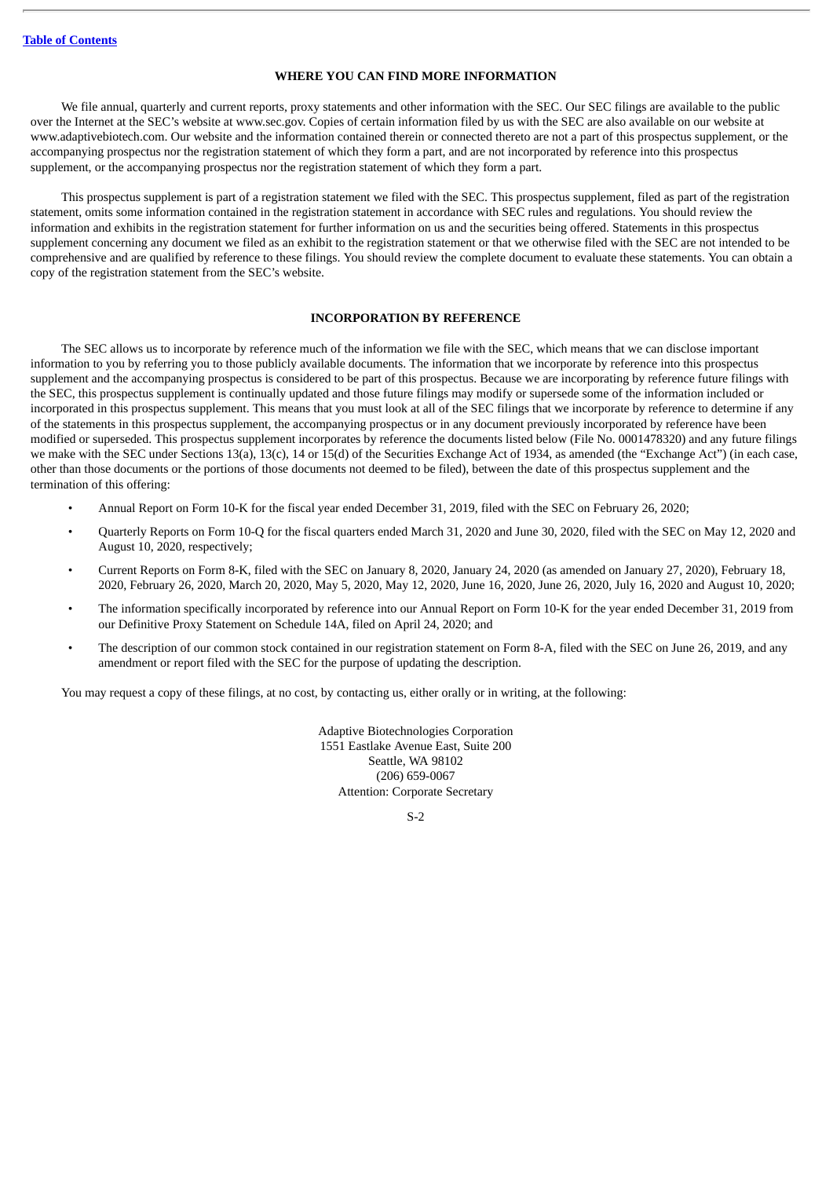### **WHERE YOU CAN FIND MORE INFORMATION**

<span id="page-4-0"></span>We file annual, quarterly and current reports, proxy statements and other information with the SEC. Our SEC filings are available to the public over the Internet at the SEC's website at www.sec.gov. Copies of certain information filed by us with the SEC are also available on our website at www.adaptivebiotech.com. Our website and the information contained therein or connected thereto are not a part of this prospectus supplement, or the accompanying prospectus nor the registration statement of which they form a part, and are not incorporated by reference into this prospectus supplement, or the accompanying prospectus nor the registration statement of which they form a part.

This prospectus supplement is part of a registration statement we filed with the SEC. This prospectus supplement, filed as part of the registration statement, omits some information contained in the registration statement in accordance with SEC rules and regulations. You should review the information and exhibits in the registration statement for further information on us and the securities being offered. Statements in this prospectus supplement concerning any document we filed as an exhibit to the registration statement or that we otherwise filed with the SEC are not intended to be comprehensive and are qualified by reference to these filings. You should review the complete document to evaluate these statements. You can obtain a copy of the registration statement from the SEC's website.

### **INCORPORATION BY REFERENCE**

<span id="page-4-1"></span>The SEC allows us to incorporate by reference much of the information we file with the SEC, which means that we can disclose important information to you by referring you to those publicly available documents. The information that we incorporate by reference into this prospectus supplement and the accompanying prospectus is considered to be part of this prospectus. Because we are incorporating by reference future filings with the SEC, this prospectus supplement is continually updated and those future filings may modify or supersede some of the information included or incorporated in this prospectus supplement. This means that you must look at all of the SEC filings that we incorporate by reference to determine if any of the statements in this prospectus supplement, the accompanying prospectus or in any document previously incorporated by reference have been modified or superseded. This prospectus supplement incorporates by reference the documents listed below (File No. 0001478320) and any future filings we make with the SEC under Sections 13(a), 13(c), 14 or 15(d) of the Securities Exchange Act of 1934, as amended (the "Exchange Act") (in each case, other than those documents or the portions of those documents not deemed to be filed), between the date of this prospectus supplement and the termination of this offering:

- Annual Report on Form 10-K for the fiscal year ended December 31, 2019, filed with the SEC on February 26, 2020;
- Quarterly Reports on Form 10-Q for the fiscal quarters ended March 31, 2020 and June 30, 2020, filed with the SEC on May 12, 2020 and August 10, 2020, respectively;
- Current Reports on Form 8-K, filed with the SEC on January 8, 2020, January 24, 2020 (as amended on January 27, 2020), February 18, 2020, February 26, 2020, March 20, 2020, May 5, 2020, May 12, 2020, June 16, 2020, June 26, 2020, July 16, 2020 and August 10, 2020;
- The information specifically incorporated by reference into our Annual Report on Form 10-K for the year ended December 31, 2019 from our Definitive Proxy Statement on Schedule 14A, filed on April 24, 2020; and
- The description of our common stock contained in our registration statement on Form 8-A, filed with the SEC on June 26, 2019, and any amendment or report filed with the SEC for the purpose of updating the description.

You may request a copy of these filings, at no cost, by contacting us, either orally or in writing, at the following:

Adaptive Biotechnologies Corporation 1551 Eastlake Avenue East, Suite 200 Seattle, WA 98102 (206) 659-0067 Attention: Corporate Secretary

S-2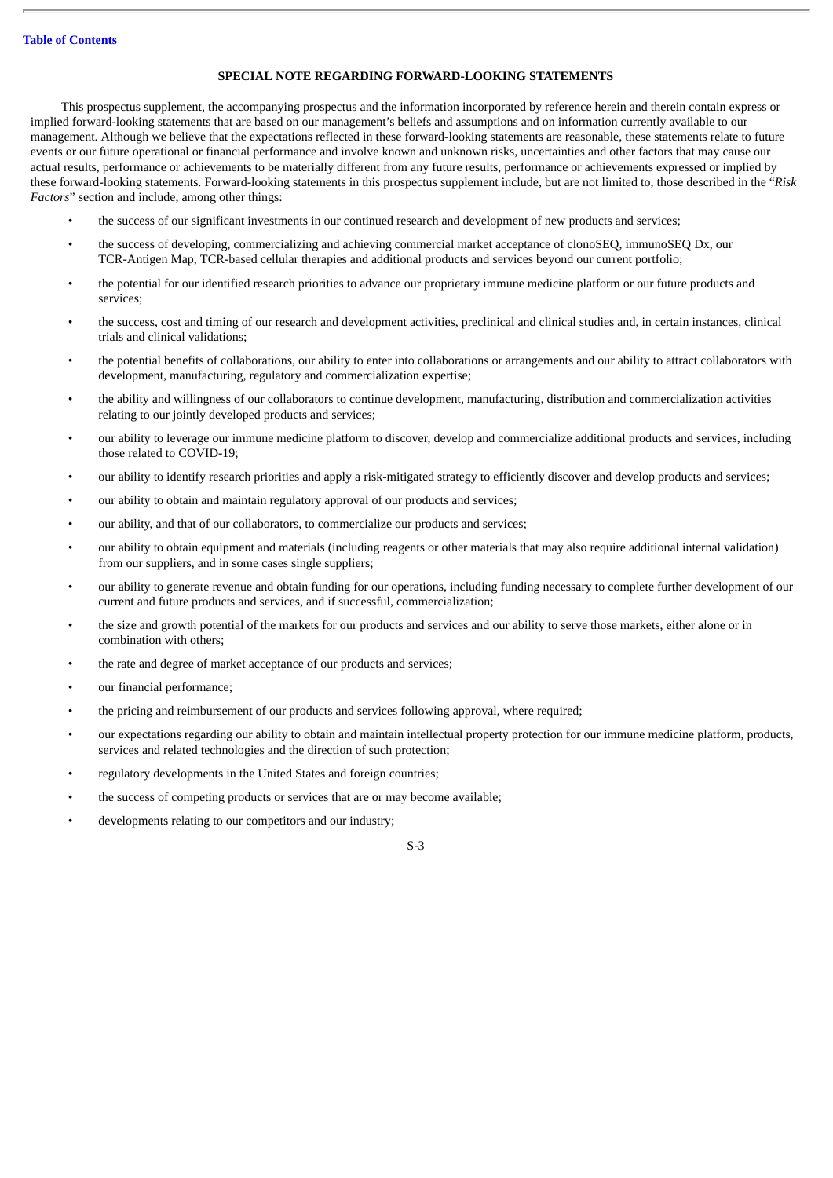### **SPECIAL NOTE REGARDING FORWARD-LOOKING STATEMENTS**

<span id="page-5-0"></span>This prospectus supplement, the accompanying prospectus and the information incorporated by reference herein and therein contain express or implied forward-looking statements that are based on our management's beliefs and assumptions and on information currently available to our management. Although we believe that the expectations reflected in these forward-looking statements are reasonable, these statements relate to future events or our future operational or financial performance and involve known and unknown risks, uncertainties and other factors that may cause our actual results, performance or achievements to be materially different from any future results, performance or achievements expressed or implied by these forward-looking statements. Forward-looking statements in this prospectus supplement include, but are not limited to, those described in the "*Risk Factors*" section and include, among other things:

- the success of our significant investments in our continued research and development of new products and services;
- the success of developing, commercializing and achieving commercial market acceptance of clonoSEQ, immunoSEQ Dx, our TCR-Antigen Map, TCR-based cellular therapies and additional products and services beyond our current portfolio;
- the potential for our identified research priorities to advance our proprietary immune medicine platform or our future products and services;
- the success, cost and timing of our research and development activities, preclinical and clinical studies and, in certain instances, clinical trials and clinical validations;
- the potential benefits of collaborations, our ability to enter into collaborations or arrangements and our ability to attract collaborators with development, manufacturing, regulatory and commercialization expertise;
- the ability and willingness of our collaborators to continue development, manufacturing, distribution and commercialization activities relating to our jointly developed products and services;
- our ability to leverage our immune medicine platform to discover, develop and commercialize additional products and services, including those related to COVID-19;
- our ability to identify research priorities and apply a risk-mitigated strategy to efficiently discover and develop products and services;
- our ability to obtain and maintain regulatory approval of our products and services;
- our ability, and that of our collaborators, to commercialize our products and services;
- our ability to obtain equipment and materials (including reagents or other materials that may also require additional internal validation) from our suppliers, and in some cases single suppliers;
- our ability to generate revenue and obtain funding for our operations, including funding necessary to complete further development of our current and future products and services, and if successful, commercialization;
- the size and growth potential of the markets for our products and services and our ability to serve those markets, either alone or in combination with others;
- the rate and degree of market acceptance of our products and services;
- our financial performance;
- the pricing and reimbursement of our products and services following approval, where required;
- our expectations regarding our ability to obtain and maintain intellectual property protection for our immune medicine platform, products, services and related technologies and the direction of such protection;
- regulatory developments in the United States and foreign countries;
- the success of competing products or services that are or may become available;
- developments relating to our competitors and our industry;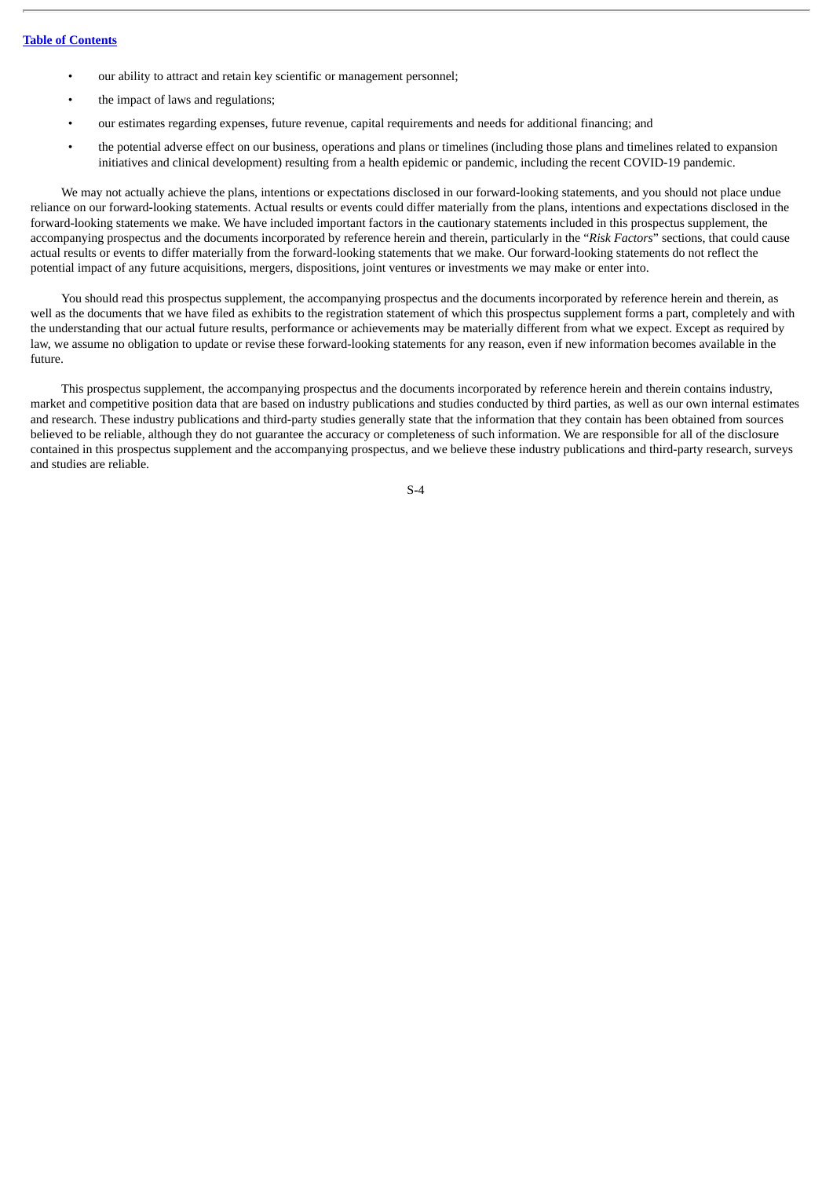- our ability to attract and retain key scientific or management personnel;
- the impact of laws and regulations;
- our estimates regarding expenses, future revenue, capital requirements and needs for additional financing; and
- the potential adverse effect on our business, operations and plans or timelines (including those plans and timelines related to expansion initiatives and clinical development) resulting from a health epidemic or pandemic, including the recent COVID-19 pandemic.

We may not actually achieve the plans, intentions or expectations disclosed in our forward-looking statements, and you should not place undue reliance on our forward-looking statements. Actual results or events could differ materially from the plans, intentions and expectations disclosed in the forward-looking statements we make. We have included important factors in the cautionary statements included in this prospectus supplement, the accompanying prospectus and the documents incorporated by reference herein and therein, particularly in the "*Risk Factors*" sections, that could cause actual results or events to differ materially from the forward-looking statements that we make. Our forward-looking statements do not reflect the potential impact of any future acquisitions, mergers, dispositions, joint ventures or investments we may make or enter into.

You should read this prospectus supplement, the accompanying prospectus and the documents incorporated by reference herein and therein, as well as the documents that we have filed as exhibits to the registration statement of which this prospectus supplement forms a part, completely and with the understanding that our actual future results, performance or achievements may be materially different from what we expect. Except as required by law, we assume no obligation to update or revise these forward-looking statements for any reason, even if new information becomes available in the future.

This prospectus supplement, the accompanying prospectus and the documents incorporated by reference herein and therein contains industry, market and competitive position data that are based on industry publications and studies conducted by third parties, as well as our own internal estimates and research. These industry publications and third-party studies generally state that the information that they contain has been obtained from sources believed to be reliable, although they do not guarantee the accuracy or completeness of such information. We are responsible for all of the disclosure contained in this prospectus supplement and the accompanying prospectus, and we believe these industry publications and third-party research, surveys and studies are reliable.

S-4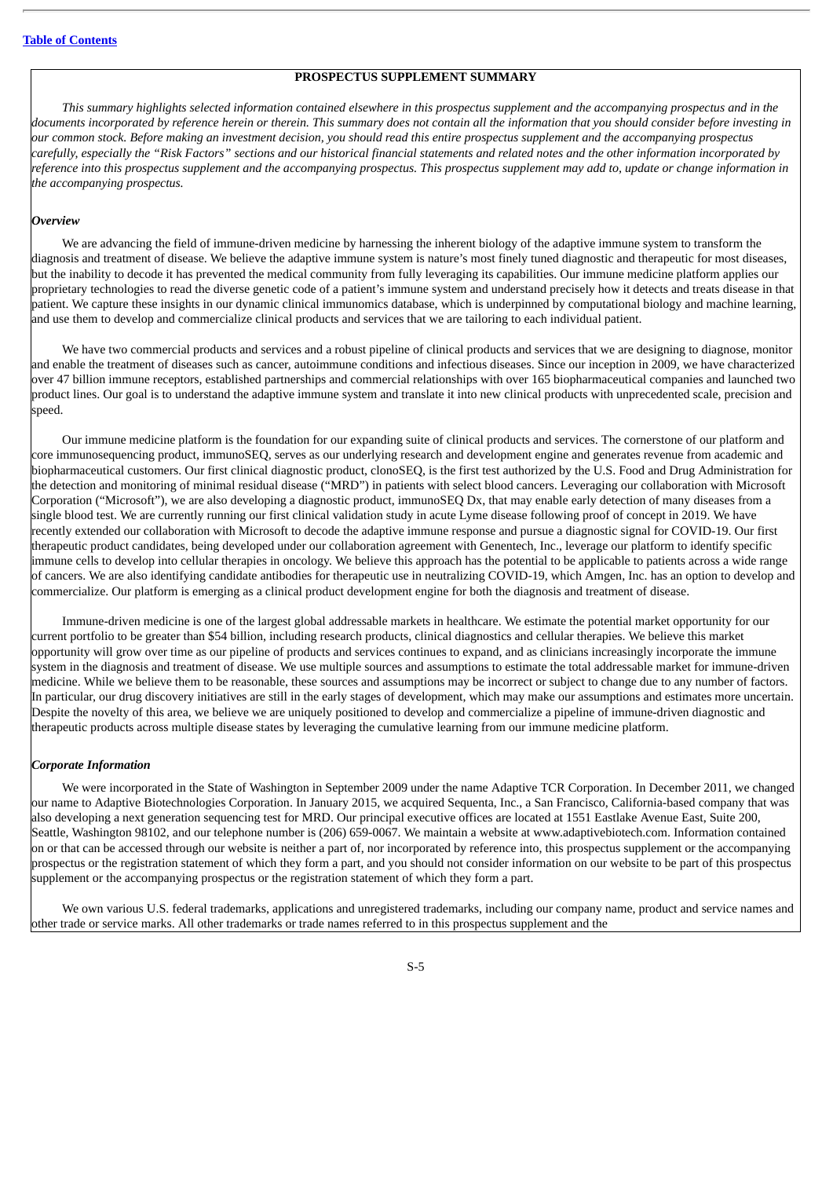#### **PROSPECTUS SUPPLEMENT SUMMARY**

<span id="page-7-0"></span>This summary highlights selected information contained elsewhere in this prospectus supplement and the accompanying prospectus and in the documents incorporated by reference herein or therein. This summary does not contain all the information that you should consider before investing in our common stock. Before makina an investment decision, vou should read this entire prospectus supplement and the accompanvina prospectus carefully, especially the "Risk Factors" sections and our historical financial statements and related notes and the other information incorporated by reference into this prospectus supplement and the accompanying prospectus. This prospectus supplement may add to, update or change information in *the accompanying prospectus.*

#### *Overview*

We are advancing the field of immune-driven medicine by harnessing the inherent biology of the adaptive immune system to transform the diagnosis and treatment of disease. We believe the adaptive immune system is nature's most finely tuned diagnostic and therapeutic for most diseases, but the inability to decode it has prevented the medical community from fully leveraging its capabilities. Our immune medicine platform applies our proprietary technologies to read the diverse genetic code of a patient's immune system and understand precisely how it detects and treats disease in that patient. We capture these insights in our dynamic clinical immunomics database, which is underpinned by computational biology and machine learning, and use them to develop and commercialize clinical products and services that we are tailoring to each individual patient.

We have two commercial products and services and a robust pipeline of clinical products and services that we are designing to diagnose, monitor and enable the treatment of diseases such as cancer, autoimmune conditions and infectious diseases. Since our inception in 2009, we have characterized over 47 billion immune receptors, established partnerships and commercial relationships with over 165 biopharmaceutical companies and launched two product lines. Our goal is to understand the adaptive immune system and translate it into new clinical products with unprecedented scale, precision and speed.

Our immune medicine platform is the foundation for our expanding suite of clinical products and services. The cornerstone of our platform and core immunosequencing product, immunoSEQ, serves as our underlying research and development engine and generates revenue from academic and biopharmaceutical customers. Our first clinical diagnostic product, clonoSEQ, is the first test authorized by the U.S. Food and Drug Administration for the detection and monitoring of minimal residual disease ("MRD") in patients with select blood cancers. Leveraging our collaboration with Microsoft Corporation ("Microsoft"), we are also developing a diagnostic product, immunoSEQ Dx, that may enable early detection of many diseases from a single blood test. We are currently running our first clinical validation study in acute Lyme disease following proof of concept in 2019. We have recently extended our collaboration with Microsoft to decode the adaptive immune response and pursue a diagnostic signal for COVID-19. Our first therapeutic product candidates, being developed under our collaboration agreement with Genentech, Inc., leverage our platform to identify specific immune cells to develop into cellular therapies in oncology. We believe this approach has the potential to be applicable to patients across a wide range of cancers. We are also identifying candidate antibodies for therapeutic use in neutralizing COVID-19, which Amgen, Inc. has an option to develop and commercialize. Our platform is emerging as a clinical product development engine for both the diagnosis and treatment of disease.

Immune-driven medicine is one of the largest global addressable markets in healthcare. We estimate the potential market opportunity for our current portfolio to be greater than \$54 billion, including research products, clinical diagnostics and cellular therapies. We believe this market opportunity will grow over time as our pipeline of products and services continues to expand, and as clinicians increasingly incorporate the immune system in the diagnosis and treatment of disease. We use multiple sources and assumptions to estimate the total addressable market for immune-driven medicine. While we believe them to be reasonable, these sources and assumptions may be incorrect or subject to change due to any number of factors. In particular, our drug discovery initiatives are still in the early stages of development, which may make our assumptions and estimates more uncertain. Despite the novelty of this area, we believe we are uniquely positioned to develop and commercialize a pipeline of immune-driven diagnostic and therapeutic products across multiple disease states by leveraging the cumulative learning from our immune medicine platform.

#### *Corporate Information*

We were incorporated in the State of Washington in September 2009 under the name Adaptive TCR Corporation. In December 2011, we changed our name to Adaptive Biotechnologies Corporation. In January 2015, we acquired Sequenta, Inc., a San Francisco, California-based company that was also developing a next generation sequencing test for MRD. Our principal executive offices are located at 1551 Eastlake Avenue East, Suite 200, Seattle, Washington 98102, and our telephone number is (206) 659-0067. We maintain a website at www.adaptivebiotech.com. Information contained on or that can be accessed through our website is neither a part of, nor incorporated by reference into, this prospectus supplement or the accompanying prospectus or the registration statement of which they form a part, and you should not consider information on our website to be part of this prospectus supplement or the accompanying prospectus or the registration statement of which they form a part.

We own various U.S. federal trademarks, applications and unregistered trademarks, including our company name, product and service names and other trade or service marks. All other trademarks or trade names referred to in this prospectus supplement and the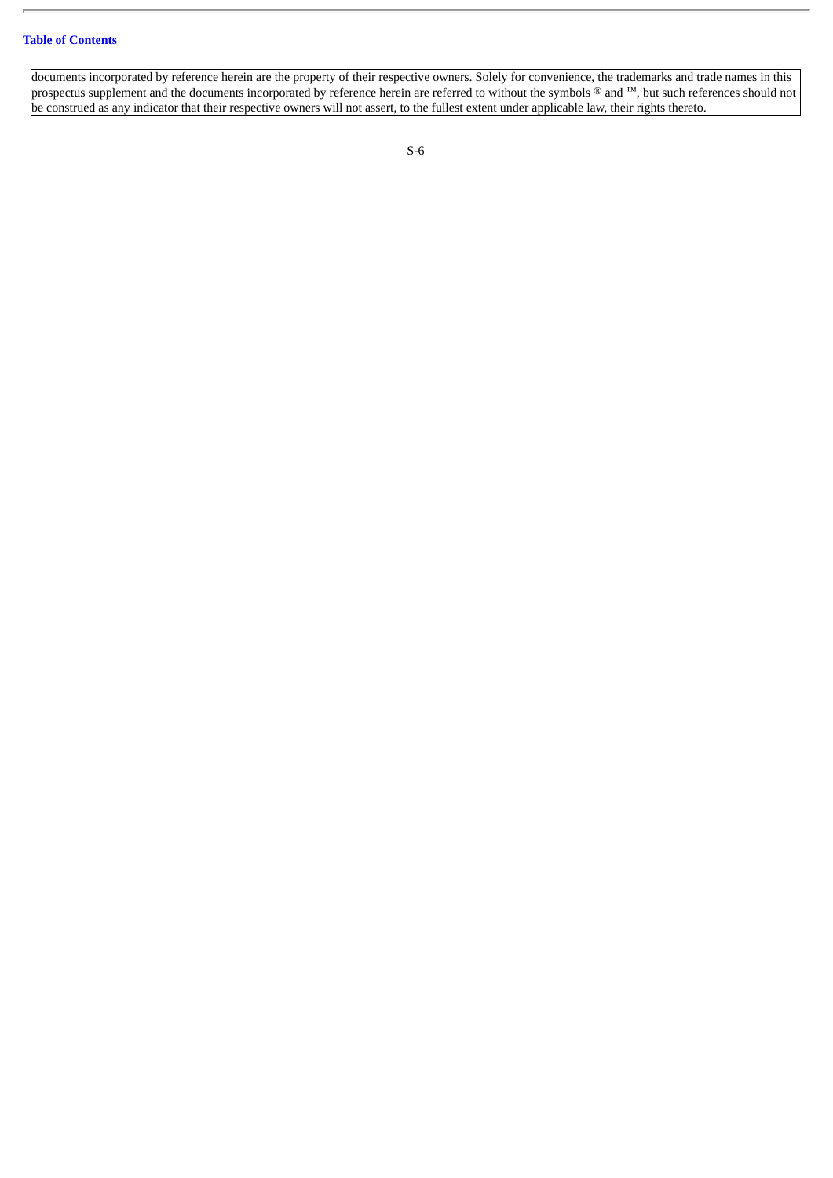documents incorporated by reference herein are the property of their respective owners. Solely for convenience, the trademarks and trade names in this prospectus supplement and the documents incorporated by reference herein are referred to without the symbols ® and ™, but such references should not be construed as any indicator that their respective owners will not assert, to the fullest extent under applicable law, their rights thereto.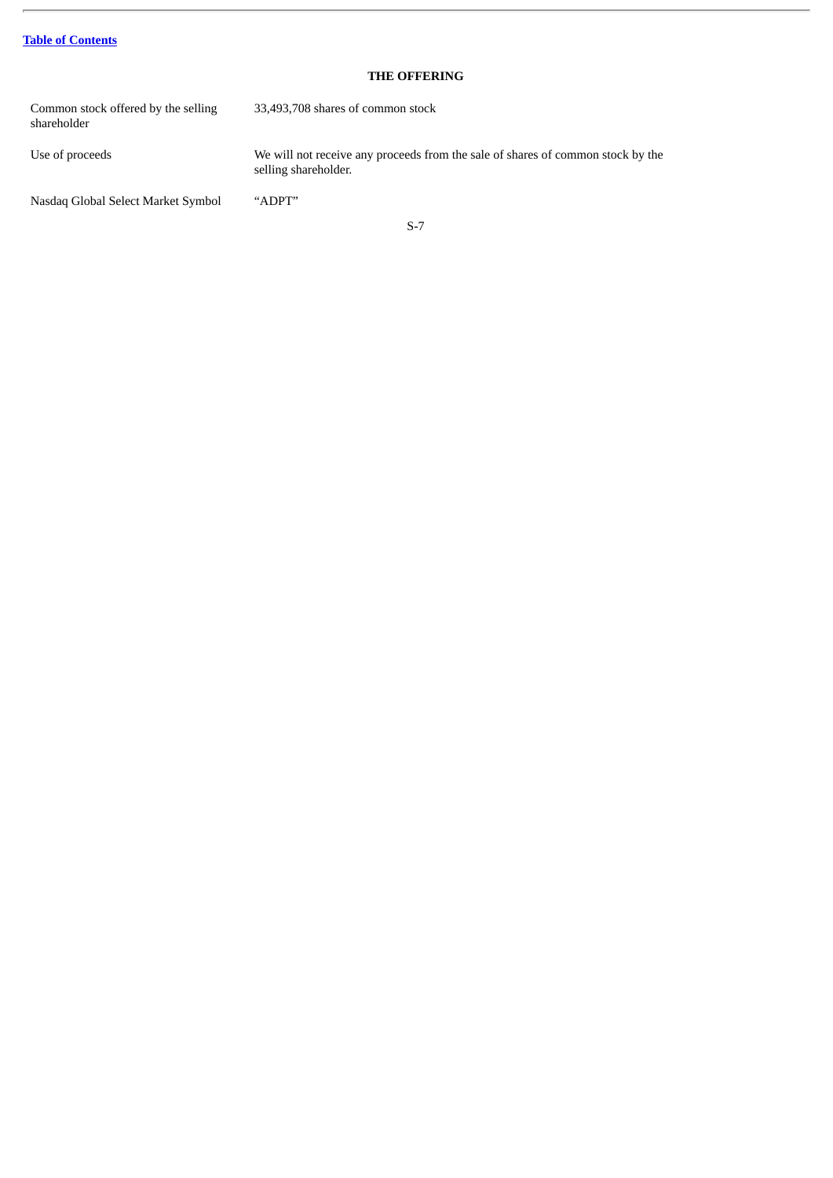# **Table of [Contents](#page-18-0)**

# **THE OFFERING**

<span id="page-9-0"></span>Common stock offered by the selling shareholder 33,493,708 shares of common stock Use of proceeds We will not receive any proceeds from the sale of shares of common stock by the selling shareholder. Nasdaq Global Select Market Symbol "ADPT"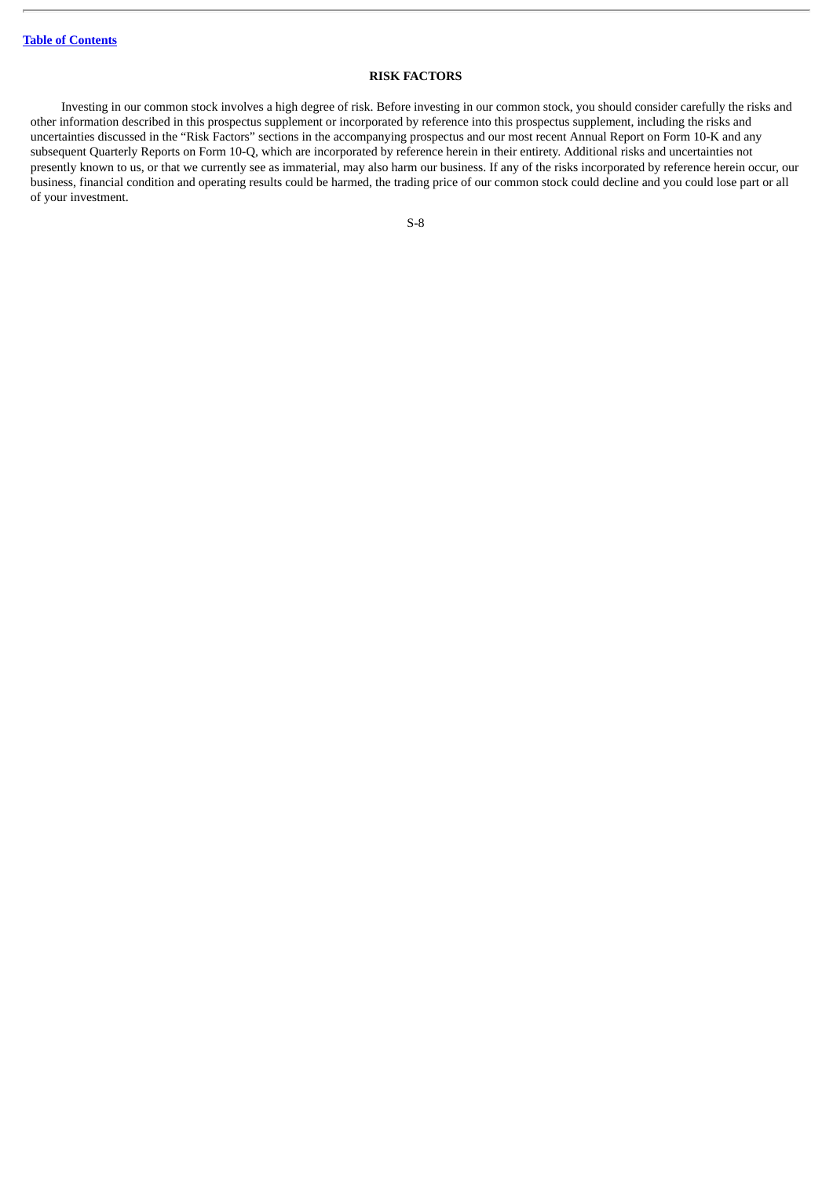### **RISK FACTORS**

<span id="page-10-0"></span>Investing in our common stock involves a high degree of risk. Before investing in our common stock, you should consider carefully the risks and other information described in this prospectus supplement or incorporated by reference into this prospectus supplement, including the risks and uncertainties discussed in the "Risk Factors" sections in the accompanying prospectus and our most recent Annual Report on Form 10-K and any subsequent Quarterly Reports on Form 10-Q, which are incorporated by reference herein in their entirety. Additional risks and uncertainties not presently known to us, or that we currently see as immaterial, may also harm our business. If any of the risks incorporated by reference herein occur, our business, financial condition and operating results could be harmed, the trading price of our common stock could decline and you could lose part or all of your investment.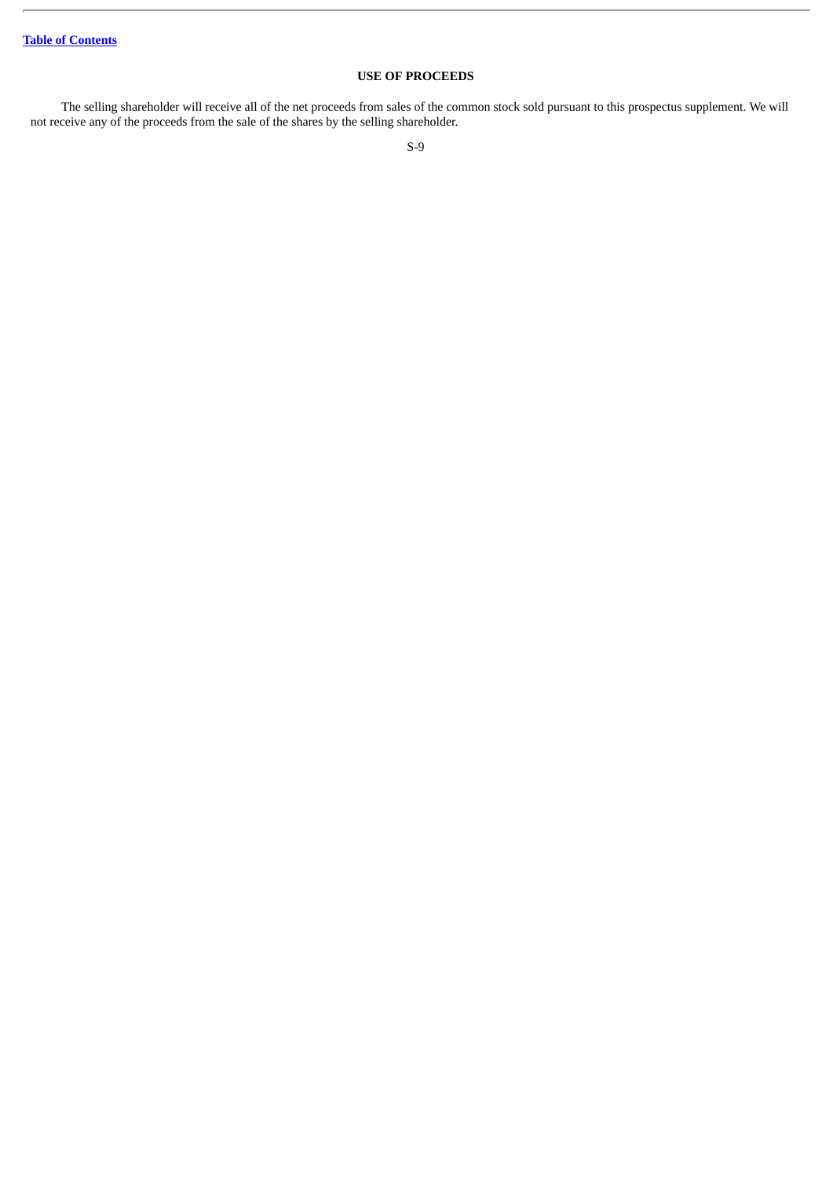# **USE OF PROCEEDS**

<span id="page-11-0"></span>The selling shareholder will receive all of the net proceeds from sales of the common stock sold pursuant to this prospectus supplement. We will not receive any of the proceeds from the sale of the shares by the selling shareholder.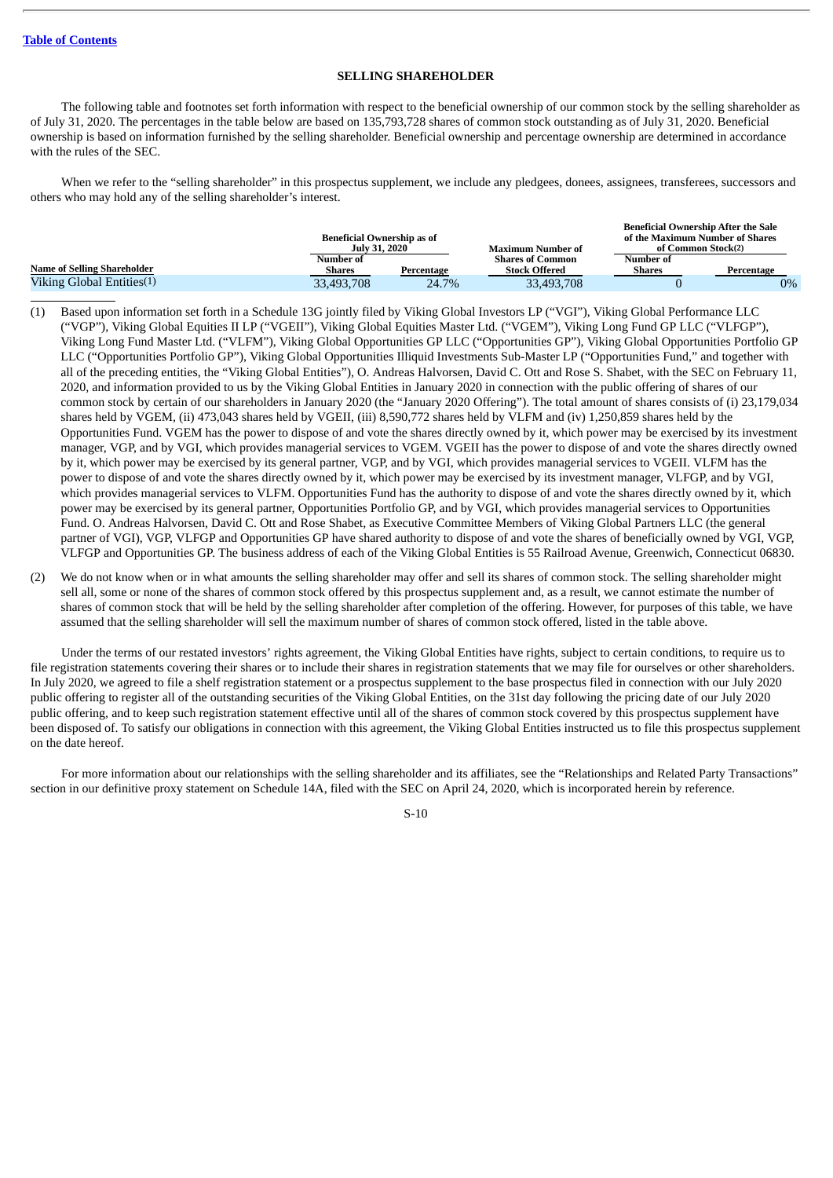### **SELLING SHAREHOLDER**

<span id="page-12-0"></span>The following table and footnotes set forth information with respect to the beneficial ownership of our common stock by the selling shareholder as of July 31, 2020. The percentages in the table below are based on 135,793,728 shares of common stock outstanding as of July 31, 2020. Beneficial ownership is based on information furnished by the selling shareholder. Beneficial ownership and percentage ownership are determined in accordance with the rules of the SEC.

When we refer to the "selling shareholder" in this prospectus supplement, we include any pledgees, donees, assignees, transferees, successors and others who may hold any of the selling shareholder's interest.

|                             | Beneficial Ownership as of |               |                         | <b>Beneficial Ownership After the Sale</b><br>of the Maximum Number of Shares |            |
|-----------------------------|----------------------------|---------------|-------------------------|-------------------------------------------------------------------------------|------------|
|                             |                            | July 31, 2020 |                         | of Common Stock(2)                                                            |            |
|                             | Number of                  |               | <b>Shares of Common</b> | Number of                                                                     |            |
| Name of Selling Shareholder | Shares                     | Percentage    | <b>Stock Offered</b>    | Shares                                                                        | Percentage |
| Viking Global Entities(1)   | 33,493,708                 | 24.7%         | 33,493,708              |                                                                               | $0\%$      |

(1) Based upon information set forth in a Schedule 13G jointly filed by Viking Global Investors LP ("VGI"), Viking Global Performance LLC ("VGP"), Viking Global Equities II LP ("VGEII"), Viking Global Equities Master Ltd. ("VGEM"), Viking Long Fund GP LLC ("VLFGP"), Viking Long Fund Master Ltd. ("VLFM"), Viking Global Opportunities GP LLC ("Opportunities GP"), Viking Global Opportunities Portfolio GP LLC ("Opportunities Portfolio GP"), Viking Global Opportunities Illiquid Investments Sub-Master LP ("Opportunities Fund," and together with all of the preceding entities, the "Viking Global Entities"), O. Andreas Halvorsen, David C. Ott and Rose S. Shabet, with the SEC on February 11, 2020, and information provided to us by the Viking Global Entities in January 2020 in connection with the public offering of shares of our common stock by certain of our shareholders in January 2020 (the "January 2020 Offering"). The total amount of shares consists of (i) 23,179,034 shares held by VGEM, (ii) 473,043 shares held by VGEII, (iii) 8,590,772 shares held by VLFM and (iv) 1,250,859 shares held by the Opportunities Fund. VGEM has the power to dispose of and vote the shares directly owned by it, which power may be exercised by its investment manager, VGP, and by VGI, which provides managerial services to VGEM. VGEII has the power to dispose of and vote the shares directly owned by it, which power may be exercised by its general partner, VGP, and by VGI, which provides managerial services to VGEII. VLFM has the power to dispose of and vote the shares directly owned by it, which power may be exercised by its investment manager, VLFGP, and by VGI, which provides managerial services to VLFM. Opportunities Fund has the authority to dispose of and vote the shares directly owned by it, which power may be exercised by its general partner, Opportunities Portfolio GP, and by VGI, which provides managerial services to Opportunities Fund. O. Andreas Halvorsen, David C. Ott and Rose Shabet, as Executive Committee Members of Viking Global Partners LLC (the general partner of VGI), VGP, VLFGP and Opportunities GP have shared authority to dispose of and vote the shares of beneficially owned by VGI, VGP, VLFGP and Opportunities GP. The business address of each of the Viking Global Entities is 55 Railroad Avenue, Greenwich, Connecticut 06830.

(2) We do not know when or in what amounts the selling shareholder may offer and sell its shares of common stock. The selling shareholder might sell all, some or none of the shares of common stock offered by this prospectus supplement and, as a result, we cannot estimate the number of shares of common stock that will be held by the selling shareholder after completion of the offering. However, for purposes of this table, we have assumed that the selling shareholder will sell the maximum number of shares of common stock offered, listed in the table above.

Under the terms of our restated investors' rights agreement, the Viking Global Entities have rights, subject to certain conditions, to require us to file registration statements covering their shares or to include their shares in registration statements that we may file for ourselves or other shareholders. In July 2020, we agreed to file a shelf registration statement or a prospectus supplement to the base prospectus filed in connection with our July 2020 public offering to register all of the outstanding securities of the Viking Global Entities, on the 31st day following the pricing date of our July 2020 public offering, and to keep such registration statement effective until all of the shares of common stock covered by this prospectus supplement have been disposed of. To satisfy our obligations in connection with this agreement, the Viking Global Entities instructed us to file this prospectus supplement on the date hereof.

For more information about our relationships with the selling shareholder and its affiliates, see the "Relationships and Related Party Transactions" section in our definitive proxy statement on Schedule 14A, filed with the SEC on April 24, 2020, which is incorporated herein by reference.

S-10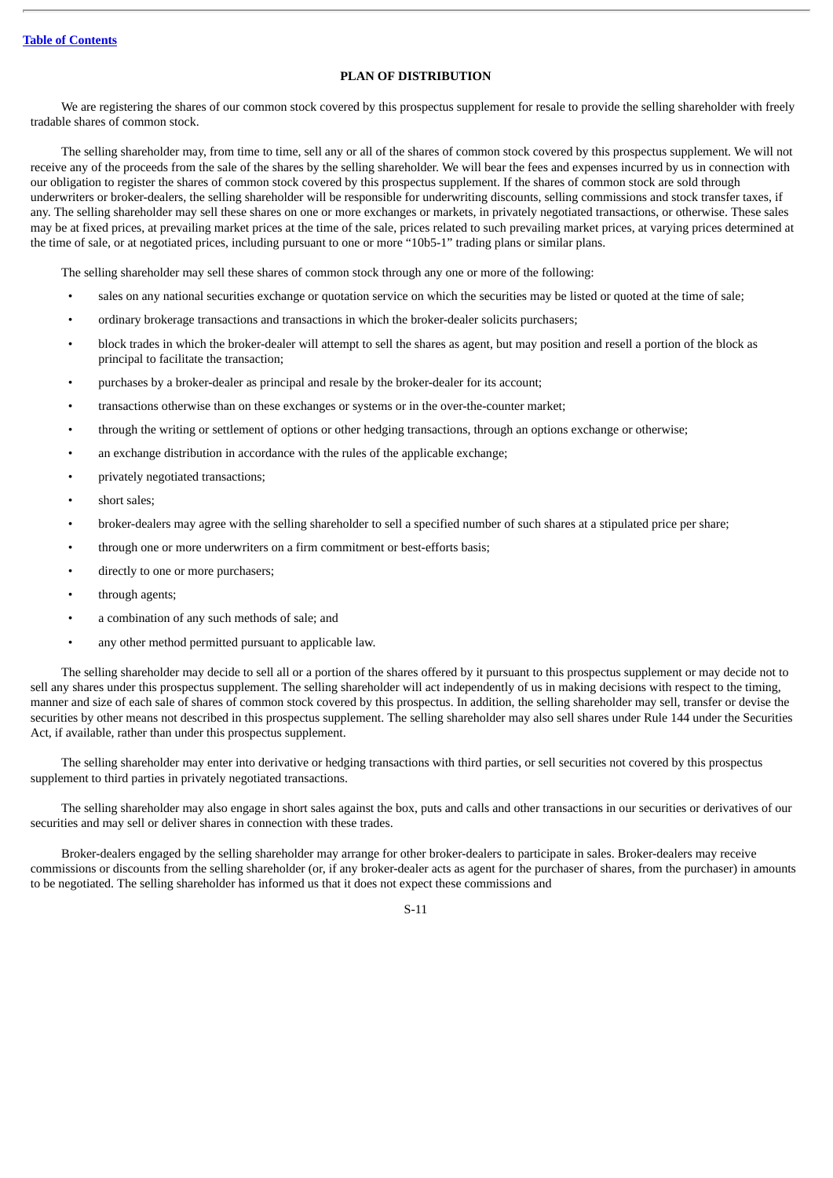### **PLAN OF DISTRIBUTION**

<span id="page-13-0"></span>We are registering the shares of our common stock covered by this prospectus supplement for resale to provide the selling shareholder with freely tradable shares of common stock.

The selling shareholder may, from time to time, sell any or all of the shares of common stock covered by this prospectus supplement. We will not receive any of the proceeds from the sale of the shares by the selling shareholder. We will bear the fees and expenses incurred by us in connection with our obligation to register the shares of common stock covered by this prospectus supplement. If the shares of common stock are sold through underwriters or broker-dealers, the selling shareholder will be responsible for underwriting discounts, selling commissions and stock transfer taxes, if any. The selling shareholder may sell these shares on one or more exchanges or markets, in privately negotiated transactions, or otherwise. These sales may be at fixed prices, at prevailing market prices at the time of the sale, prices related to such prevailing market prices, at varying prices determined at the time of sale, or at negotiated prices, including pursuant to one or more "10b5-1" trading plans or similar plans.

The selling shareholder may sell these shares of common stock through any one or more of the following:

- sales on any national securities exchange or quotation service on which the securities may be listed or quoted at the time of sale;
- ordinary brokerage transactions and transactions in which the broker-dealer solicits purchasers;
- block trades in which the broker-dealer will attempt to sell the shares as agent, but may position and resell a portion of the block as principal to facilitate the transaction;
- purchases by a broker-dealer as principal and resale by the broker-dealer for its account;
- transactions otherwise than on these exchanges or systems or in the over-the-counter market;
- through the writing or settlement of options or other hedging transactions, through an options exchange or otherwise;
- an exchange distribution in accordance with the rules of the applicable exchange;
- privately negotiated transactions;
- short sales:
- broker-dealers may agree with the selling shareholder to sell a specified number of such shares at a stipulated price per share;
- through one or more underwriters on a firm commitment or best-efforts basis;
- directly to one or more purchasers;
- through agents;
- a combination of any such methods of sale; and
- any other method permitted pursuant to applicable law.

The selling shareholder may decide to sell all or a portion of the shares offered by it pursuant to this prospectus supplement or may decide not to sell any shares under this prospectus supplement. The selling shareholder will act independently of us in making decisions with respect to the timing, manner and size of each sale of shares of common stock covered by this prospectus. In addition, the selling shareholder may sell, transfer or devise the securities by other means not described in this prospectus supplement. The selling shareholder may also sell shares under Rule 144 under the Securities Act, if available, rather than under this prospectus supplement.

The selling shareholder may enter into derivative or hedging transactions with third parties, or sell securities not covered by this prospectus supplement to third parties in privately negotiated transactions.

The selling shareholder may also engage in short sales against the box, puts and calls and other transactions in our securities or derivatives of our securities and may sell or deliver shares in connection with these trades.

Broker-dealers engaged by the selling shareholder may arrange for other broker-dealers to participate in sales. Broker-dealers may receive commissions or discounts from the selling shareholder (or, if any broker-dealer acts as agent for the purchaser of shares, from the purchaser) in amounts to be negotiated. The selling shareholder has informed us that it does not expect these commissions and

S-11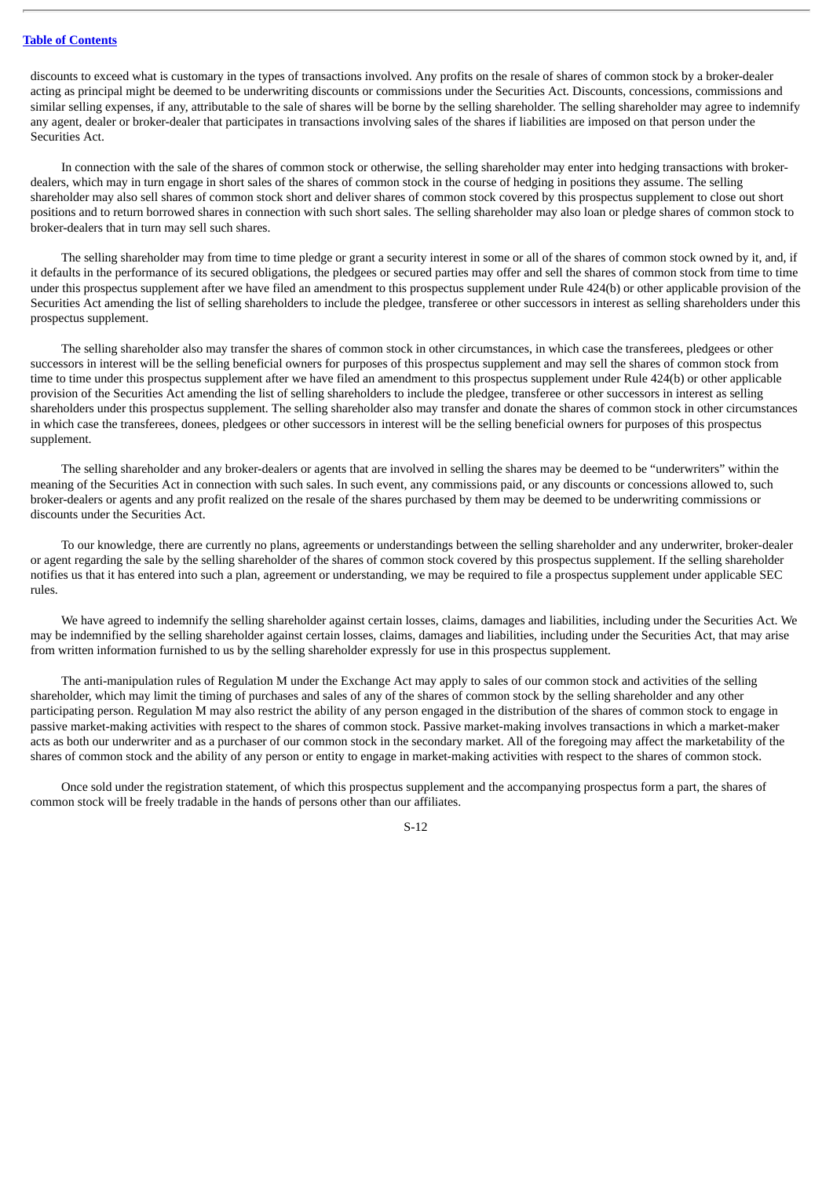discounts to exceed what is customary in the types of transactions involved. Any profits on the resale of shares of common stock by a broker-dealer acting as principal might be deemed to be underwriting discounts or commissions under the Securities Act. Discounts, concessions, commissions and similar selling expenses, if any, attributable to the sale of shares will be borne by the selling shareholder. The selling shareholder may agree to indemnify any agent, dealer or broker-dealer that participates in transactions involving sales of the shares if liabilities are imposed on that person under the Securities Act.

In connection with the sale of the shares of common stock or otherwise, the selling shareholder may enter into hedging transactions with brokerdealers, which may in turn engage in short sales of the shares of common stock in the course of hedging in positions they assume. The selling shareholder may also sell shares of common stock short and deliver shares of common stock covered by this prospectus supplement to close out short positions and to return borrowed shares in connection with such short sales. The selling shareholder may also loan or pledge shares of common stock to broker-dealers that in turn may sell such shares.

The selling shareholder may from time to time pledge or grant a security interest in some or all of the shares of common stock owned by it, and, if it defaults in the performance of its secured obligations, the pledgees or secured parties may offer and sell the shares of common stock from time to time under this prospectus supplement after we have filed an amendment to this prospectus supplement under Rule 424(b) or other applicable provision of the Securities Act amending the list of selling shareholders to include the pledgee, transferee or other successors in interest as selling shareholders under this prospectus supplement.

The selling shareholder also may transfer the shares of common stock in other circumstances, in which case the transferees, pledgees or other successors in interest will be the selling beneficial owners for purposes of this prospectus supplement and may sell the shares of common stock from time to time under this prospectus supplement after we have filed an amendment to this prospectus supplement under Rule 424(b) or other applicable provision of the Securities Act amending the list of selling shareholders to include the pledgee, transferee or other successors in interest as selling shareholders under this prospectus supplement. The selling shareholder also may transfer and donate the shares of common stock in other circumstances in which case the transferees, donees, pledgees or other successors in interest will be the selling beneficial owners for purposes of this prospectus supplement.

The selling shareholder and any broker-dealers or agents that are involved in selling the shares may be deemed to be "underwriters" within the meaning of the Securities Act in connection with such sales. In such event, any commissions paid, or any discounts or concessions allowed to, such broker-dealers or agents and any profit realized on the resale of the shares purchased by them may be deemed to be underwriting commissions or discounts under the Securities Act.

To our knowledge, there are currently no plans, agreements or understandings between the selling shareholder and any underwriter, broker-dealer or agent regarding the sale by the selling shareholder of the shares of common stock covered by this prospectus supplement. If the selling shareholder notifies us that it has entered into such a plan, agreement or understanding, we may be required to file a prospectus supplement under applicable SEC rules.

We have agreed to indemnify the selling shareholder against certain losses, claims, damages and liabilities, including under the Securities Act. We may be indemnified by the selling shareholder against certain losses, claims, damages and liabilities, including under the Securities Act, that may arise from written information furnished to us by the selling shareholder expressly for use in this prospectus supplement.

The anti-manipulation rules of Regulation M under the Exchange Act may apply to sales of our common stock and activities of the selling shareholder, which may limit the timing of purchases and sales of any of the shares of common stock by the selling shareholder and any other participating person. Regulation M may also restrict the ability of any person engaged in the distribution of the shares of common stock to engage in passive market-making activities with respect to the shares of common stock. Passive market-making involves transactions in which a market-maker acts as both our underwriter and as a purchaser of our common stock in the secondary market. All of the foregoing may affect the marketability of the shares of common stock and the ability of any person or entity to engage in market-making activities with respect to the shares of common stock.

Once sold under the registration statement, of which this prospectus supplement and the accompanying prospectus form a part, the shares of common stock will be freely tradable in the hands of persons other than our affiliates.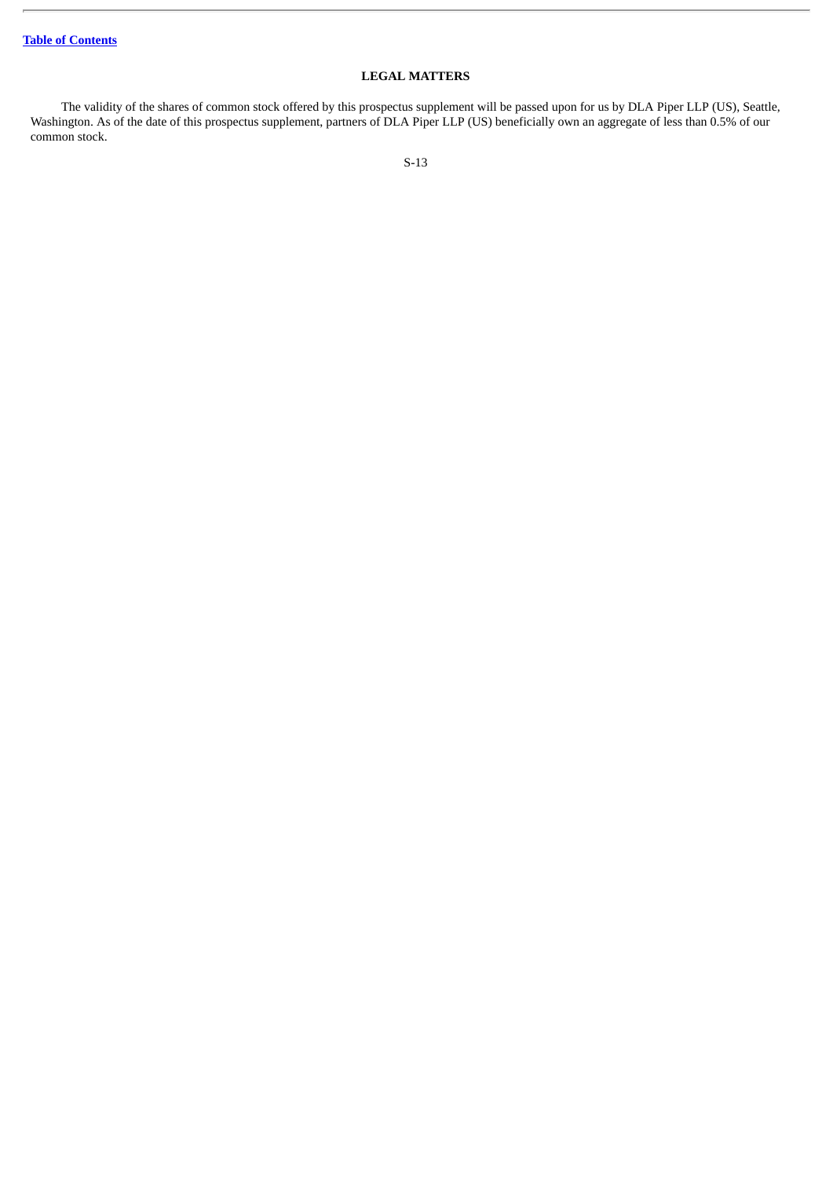# **LEGAL MATTERS**

<span id="page-15-0"></span>The validity of the shares of common stock offered by this prospectus supplement will be passed upon for us by DLA Piper LLP (US), Seattle, Washington. As of the date of this prospectus supplement, partners of DLA Piper LLP (US) beneficially own an aggregate of less than 0.5% of our common stock.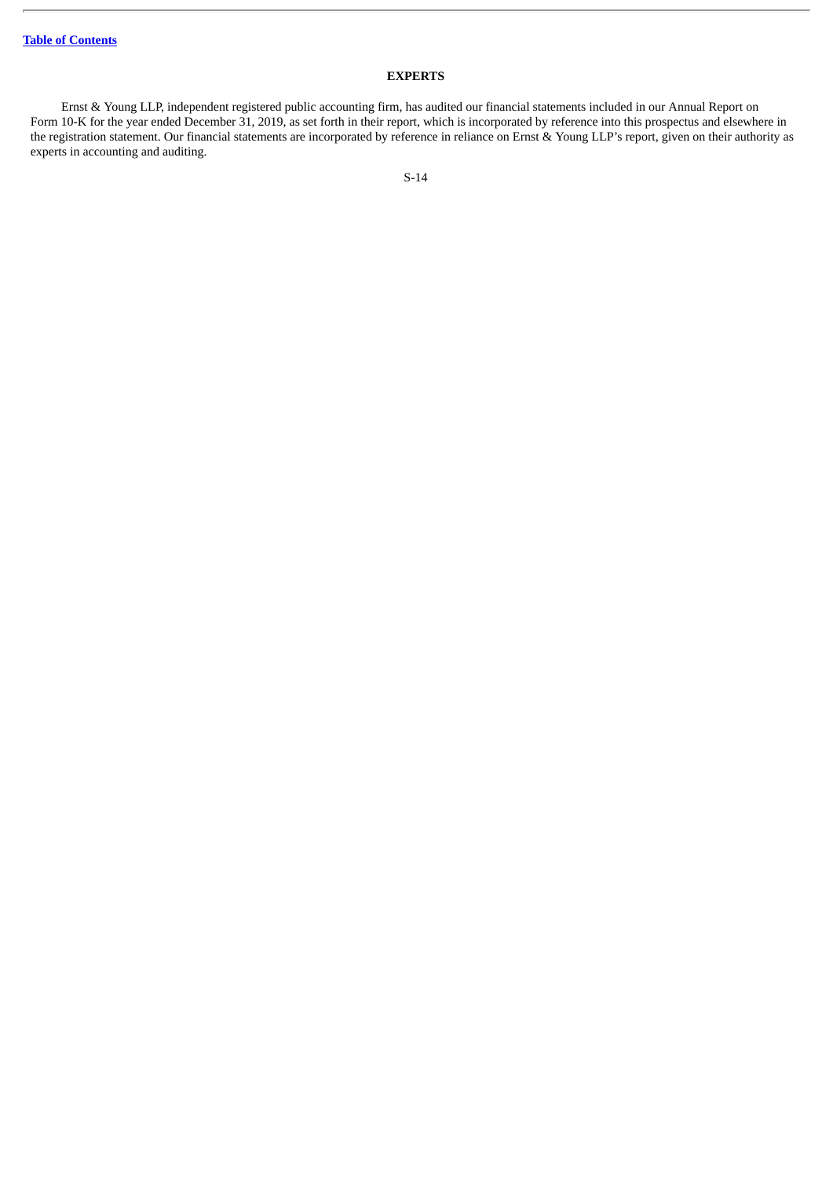# **EXPERTS**

<span id="page-16-0"></span>Ernst & Young LLP, independent registered public accounting firm, has audited our financial statements included in our Annual Report on Form 10-K for the year ended December 31, 2019, as set forth in their report, which is incorporated by reference into this prospectus and elsewhere in the registration statement. Our financial statements are incorporated by reference in reliance on Ernst & Young LLP's report, given on their authority as experts in accounting and auditing.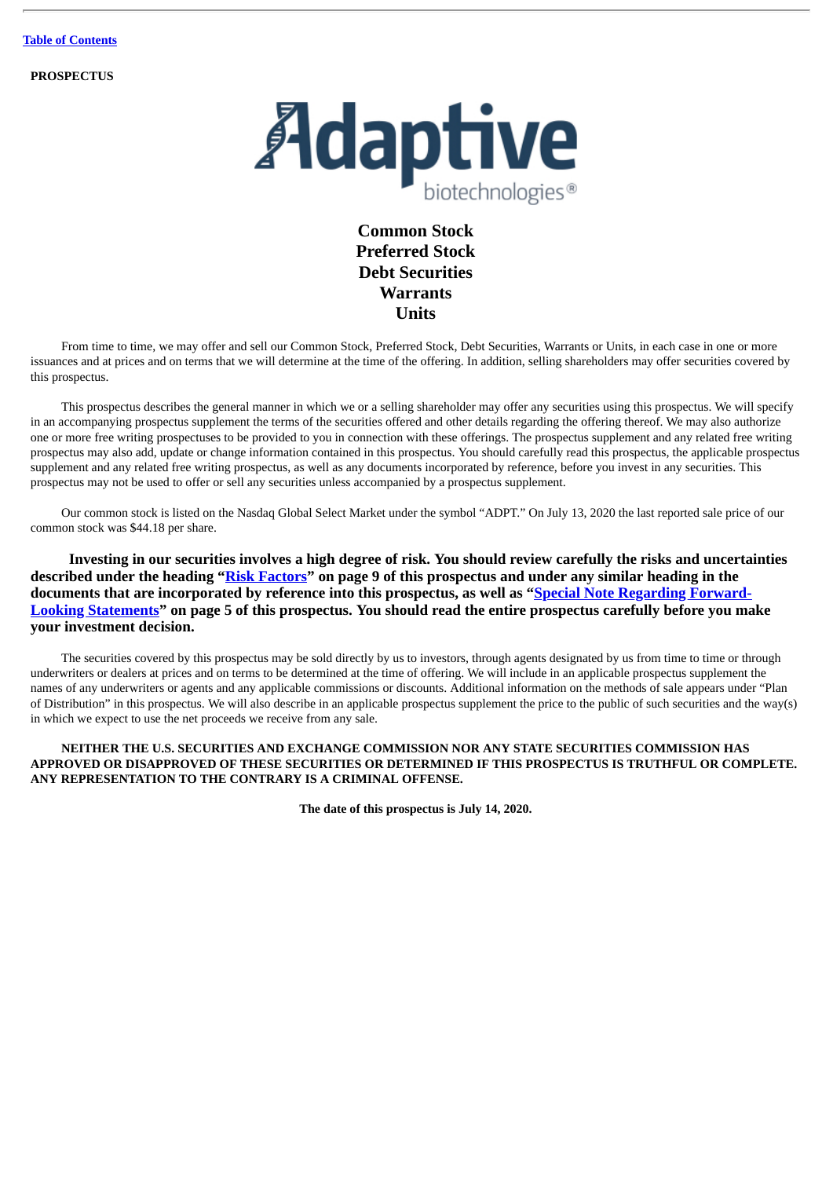**PROSPECTUS**



# **Common Stock Preferred Stock Debt Securities Warrants Units**

From time to time, we may offer and sell our Common Stock, Preferred Stock, Debt Securities, Warrants or Units, in each case in one or more issuances and at prices and on terms that we will determine at the time of the offering. In addition, selling shareholders may offer securities covered by this prospectus.

This prospectus describes the general manner in which we or a selling shareholder may offer any securities using this prospectus. We will specify in an accompanying prospectus supplement the terms of the securities offered and other details regarding the offering thereof. We may also authorize one or more free writing prospectuses to be provided to you in connection with these offerings. The prospectus supplement and any related free writing prospectus may also add, update or change information contained in this prospectus. You should carefully read this prospectus, the applicable prospectus supplement and any related free writing prospectus, as well as any documents incorporated by reference, before you invest in any securities. This prospectus may not be used to offer or sell any securities unless accompanied by a prospectus supplement.

Our common stock is listed on the Nasdaq Global Select Market under the symbol "ADPT." On July 13, 2020 the last reported sale price of our common stock was \$44.18 per share.

**Investing in our securities involves a high degree of risk. You should review carefully the risks and uncertainties described under the heading "[Risk Factors"](#page-27-0) on page 9 of this prospectus and under any similar heading in the documents that are incorporated by reference into this prospectus, as well as "Special Note Regarding Forward-[Looking Statements" on page 5 of this prospectus. You should read the entire prospectus carefully before you ma](#page-23-0)ke your investment decision.**

The securities covered by this prospectus may be sold directly by us to investors, through agents designated by us from time to time or through underwriters or dealers at prices and on terms to be determined at the time of offering. We will include in an applicable prospectus supplement the names of any underwriters or agents and any applicable commissions or discounts. Additional information on the methods of sale appears under "Plan of Distribution" in this prospectus. We will also describe in an applicable prospectus supplement the price to the public of such securities and the way(s) in which we expect to use the net proceeds we receive from any sale.

### **NEITHER THE U.S. SECURITIES AND EXCHANGE COMMISSION NOR ANY STATE SECURITIES COMMISSION HAS APPROVED OR DISAPPROVED OF THESE SECURITIES OR DETERMINED IF THIS PROSPECTUS IS TRUTHFUL OR COMPLETE. ANY REPRESENTATION TO THE CONTRARY IS A CRIMINAL OFFENSE.**

**The date of this prospectus is July 14, 2020.**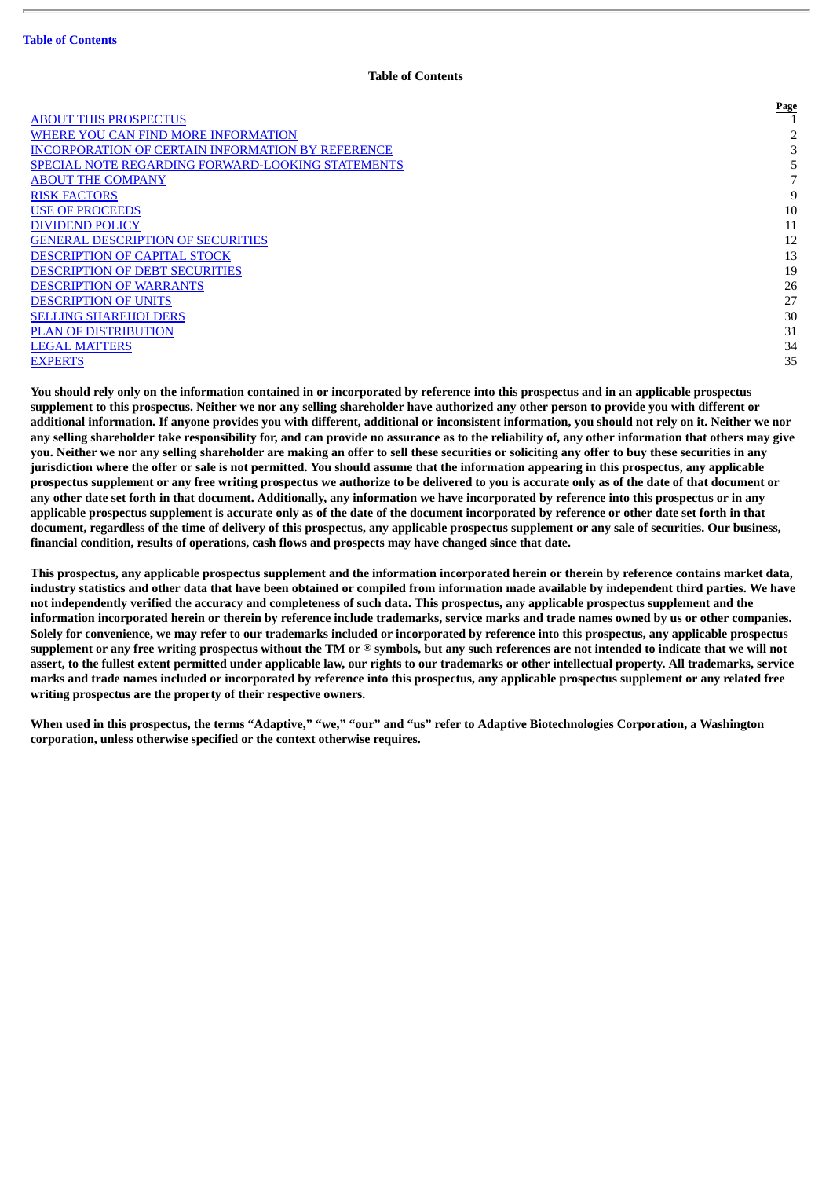#### **Table of Contents**

**Page**

<span id="page-18-0"></span>

|                                                          | $  -$ |
|----------------------------------------------------------|-------|
| <b>ABOUT THIS PROSPECTUS</b>                             |       |
| WHERE YOU CAN FIND MORE INFORMATION                      |       |
| <b>INCORPORATION OF CERTAIN INFORMATION BY REFERENCE</b> |       |
| <b>SPECIAL NOTE REGARDING FORWARD-LOOKING STATEMENTS</b> |       |
| <b>ABOUT THE COMPANY</b>                                 |       |
| <b>RISK FACTORS</b>                                      | 9     |
| <b>USE OF PROCEEDS</b>                                   | 10    |
| <b>DIVIDEND POLICY</b>                                   | 11    |
| <b>GENERAL DESCRIPTION OF SECURITIES</b>                 | 12    |
| <b>DESCRIPTION OF CAPITAL STOCK</b>                      | 13    |
| <b>DESCRIPTION OF DEBT SECURITIES</b>                    | 19    |
| <b>DESCRIPTION OF WARRANTS</b>                           | 26    |
| <b>DESCRIPTION OF UNITS</b>                              | 27    |
| <b>SELLING SHAREHOLDERS</b>                              | 30    |
| <b>PLAN OF DISTRIBUTION</b>                              | 31    |
| <b>LEGAL MATTERS</b>                                     | 34    |
| <b>EXPERTS</b>                                           | 35    |
|                                                          |       |

You should rely only on the information contained in or incorporated by reference into this prospectus and in an applicable prospectus supplement to this prospectus. Neither we nor any selling shareholder have authorized any other person to provide you with different or additional information. If anyone provides you with different, additional or inconsistent information, you should not rely on it. Neither we nor any selling shareholder take responsibility for, and can provide no assurance as to the reliability of, any other information that others may give you. Neither we nor any selling shareholder are making an offer to sell these securities or soliciting any offer to buy these securities in any jurisdiction where the offer or sale is not permitted. You should assume that the information appearing in this prospectus, any applicable prospectus supplement or any free writing prospectus we authorize to be delivered to you is accurate only as of the date of that document or any other date set forth in that document. Additionally, any information we have incorporated by reference into this prospectus or in any applicable prospectus supplement is accurate only as of the date of the document incorporated by reference or other date set forth in that document, regardless of the time of delivery of this prospectus, any applicable prospectus supplement or any sale of securities. Our business, **financial condition, results of operations, cash flows and prospects may have changed since that date.**

This prospectus, any applicable prospectus supplement and the information incorporated herein or therein by reference contains market data, industry statistics and other data that have been obtained or compiled from information made available by independent third parties. We have not independently verified the accuracy and completeness of such data. This prospectus, any applicable prospectus supplement and the information incorporated herein or therein by reference include trademarks, service marks and trade names owned by us or other companies. Solely for convenience, we may refer to our trademarks included or incorporated by reference into this prospectus, any applicable prospectus supplement or any free writing prospectus without the TM or ® symbols, but any such references are not intended to indicate that we will not assert, to the fullest extent permitted under applicable law, our rights to our trademarks or other intellectual property. All trademarks, service marks and trade names included or incorporated by reference into this prospectus, any applicable prospectus supplement or any related free **writing prospectus are the property of their respective owners.**

When used in this prospectus, the terms "Adaptive," "we," "our" and "us" refer to Adaptive Biotechnologies Corporation, a Washington **corporation, unless otherwise specified or the context otherwise requires.**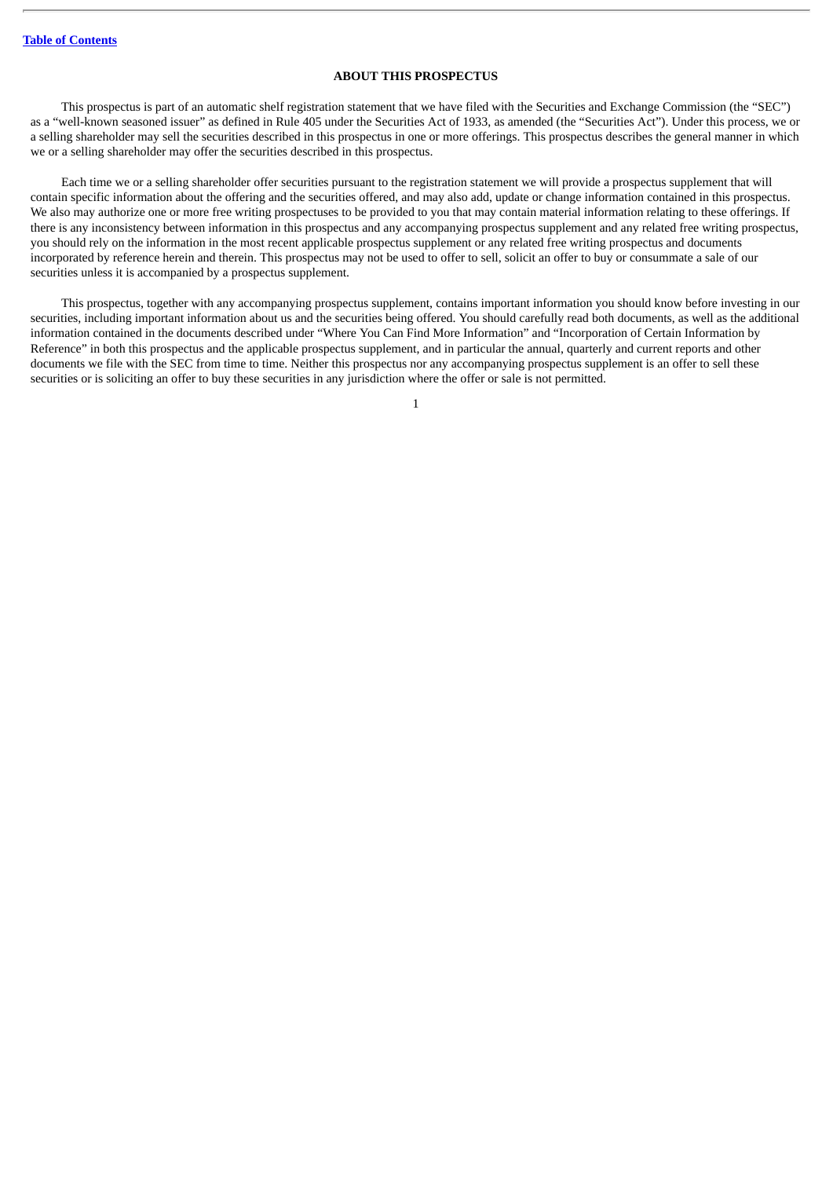### **ABOUT THIS PROSPECTUS**

<span id="page-19-0"></span>This prospectus is part of an automatic shelf registration statement that we have filed with the Securities and Exchange Commission (the "SEC") as a "well-known seasoned issuer" as defined in Rule 405 under the Securities Act of 1933, as amended (the "Securities Act"). Under this process, we or a selling shareholder may sell the securities described in this prospectus in one or more offerings. This prospectus describes the general manner in which we or a selling shareholder may offer the securities described in this prospectus.

Each time we or a selling shareholder offer securities pursuant to the registration statement we will provide a prospectus supplement that will contain specific information about the offering and the securities offered, and may also add, update or change information contained in this prospectus. We also may authorize one or more free writing prospectuses to be provided to you that may contain material information relating to these offerings. If there is any inconsistency between information in this prospectus and any accompanying prospectus supplement and any related free writing prospectus, you should rely on the information in the most recent applicable prospectus supplement or any related free writing prospectus and documents incorporated by reference herein and therein. This prospectus may not be used to offer to sell, solicit an offer to buy or consummate a sale of our securities unless it is accompanied by a prospectus supplement.

This prospectus, together with any accompanying prospectus supplement, contains important information you should know before investing in our securities, including important information about us and the securities being offered. You should carefully read both documents, as well as the additional information contained in the documents described under "Where You Can Find More Information" and "Incorporation of Certain Information by Reference" in both this prospectus and the applicable prospectus supplement, and in particular the annual, quarterly and current reports and other documents we file with the SEC from time to time. Neither this prospectus nor any accompanying prospectus supplement is an offer to sell these securities or is soliciting an offer to buy these securities in any jurisdiction where the offer or sale is not permitted.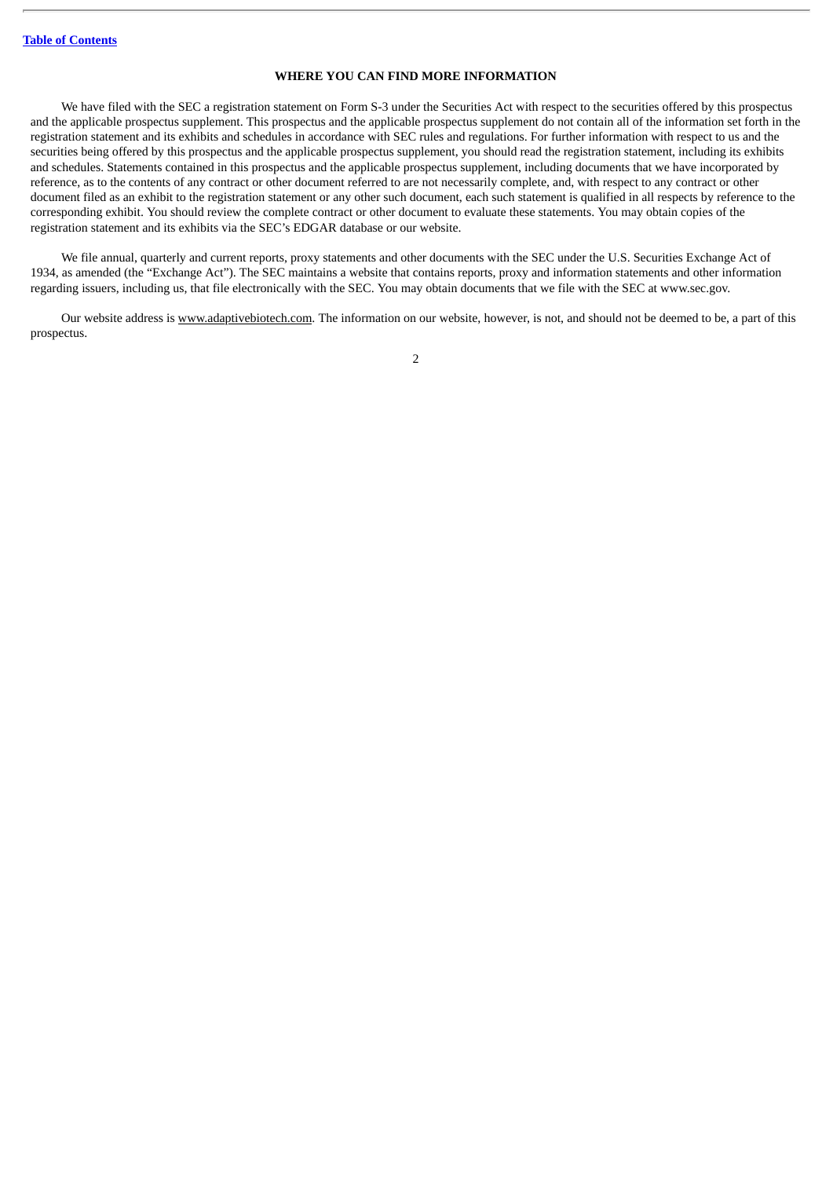### **WHERE YOU CAN FIND MORE INFORMATION**

<span id="page-20-0"></span>We have filed with the SEC a registration statement on Form S-3 under the Securities Act with respect to the securities offered by this prospectus and the applicable prospectus supplement. This prospectus and the applicable prospectus supplement do not contain all of the information set forth in the registration statement and its exhibits and schedules in accordance with SEC rules and regulations. For further information with respect to us and the securities being offered by this prospectus and the applicable prospectus supplement, you should read the registration statement, including its exhibits and schedules. Statements contained in this prospectus and the applicable prospectus supplement, including documents that we have incorporated by reference, as to the contents of any contract or other document referred to are not necessarily complete, and, with respect to any contract or other document filed as an exhibit to the registration statement or any other such document, each such statement is qualified in all respects by reference to the corresponding exhibit. You should review the complete contract or other document to evaluate these statements. You may obtain copies of the registration statement and its exhibits via the SEC's EDGAR database or our website.

We file annual, quarterly and current reports, proxy statements and other documents with the SEC under the U.S. Securities Exchange Act of 1934, as amended (the "Exchange Act"). The SEC maintains a website that contains reports, proxy and information statements and other information regarding issuers, including us, that file electronically with the SEC. You may obtain documents that we file with the SEC at www.sec.gov.

Our website address is www.adaptivebiotech.com. The information on our website, however, is not, and should not be deemed to be, a part of this prospectus.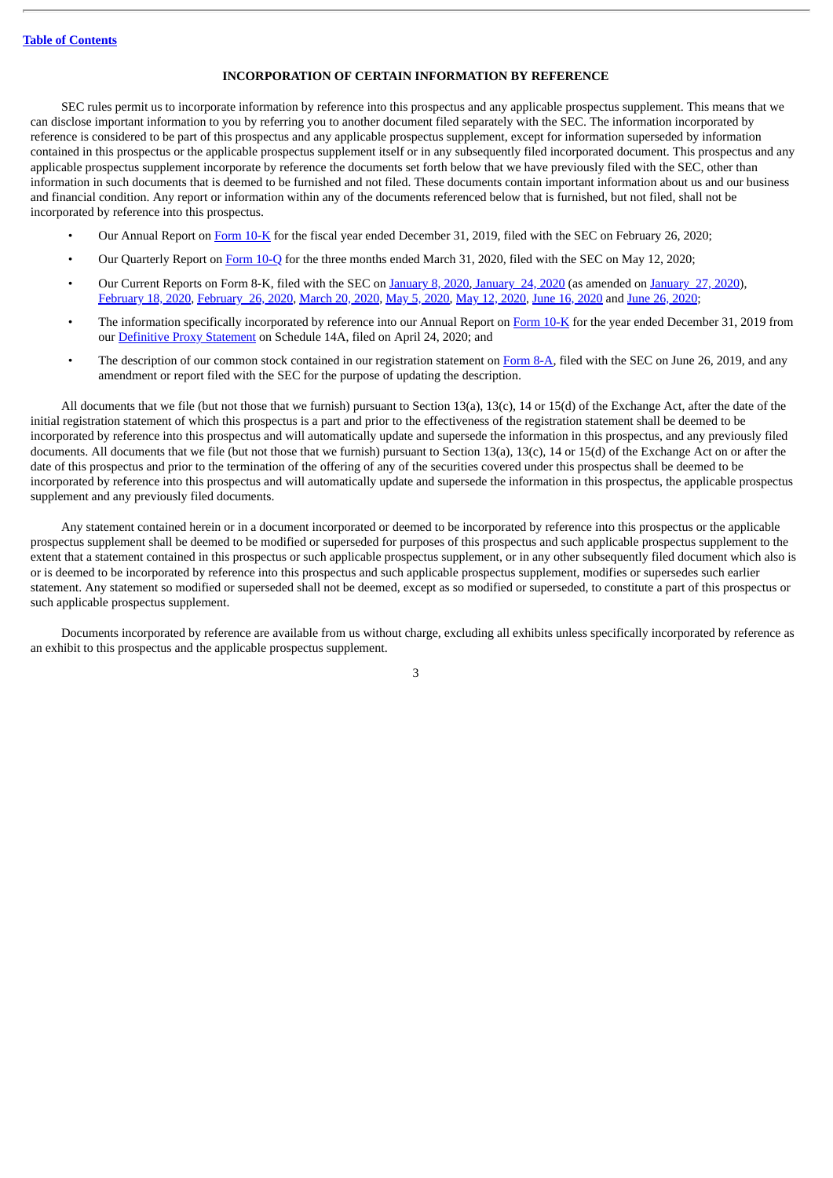#### **INCORPORATION OF CERTAIN INFORMATION BY REFERENCE**

<span id="page-21-0"></span>SEC rules permit us to incorporate information by reference into this prospectus and any applicable prospectus supplement. This means that we can disclose important information to you by referring you to another document filed separately with the SEC. The information incorporated by reference is considered to be part of this prospectus and any applicable prospectus supplement, except for information superseded by information contained in this prospectus or the applicable prospectus supplement itself or in any subsequently filed incorporated document. This prospectus and any applicable prospectus supplement incorporate by reference the documents set forth below that we have previously filed with the SEC, other than information in such documents that is deemed to be furnished and not filed. These documents contain important information about us and our business and financial condition. Any report or information within any of the documents referenced below that is furnished, but not filed, shall not be incorporated by reference into this prospectus.

- Our Annual Report on [Form](http://www.sec.gov/ix?doc=/Archives/edgar/data/1478320/000156459020006830/adpt-10k_20191231.htm) 10-K for the fiscal year ended December 31, 2019, filed with the SEC on February 26, 2020;
- Our Quarterly Report on [Form](http://www.sec.gov/ix?doc=/Archives/edgar/data/1478320/000156459020024687/adpt-10q_20200331.htm) 10-Q for the three months ended March 31, 2020, filed with the SEC on May 12, 2020;
- Our Current Reports on Form 8-K, filed with the SEC on [January](http://www.sec.gov/Archives/edgar/data/1478320/000156459020000453/adpt-8k_20200108.htm) 8, 2020, [January](http://www.sec.gov/Archives/edgar/data/1478320/000156459020001819/adpt-8k_20200121.htm) 24, 2020 (as amended on [January](http://www.sec.gov/Archives/edgar/data/1478320/000156459020001940/adpt-8ka_20200121.htm) 27, 2020), [February](http://www.sec.gov/Archives/edgar/data/1478320/000156459020004894/adpt-8k_20200213.htm) 18, 2020, [February](http://www.sec.gov/Archives/edgar/data/1478320/000156459020006788/adpt-8k_20200226.htm) 26, 2020, [March](http://www.sec.gov/Archives/edgar/data/1478320/000156459020011979/adpt-8k_20200320.htm) 20, 2020, May 5, [2020](http://www.sec.gov/Archives/edgar/data/1478320/000156459020021103/adpt-8k_20200505.htm), May 12, [2020](http://www.sec.gov/Archives/edgar/data/1478320/000156459020024668/adpt-8k_20200512.htm), June 16, [2020](http://www.sec.gov/Archives/edgar/data/1478320/000156459020029554/adpt-8k_20200612.htm) and June 26, [2020](http://www.sec.gov/Archives/edgar/data/1478320/000156459020030801/adpt-8k_20200629.htm);
- The information specifically incorporated by reference into our Annual Report on [Form](http://www.sec.gov/ix?doc=/Archives/edgar/data/1478320/000156459020006830/adpt-10k_20191231.htm) 10-K for the year ended December 31, 2019 from our [Definitive](http://www.sec.gov/Archives/edgar/data/1478320/000156459020018506/adpt-def14a_20200612.htm) Proxy Statement on Schedule 14A, filed on April 24, 2020; and
- The description of our common stock contained in our registration statement on [Form](http://www.sec.gov/Archives/edgar/data/1478320/000119312519181757/d739168d8a12b.htm) 8-A, filed with the SEC on June 26, 2019, and any amendment or report filed with the SEC for the purpose of updating the description.

All documents that we file (but not those that we furnish) pursuant to Section 13(a), 13(c), 14 or 15(d) of the Exchange Act, after the date of the initial registration statement of which this prospectus is a part and prior to the effectiveness of the registration statement shall be deemed to be incorporated by reference into this prospectus and will automatically update and supersede the information in this prospectus, and any previously filed documents. All documents that we file (but not those that we furnish) pursuant to Section 13(a), 13(c), 14 or 15(d) of the Exchange Act on or after the date of this prospectus and prior to the termination of the offering of any of the securities covered under this prospectus shall be deemed to be incorporated by reference into this prospectus and will automatically update and supersede the information in this prospectus, the applicable prospectus supplement and any previously filed documents.

Any statement contained herein or in a document incorporated or deemed to be incorporated by reference into this prospectus or the applicable prospectus supplement shall be deemed to be modified or superseded for purposes of this prospectus and such applicable prospectus supplement to the extent that a statement contained in this prospectus or such applicable prospectus supplement, or in any other subsequently filed document which also is or is deemed to be incorporated by reference into this prospectus and such applicable prospectus supplement, modifies or supersedes such earlier statement. Any statement so modified or superseded shall not be deemed, except as so modified or superseded, to constitute a part of this prospectus or such applicable prospectus supplement.

Documents incorporated by reference are available from us without charge, excluding all exhibits unless specifically incorporated by reference as an exhibit to this prospectus and the applicable prospectus supplement.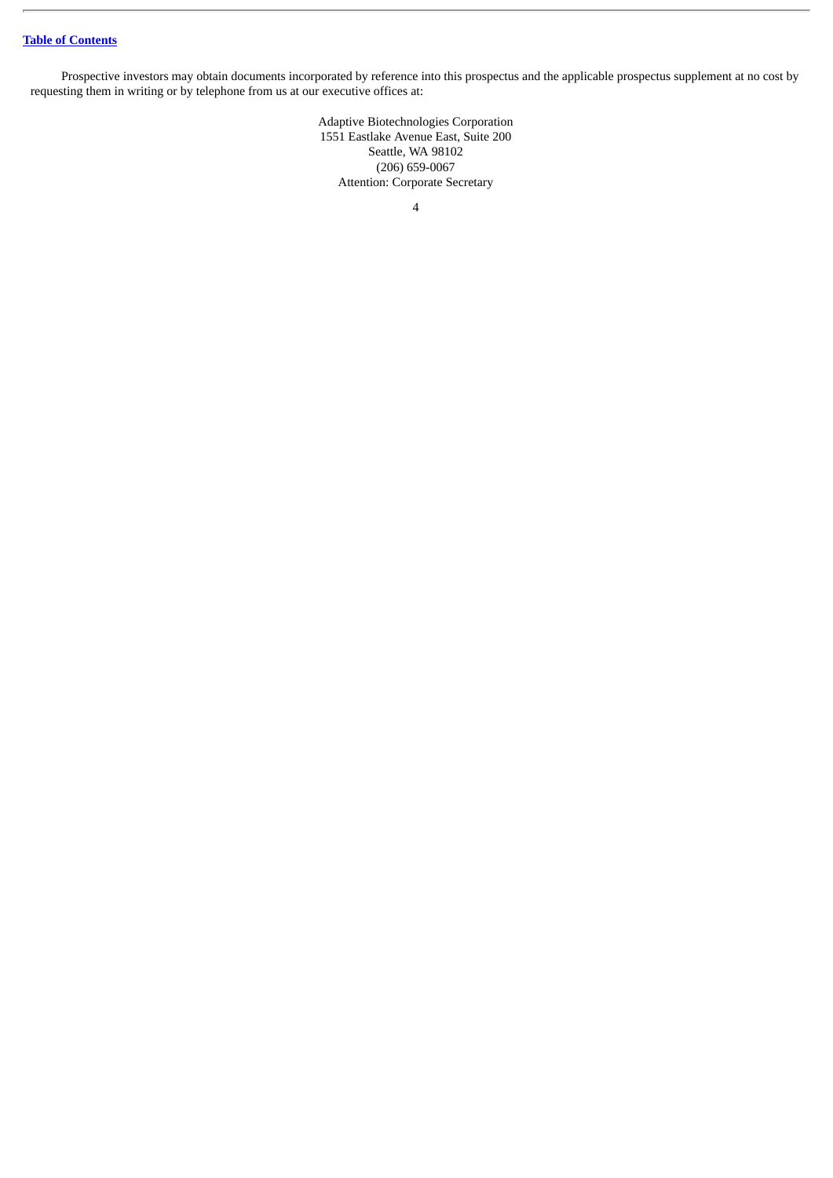# **Table of [Contents](#page-18-0)**

Prospective investors may obtain documents incorporated by reference into this prospectus and the applicable prospectus supplement at no cost by requesting them in writing or by telephone from us at our executive offices at:

> Adaptive Biotechnologies Corporation 1551 Eastlake Avenue East, Suite 200 Seattle, WA 98102 (206) 659-0067 Attention: Corporate Secretary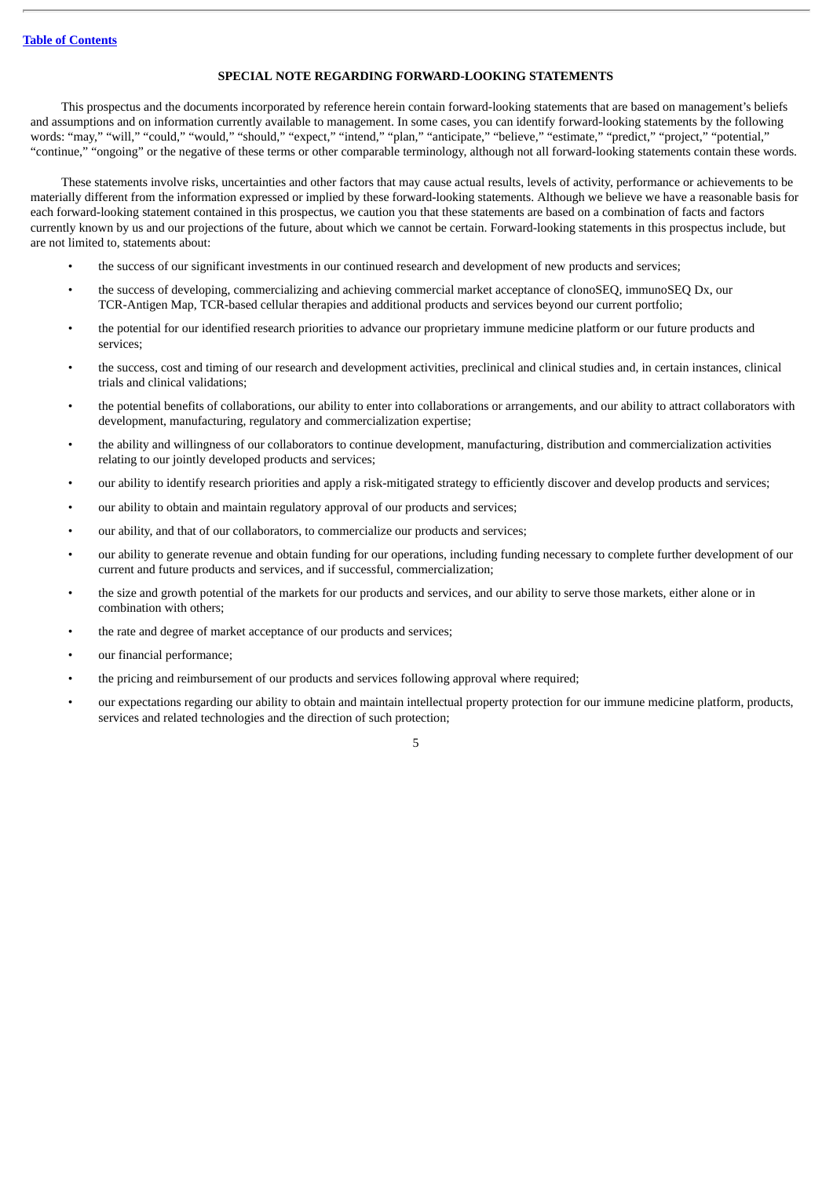### **SPECIAL NOTE REGARDING FORWARD-LOOKING STATEMENTS**

<span id="page-23-0"></span>This prospectus and the documents incorporated by reference herein contain forward-looking statements that are based on management's beliefs and assumptions and on information currently available to management. In some cases, you can identify forward-looking statements by the following words: "may," "will," "could," "would," "should," "expect," "intend," "plan," "anticipate," "believe," "estimate," "predict," "project," "potential," "continue," "ongoing" or the negative of these terms or other comparable terminology, although not all forward-looking statements contain these words.

These statements involve risks, uncertainties and other factors that may cause actual results, levels of activity, performance or achievements to be materially different from the information expressed or implied by these forward-looking statements. Although we believe we have a reasonable basis for each forward-looking statement contained in this prospectus, we caution you that these statements are based on a combination of facts and factors currently known by us and our projections of the future, about which we cannot be certain. Forward-looking statements in this prospectus include, but are not limited to, statements about:

- the success of our significant investments in our continued research and development of new products and services;
- the success of developing, commercializing and achieving commercial market acceptance of clonoSEQ, immunoSEQ Dx, our TCR-Antigen Map, TCR-based cellular therapies and additional products and services beyond our current portfolio;
- the potential for our identified research priorities to advance our proprietary immune medicine platform or our future products and services;
- the success, cost and timing of our research and development activities, preclinical and clinical studies and, in certain instances, clinical trials and clinical validations;
- the potential benefits of collaborations, our ability to enter into collaborations or arrangements, and our ability to attract collaborators with development, manufacturing, regulatory and commercialization expertise;
- the ability and willingness of our collaborators to continue development, manufacturing, distribution and commercialization activities relating to our jointly developed products and services;
- our ability to identify research priorities and apply a risk-mitigated strategy to efficiently discover and develop products and services;
- our ability to obtain and maintain regulatory approval of our products and services;
- our ability, and that of our collaborators, to commercialize our products and services;
- our ability to generate revenue and obtain funding for our operations, including funding necessary to complete further development of our current and future products and services, and if successful, commercialization;
- the size and growth potential of the markets for our products and services, and our ability to serve those markets, either alone or in combination with others;
- the rate and degree of market acceptance of our products and services;
- our financial performance;
- the pricing and reimbursement of our products and services following approval where required;
- our expectations regarding our ability to obtain and maintain intellectual property protection for our immune medicine platform, products, services and related technologies and the direction of such protection;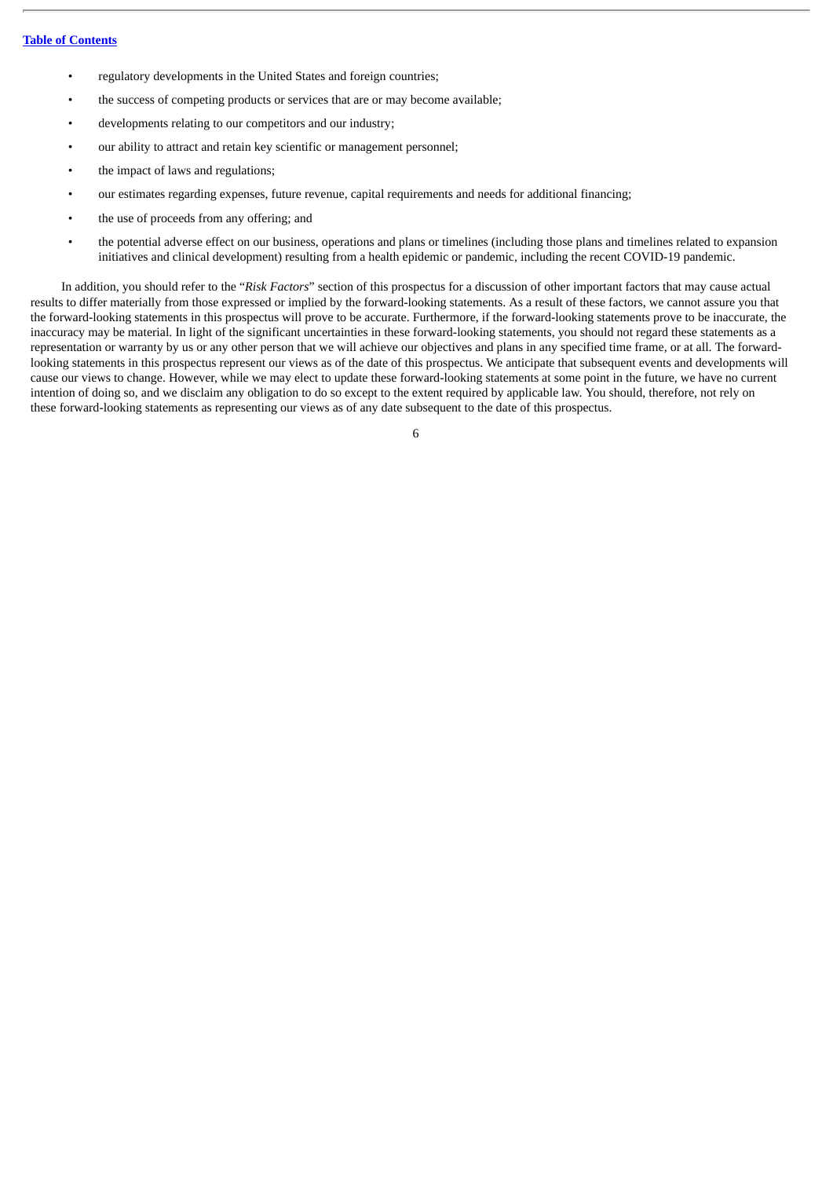- regulatory developments in the United States and foreign countries;
- the success of competing products or services that are or may become available;
- developments relating to our competitors and our industry;
- our ability to attract and retain key scientific or management personnel;
- the impact of laws and regulations;
- our estimates regarding expenses, future revenue, capital requirements and needs for additional financing;
- the use of proceeds from any offering; and
- the potential adverse effect on our business, operations and plans or timelines (including those plans and timelines related to expansion initiatives and clinical development) resulting from a health epidemic or pandemic, including the recent COVID-19 pandemic.

In addition, you should refer to the "*Risk Factors*" section of this prospectus for a discussion of other important factors that may cause actual results to differ materially from those expressed or implied by the forward-looking statements. As a result of these factors, we cannot assure you that the forward-looking statements in this prospectus will prove to be accurate. Furthermore, if the forward-looking statements prove to be inaccurate, the inaccuracy may be material. In light of the significant uncertainties in these forward-looking statements, you should not regard these statements as a representation or warranty by us or any other person that we will achieve our objectives and plans in any specified time frame, or at all. The forwardlooking statements in this prospectus represent our views as of the date of this prospectus. We anticipate that subsequent events and developments will cause our views to change. However, while we may elect to update these forward-looking statements at some point in the future, we have no current intention of doing so, and we disclaim any obligation to do so except to the extent required by applicable law. You should, therefore, not rely on these forward-looking statements as representing our views as of any date subsequent to the date of this prospectus.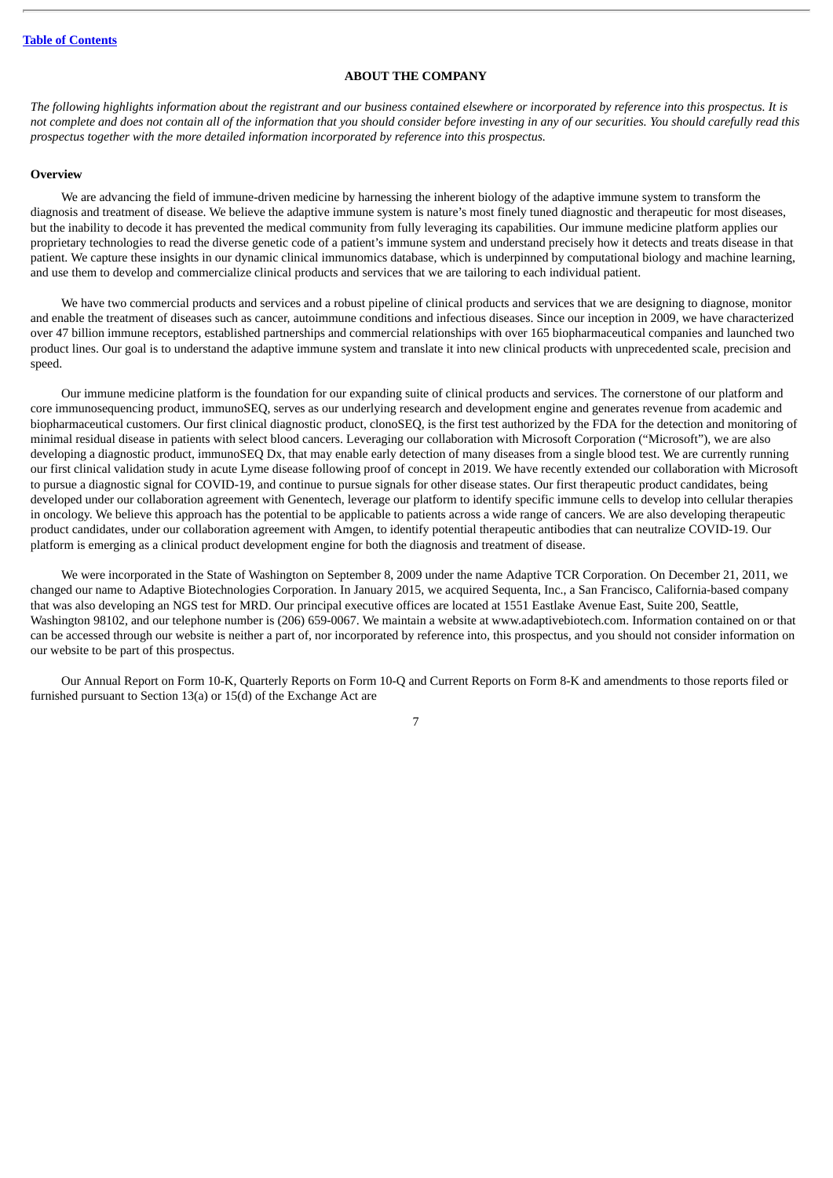#### **ABOUT THE COMPANY**

<span id="page-25-0"></span>The following highlights information about the registrant and our business contained elsewhere or incorporated by reference into this prospectus. It is not complete and does not contain all of the information that you should consider before investing in any of our securities. You should carefully read this *prospectus together with the more detailed information incorporated by reference into this prospectus.*

#### **Overview**

We are advancing the field of immune-driven medicine by harnessing the inherent biology of the adaptive immune system to transform the diagnosis and treatment of disease. We believe the adaptive immune system is nature's most finely tuned diagnostic and therapeutic for most diseases, but the inability to decode it has prevented the medical community from fully leveraging its capabilities. Our immune medicine platform applies our proprietary technologies to read the diverse genetic code of a patient's immune system and understand precisely how it detects and treats disease in that patient. We capture these insights in our dynamic clinical immunomics database, which is underpinned by computational biology and machine learning, and use them to develop and commercialize clinical products and services that we are tailoring to each individual patient.

We have two commercial products and services and a robust pipeline of clinical products and services that we are designing to diagnose, monitor and enable the treatment of diseases such as cancer, autoimmune conditions and infectious diseases. Since our inception in 2009, we have characterized over 47 billion immune receptors, established partnerships and commercial relationships with over 165 biopharmaceutical companies and launched two product lines. Our goal is to understand the adaptive immune system and translate it into new clinical products with unprecedented scale, precision and speed.

Our immune medicine platform is the foundation for our expanding suite of clinical products and services. The cornerstone of our platform and core immunosequencing product, immunoSEQ, serves as our underlying research and development engine and generates revenue from academic and biopharmaceutical customers. Our first clinical diagnostic product, clonoSEQ, is the first test authorized by the FDA for the detection and monitoring of minimal residual disease in patients with select blood cancers. Leveraging our collaboration with Microsoft Corporation ("Microsoft"), we are also developing a diagnostic product, immunoSEQ Dx, that may enable early detection of many diseases from a single blood test. We are currently running our first clinical validation study in acute Lyme disease following proof of concept in 2019. We have recently extended our collaboration with Microsoft to pursue a diagnostic signal for COVID-19, and continue to pursue signals for other disease states. Our first therapeutic product candidates, being developed under our collaboration agreement with Genentech, leverage our platform to identify specific immune cells to develop into cellular therapies in oncology. We believe this approach has the potential to be applicable to patients across a wide range of cancers. We are also developing therapeutic product candidates, under our collaboration agreement with Amgen, to identify potential therapeutic antibodies that can neutralize COVID-19. Our platform is emerging as a clinical product development engine for both the diagnosis and treatment of disease.

We were incorporated in the State of Washington on September 8, 2009 under the name Adaptive TCR Corporation. On December 21, 2011, we changed our name to Adaptive Biotechnologies Corporation. In January 2015, we acquired Sequenta, Inc., a San Francisco, California-based company that was also developing an NGS test for MRD. Our principal executive offices are located at 1551 Eastlake Avenue East, Suite 200, Seattle, Washington 98102, and our telephone number is (206) 659-0067. We maintain a website at www.adaptivebiotech.com. Information contained on or that can be accessed through our website is neither a part of, nor incorporated by reference into, this prospectus, and you should not consider information on our website to be part of this prospectus.

Our Annual Report on Form 10-K, Quarterly Reports on Form 10-Q and Current Reports on Form 8-K and amendments to those reports filed or furnished pursuant to Section 13(a) or 15(d) of the Exchange Act are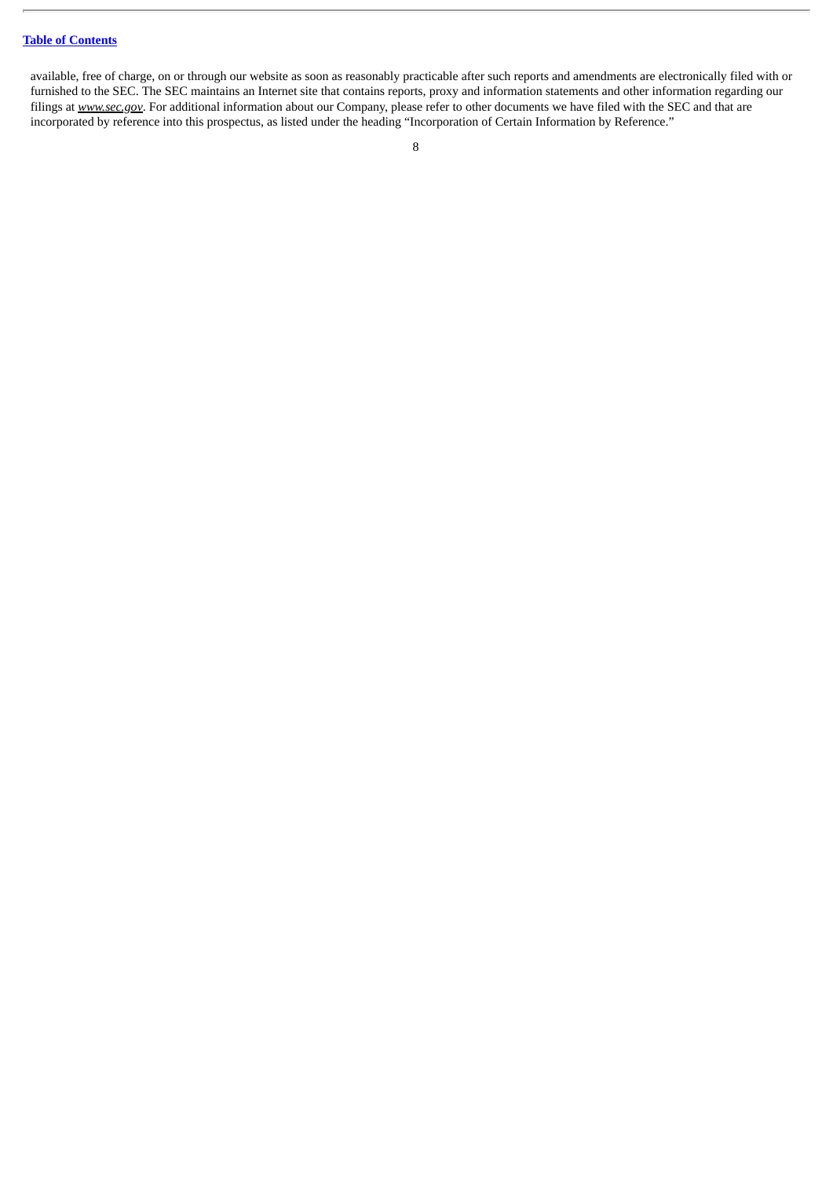### **Table of [Contents](#page-18-0)**

available, free of charge, on or through our website as soon as reasonably practicable after such reports and amendments are electronically filed with or furnished to the SEC. The SEC maintains an Internet site that contains reports, proxy and information statements and other information regarding our filings at *www.sec.gov*. For additional information about our Company, please refer to other documents we have filed with the SEC and that are incorporated by reference into this prospectus, as listed under the heading "Incorporation of Certain Information by Reference."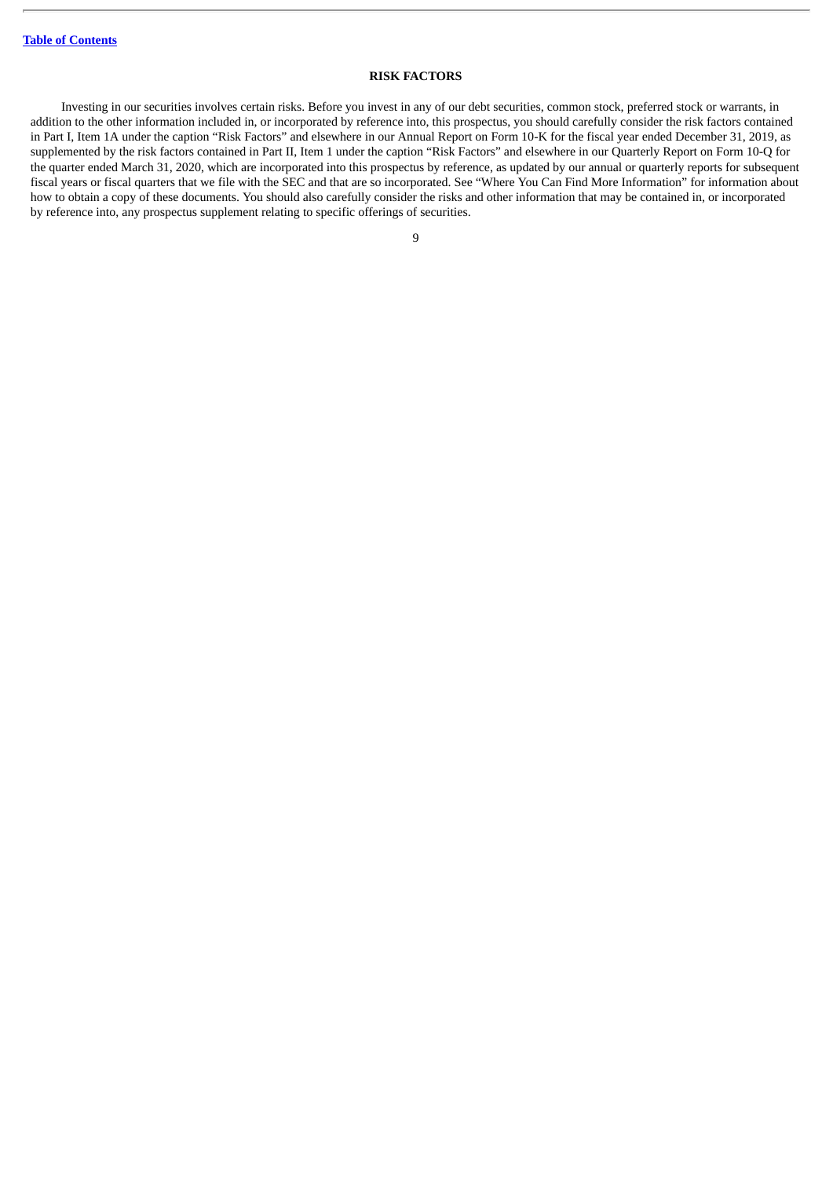### **RISK FACTORS**

<span id="page-27-0"></span>Investing in our securities involves certain risks. Before you invest in any of our debt securities, common stock, preferred stock or warrants, in addition to the other information included in, or incorporated by reference into, this prospectus, you should carefully consider the risk factors contained in Part I, Item 1A under the caption "Risk Factors" and elsewhere in our Annual Report on Form 10-K for the fiscal year ended December 31, 2019, as supplemented by the risk factors contained in Part II, Item 1 under the caption "Risk Factors" and elsewhere in our Quarterly Report on Form 10-Q for the quarter ended March 31, 2020, which are incorporated into this prospectus by reference, as updated by our annual or quarterly reports for subsequent fiscal years or fiscal quarters that we file with the SEC and that are so incorporated. See "Where You Can Find More Information" for information about how to obtain a copy of these documents. You should also carefully consider the risks and other information that may be contained in, or incorporated by reference into, any prospectus supplement relating to specific offerings of securities.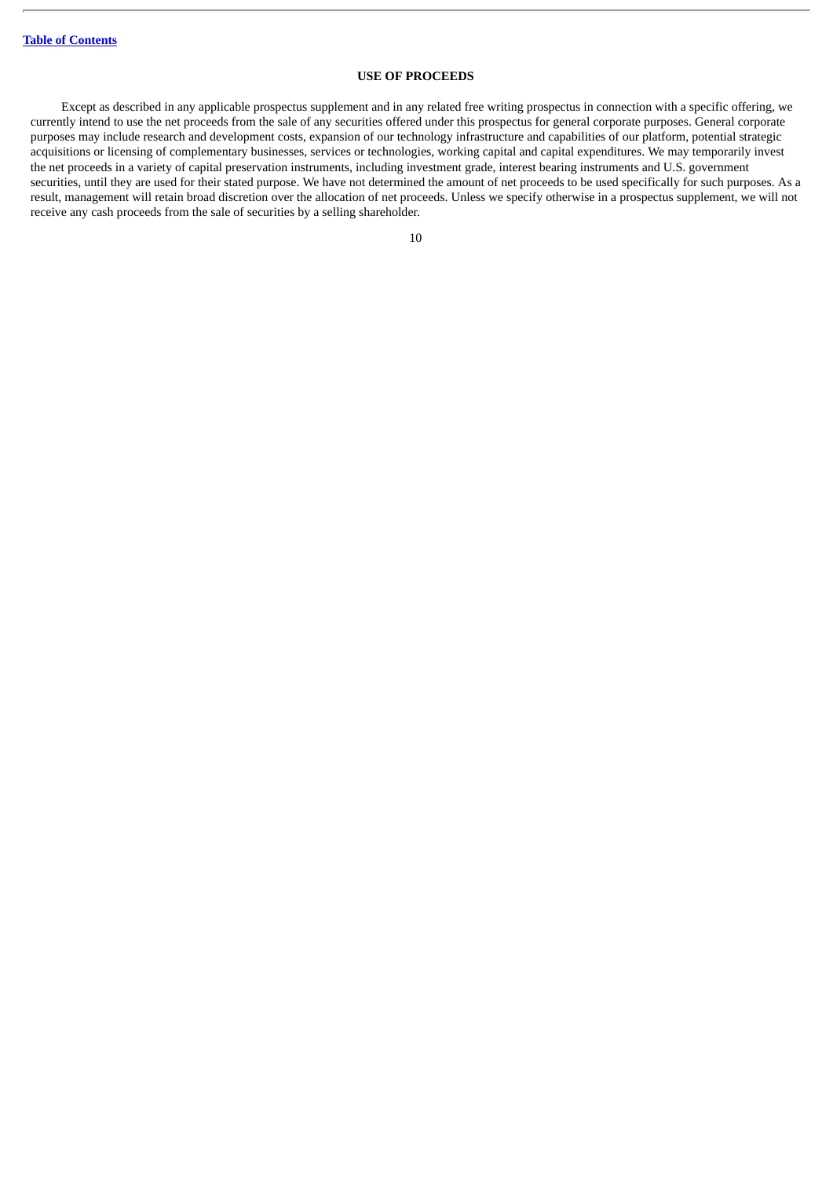### **USE OF PROCEEDS**

<span id="page-28-0"></span>Except as described in any applicable prospectus supplement and in any related free writing prospectus in connection with a specific offering, we currently intend to use the net proceeds from the sale of any securities offered under this prospectus for general corporate purposes. General corporate purposes may include research and development costs, expansion of our technology infrastructure and capabilities of our platform, potential strategic acquisitions or licensing of complementary businesses, services or technologies, working capital and capital expenditures. We may temporarily invest the net proceeds in a variety of capital preservation instruments, including investment grade, interest bearing instruments and U.S. government securities, until they are used for their stated purpose. We have not determined the amount of net proceeds to be used specifically for such purposes. As a result, management will retain broad discretion over the allocation of net proceeds. Unless we specify otherwise in a prospectus supplement, we will not receive any cash proceeds from the sale of securities by a selling shareholder.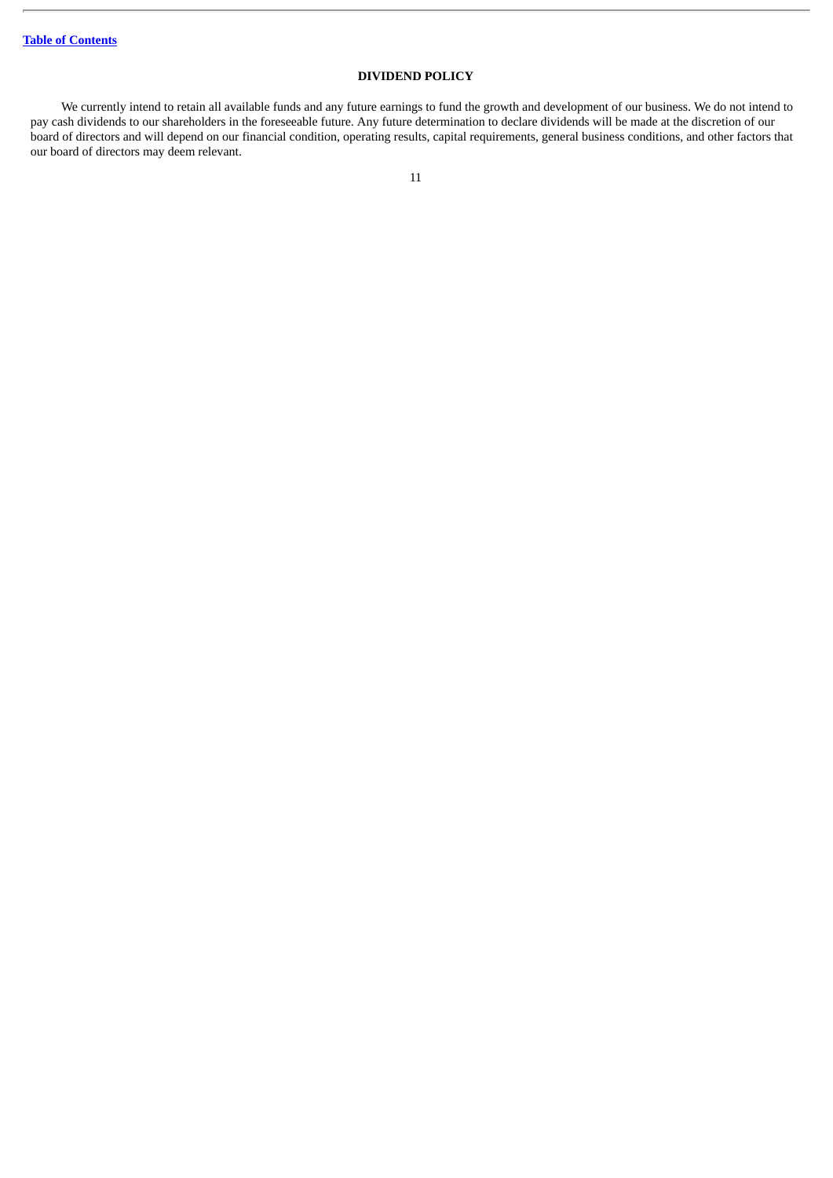# **DIVIDEND POLICY**

<span id="page-29-0"></span>We currently intend to retain all available funds and any future earnings to fund the growth and development of our business. We do not intend to pay cash dividends to our shareholders in the foreseeable future. Any future determination to declare dividends will be made at the discretion of our board of directors and will depend on our financial condition, operating results, capital requirements, general business conditions, and other factors that our board of directors may deem relevant.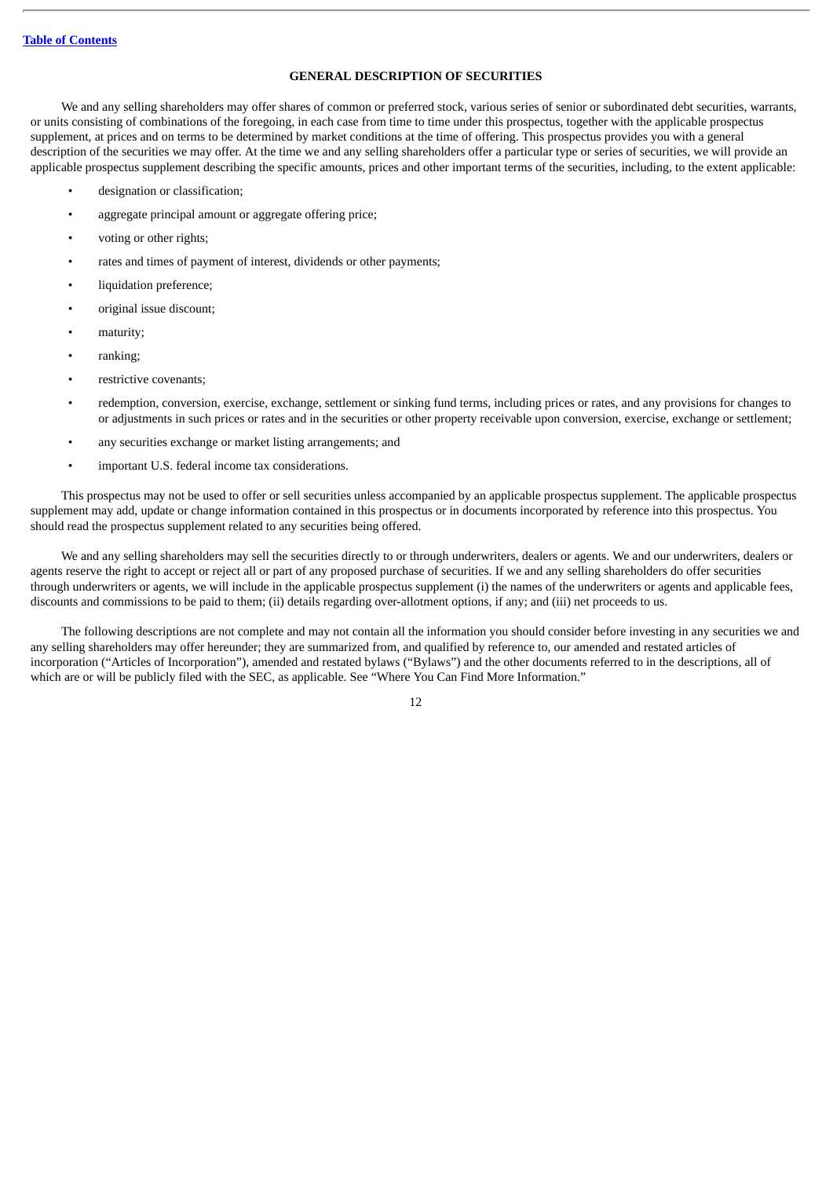### **GENERAL DESCRIPTION OF SECURITIES**

<span id="page-30-0"></span>We and any selling shareholders may offer shares of common or preferred stock, various series of senior or subordinated debt securities, warrants, or units consisting of combinations of the foregoing, in each case from time to time under this prospectus, together with the applicable prospectus supplement, at prices and on terms to be determined by market conditions at the time of offering. This prospectus provides you with a general description of the securities we may offer. At the time we and any selling shareholders offer a particular type or series of securities, we will provide an applicable prospectus supplement describing the specific amounts, prices and other important terms of the securities, including, to the extent applicable:

- designation or classification;
- aggregate principal amount or aggregate offering price;
- voting or other rights;
- rates and times of payment of interest, dividends or other payments;
- liquidation preference;
- original issue discount;
- maturity;
- ranking;
- restrictive covenants;
- redemption, conversion, exercise, exchange, settlement or sinking fund terms, including prices or rates, and any provisions for changes to or adjustments in such prices or rates and in the securities or other property receivable upon conversion, exercise, exchange or settlement;
- any securities exchange or market listing arrangements; and
- important U.S. federal income tax considerations.

This prospectus may not be used to offer or sell securities unless accompanied by an applicable prospectus supplement. The applicable prospectus supplement may add, update or change information contained in this prospectus or in documents incorporated by reference into this prospectus. You should read the prospectus supplement related to any securities being offered.

We and any selling shareholders may sell the securities directly to or through underwriters, dealers or agents. We and our underwriters, dealers or agents reserve the right to accept or reject all or part of any proposed purchase of securities. If we and any selling shareholders do offer securities through underwriters or agents, we will include in the applicable prospectus supplement (i) the names of the underwriters or agents and applicable fees, discounts and commissions to be paid to them; (ii) details regarding over-allotment options, if any; and (iii) net proceeds to us.

The following descriptions are not complete and may not contain all the information you should consider before investing in any securities we and any selling shareholders may offer hereunder; they are summarized from, and qualified by reference to, our amended and restated articles of incorporation ("Articles of Incorporation"), amended and restated bylaws ("Bylaws") and the other documents referred to in the descriptions, all of which are or will be publicly filed with the SEC, as applicable. See "Where You Can Find More Information."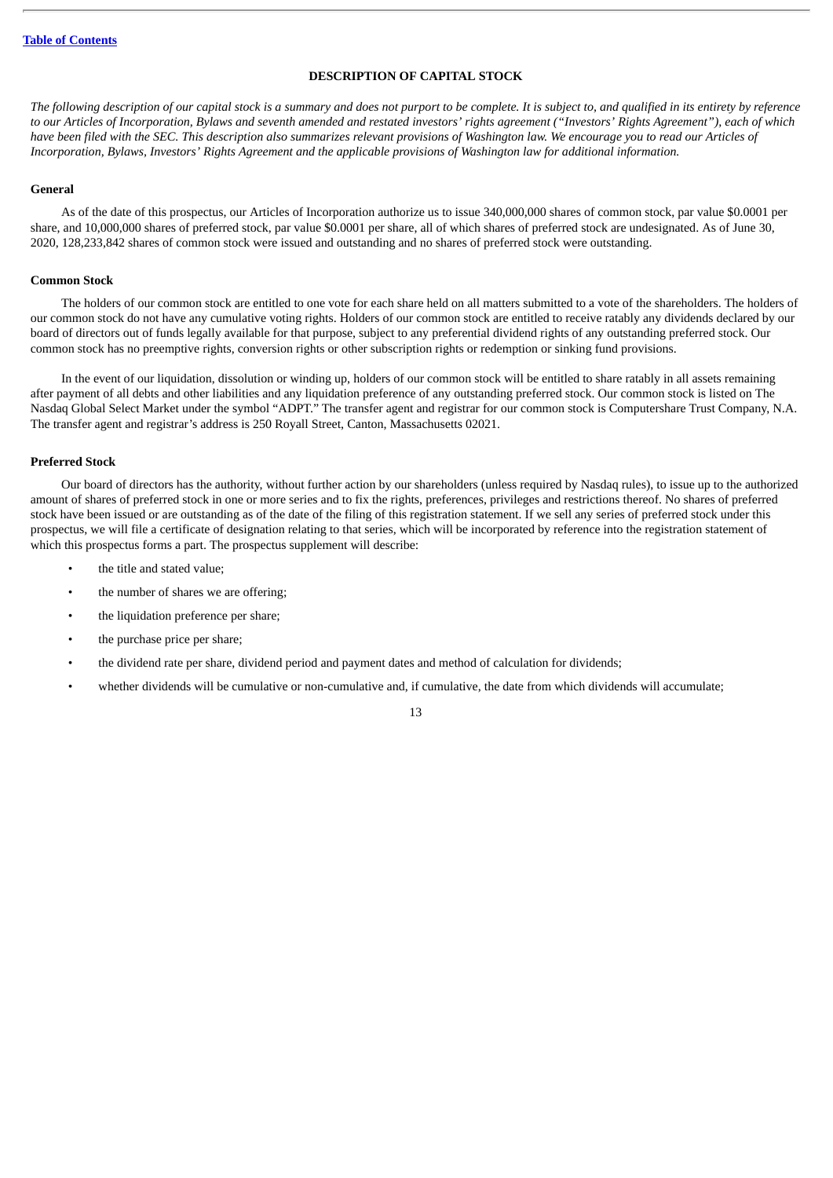### **DESCRIPTION OF CAPITAL STOCK**

<span id="page-31-0"></span>The following description of our capital stock is a summary and does not purport to be complete. It is subject to, and qualified in its entirety by reference to our Articles of Incorporation, Bylaws and seventh amended and restated investors' rights agreement ("Investors' Rights Agreement"), each of which have been filed with the SEC. This description also summarizes relevant provisions of Washington law. We encourage you to read our Articles of Incorporation, Bylaws, Investors' Rights Agreement and the applicable provisions of Washington law for additional information.

#### **General**

As of the date of this prospectus, our Articles of Incorporation authorize us to issue 340,000,000 shares of common stock, par value \$0.0001 per share, and 10,000,000 shares of preferred stock, par value \$0.0001 per share, all of which shares of preferred stock are undesignated. As of June 30, 2020, 128,233,842 shares of common stock were issued and outstanding and no shares of preferred stock were outstanding.

#### **Common Stock**

The holders of our common stock are entitled to one vote for each share held on all matters submitted to a vote of the shareholders. The holders of our common stock do not have any cumulative voting rights. Holders of our common stock are entitled to receive ratably any dividends declared by our board of directors out of funds legally available for that purpose, subject to any preferential dividend rights of any outstanding preferred stock. Our common stock has no preemptive rights, conversion rights or other subscription rights or redemption or sinking fund provisions.

In the event of our liquidation, dissolution or winding up, holders of our common stock will be entitled to share ratably in all assets remaining after payment of all debts and other liabilities and any liquidation preference of any outstanding preferred stock. Our common stock is listed on The Nasdaq Global Select Market under the symbol "ADPT." The transfer agent and registrar for our common stock is Computershare Trust Company, N.A. The transfer agent and registrar's address is 250 Royall Street, Canton, Massachusetts 02021.

#### **Preferred Stock**

Our board of directors has the authority, without further action by our shareholders (unless required by Nasdaq rules), to issue up to the authorized amount of shares of preferred stock in one or more series and to fix the rights, preferences, privileges and restrictions thereof. No shares of preferred stock have been issued or are outstanding as of the date of the filing of this registration statement. If we sell any series of preferred stock under this prospectus, we will file a certificate of designation relating to that series, which will be incorporated by reference into the registration statement of which this prospectus forms a part. The prospectus supplement will describe:

- the title and stated value;
- the number of shares we are offering:
- the liquidation preference per share;
- the purchase price per share:
- the dividend rate per share, dividend period and payment dates and method of calculation for dividends;
- whether dividends will be cumulative or non-cumulative and, if cumulative, the date from which dividends will accumulate;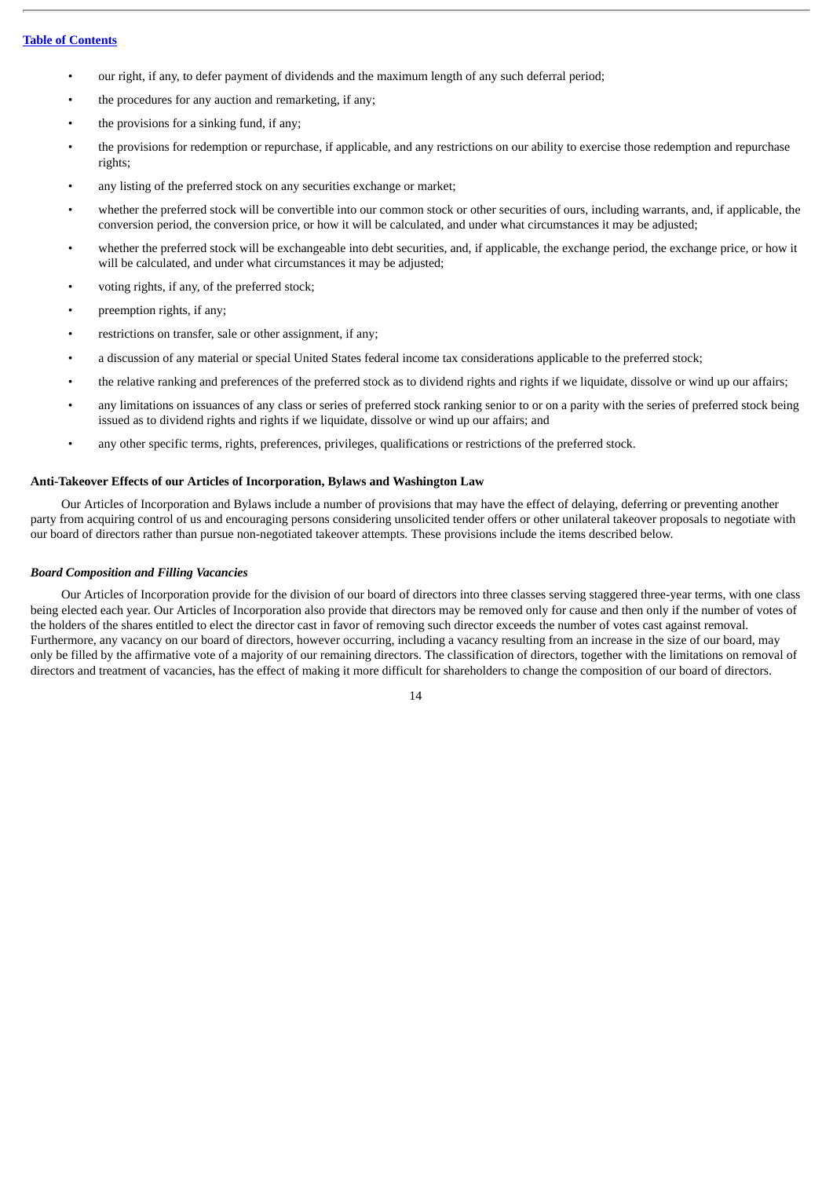- our right, if any, to defer payment of dividends and the maximum length of any such deferral period;
- the procedures for any auction and remarketing, if any;
- the provisions for a sinking fund, if any;
- the provisions for redemption or repurchase, if applicable, and any restrictions on our ability to exercise those redemption and repurchase rights;
- any listing of the preferred stock on any securities exchange or market;
- whether the preferred stock will be convertible into our common stock or other securities of ours, including warrants, and, if applicable, the conversion period, the conversion price, or how it will be calculated, and under what circumstances it may be adjusted;
- whether the preferred stock will be exchangeable into debt securities, and, if applicable, the exchange period, the exchange price, or how it will be calculated, and under what circumstances it may be adjusted;
- voting rights, if any, of the preferred stock;
- preemption rights, if any;
- restrictions on transfer, sale or other assignment, if any;
- a discussion of any material or special United States federal income tax considerations applicable to the preferred stock;
- the relative ranking and preferences of the preferred stock as to dividend rights and rights if we liquidate, dissolve or wind up our affairs;
- any limitations on issuances of any class or series of preferred stock ranking senior to or on a parity with the series of preferred stock being issued as to dividend rights and rights if we liquidate, dissolve or wind up our affairs; and
- any other specific terms, rights, preferences, privileges, qualifications or restrictions of the preferred stock.

### **Anti-Takeover Effects of our Articles of Incorporation, Bylaws and Washington Law**

Our Articles of Incorporation and Bylaws include a number of provisions that may have the effect of delaying, deferring or preventing another party from acquiring control of us and encouraging persons considering unsolicited tender offers or other unilateral takeover proposals to negotiate with our board of directors rather than pursue non-negotiated takeover attempts. These provisions include the items described below.

### *Board Composition and Filling Vacancies*

Our Articles of Incorporation provide for the division of our board of directors into three classes serving staggered three-year terms, with one class being elected each year. Our Articles of Incorporation also provide that directors may be removed only for cause and then only if the number of votes of the holders of the shares entitled to elect the director cast in favor of removing such director exceeds the number of votes cast against removal. Furthermore, any vacancy on our board of directors, however occurring, including a vacancy resulting from an increase in the size of our board, may only be filled by the affirmative vote of a majority of our remaining directors. The classification of directors, together with the limitations on removal of directors and treatment of vacancies, has the effect of making it more difficult for shareholders to change the composition of our board of directors.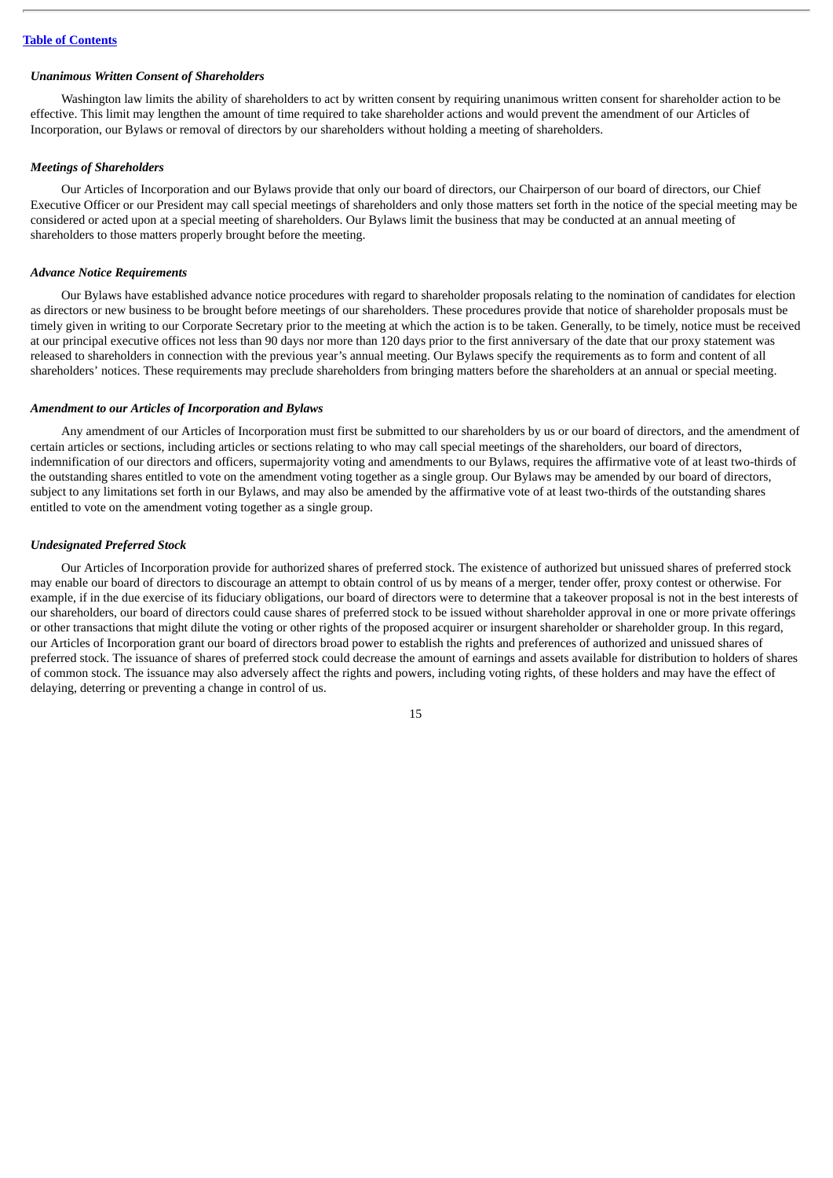#### *Unanimous Written Consent of Shareholders*

Washington law limits the ability of shareholders to act by written consent by requiring unanimous written consent for shareholder action to be effective. This limit may lengthen the amount of time required to take shareholder actions and would prevent the amendment of our Articles of Incorporation, our Bylaws or removal of directors by our shareholders without holding a meeting of shareholders.

#### *Meetings of Shareholders*

Our Articles of Incorporation and our Bylaws provide that only our board of directors, our Chairperson of our board of directors, our Chief Executive Officer or our President may call special meetings of shareholders and only those matters set forth in the notice of the special meeting may be considered or acted upon at a special meeting of shareholders. Our Bylaws limit the business that may be conducted at an annual meeting of shareholders to those matters properly brought before the meeting.

### *Advance Notice Requirements*

Our Bylaws have established advance notice procedures with regard to shareholder proposals relating to the nomination of candidates for election as directors or new business to be brought before meetings of our shareholders. These procedures provide that notice of shareholder proposals must be timely given in writing to our Corporate Secretary prior to the meeting at which the action is to be taken. Generally, to be timely, notice must be received at our principal executive offices not less than 90 days nor more than 120 days prior to the first anniversary of the date that our proxy statement was released to shareholders in connection with the previous year's annual meeting. Our Bylaws specify the requirements as to form and content of all shareholders' notices. These requirements may preclude shareholders from bringing matters before the shareholders at an annual or special meeting.

#### *Amendment to our Articles of Incorporation and Bylaws*

Any amendment of our Articles of Incorporation must first be submitted to our shareholders by us or our board of directors, and the amendment of certain articles or sections, including articles or sections relating to who may call special meetings of the shareholders, our board of directors, indemnification of our directors and officers, supermajority voting and amendments to our Bylaws, requires the affirmative vote of at least two-thirds of the outstanding shares entitled to vote on the amendment voting together as a single group. Our Bylaws may be amended by our board of directors, subject to any limitations set forth in our Bylaws, and may also be amended by the affirmative vote of at least two-thirds of the outstanding shares entitled to vote on the amendment voting together as a single group.

#### *Undesignated Preferred Stock*

Our Articles of Incorporation provide for authorized shares of preferred stock. The existence of authorized but unissued shares of preferred stock may enable our board of directors to discourage an attempt to obtain control of us by means of a merger, tender offer, proxy contest or otherwise. For example, if in the due exercise of its fiduciary obligations, our board of directors were to determine that a takeover proposal is not in the best interests of our shareholders, our board of directors could cause shares of preferred stock to be issued without shareholder approval in one or more private offerings or other transactions that might dilute the voting or other rights of the proposed acquirer or insurgent shareholder or shareholder group. In this regard, our Articles of Incorporation grant our board of directors broad power to establish the rights and preferences of authorized and unissued shares of preferred stock. The issuance of shares of preferred stock could decrease the amount of earnings and assets available for distribution to holders of shares of common stock. The issuance may also adversely affect the rights and powers, including voting rights, of these holders and may have the effect of delaying, deterring or preventing a change in control of us.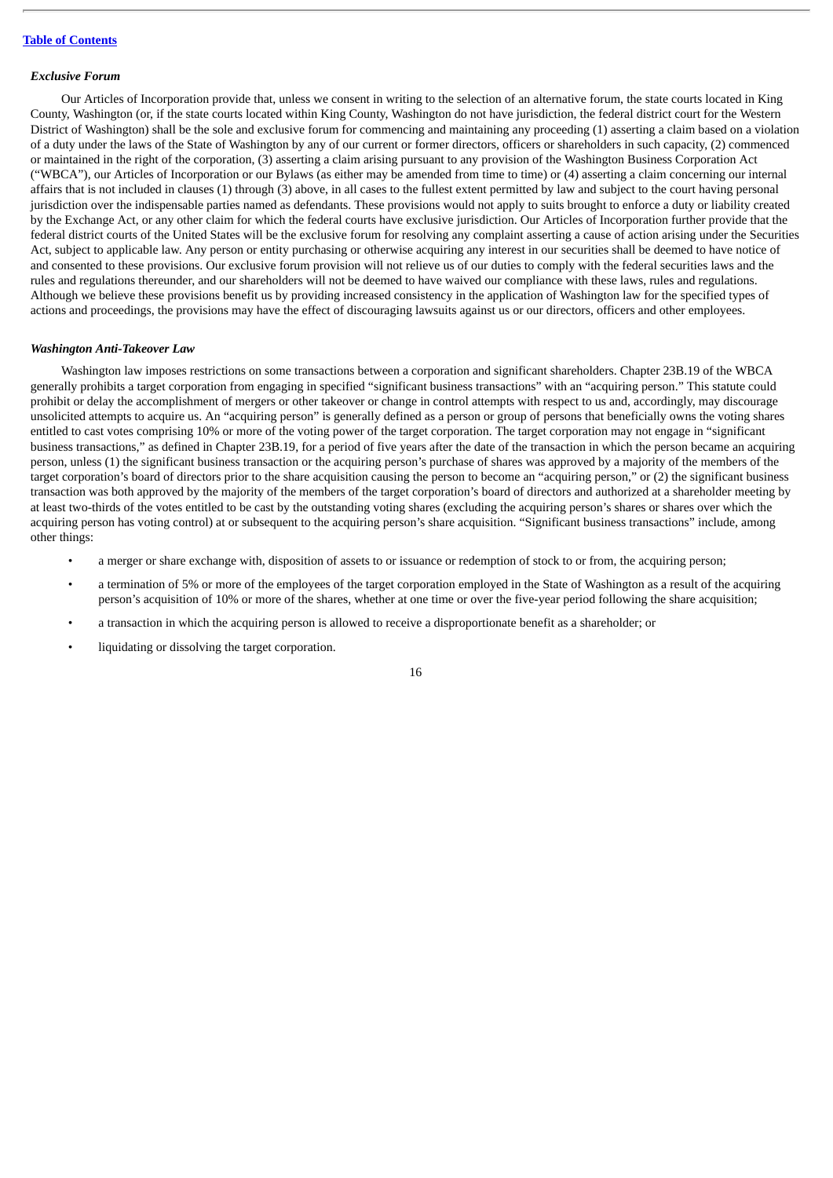#### *Exclusive Forum*

Our Articles of Incorporation provide that, unless we consent in writing to the selection of an alternative forum, the state courts located in King County, Washington (or, if the state courts located within King County, Washington do not have jurisdiction, the federal district court for the Western District of Washington) shall be the sole and exclusive forum for commencing and maintaining any proceeding (1) asserting a claim based on a violation of a duty under the laws of the State of Washington by any of our current or former directors, officers or shareholders in such capacity, (2) commenced or maintained in the right of the corporation, (3) asserting a claim arising pursuant to any provision of the Washington Business Corporation Act ("WBCA"), our Articles of Incorporation or our Bylaws (as either may be amended from time to time) or (4) asserting a claim concerning our internal affairs that is not included in clauses (1) through (3) above, in all cases to the fullest extent permitted by law and subject to the court having personal jurisdiction over the indispensable parties named as defendants. These provisions would not apply to suits brought to enforce a duty or liability created by the Exchange Act, or any other claim for which the federal courts have exclusive jurisdiction. Our Articles of Incorporation further provide that the federal district courts of the United States will be the exclusive forum for resolving any complaint asserting a cause of action arising under the Securities Act, subject to applicable law. Any person or entity purchasing or otherwise acquiring any interest in our securities shall be deemed to have notice of and consented to these provisions. Our exclusive forum provision will not relieve us of our duties to comply with the federal securities laws and the rules and regulations thereunder, and our shareholders will not be deemed to have waived our compliance with these laws, rules and regulations. Although we believe these provisions benefit us by providing increased consistency in the application of Washington law for the specified types of actions and proceedings, the provisions may have the effect of discouraging lawsuits against us or our directors, officers and other employees.

#### *Washington Anti-Takeover Law*

Washington law imposes restrictions on some transactions between a corporation and significant shareholders. Chapter 23B.19 of the WBCA generally prohibits a target corporation from engaging in specified "significant business transactions" with an "acquiring person." This statute could prohibit or delay the accomplishment of mergers or other takeover or change in control attempts with respect to us and, accordingly, may discourage unsolicited attempts to acquire us. An "acquiring person" is generally defined as a person or group of persons that beneficially owns the voting shares entitled to cast votes comprising 10% or more of the voting power of the target corporation. The target corporation may not engage in "significant business transactions," as defined in Chapter 23B.19, for a period of five years after the date of the transaction in which the person became an acquiring person, unless (1) the significant business transaction or the acquiring person's purchase of shares was approved by a majority of the members of the target corporation's board of directors prior to the share acquisition causing the person to become an "acquiring person," or (2) the significant business transaction was both approved by the majority of the members of the target corporation's board of directors and authorized at a shareholder meeting by at least two-thirds of the votes entitled to be cast by the outstanding voting shares (excluding the acquiring person's shares or shares over which the acquiring person has voting control) at or subsequent to the acquiring person's share acquisition. "Significant business transactions" include, among other things:

- a merger or share exchange with, disposition of assets to or issuance or redemption of stock to or from, the acquiring person;
- a termination of 5% or more of the employees of the target corporation employed in the State of Washington as a result of the acquiring person's acquisition of 10% or more of the shares, whether at one time or over the five-year period following the share acquisition;
- a transaction in which the acquiring person is allowed to receive a disproportionate benefit as a shareholder; or
- liquidating or dissolving the target corporation.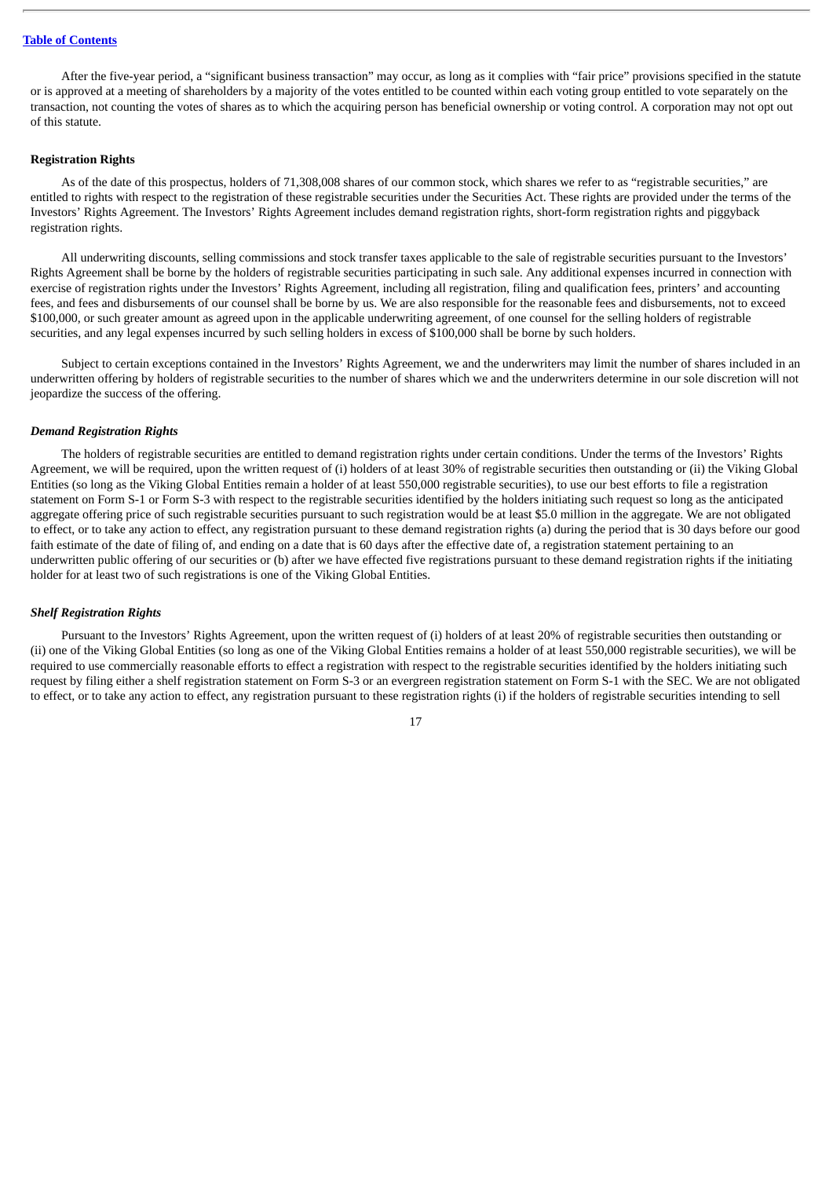After the five-year period, a "significant business transaction" may occur, as long as it complies with "fair price" provisions specified in the statute or is approved at a meeting of shareholders by a majority of the votes entitled to be counted within each voting group entitled to vote separately on the transaction, not counting the votes of shares as to which the acquiring person has beneficial ownership or voting control. A corporation may not opt out of this statute.

### **Registration Rights**

As of the date of this prospectus, holders of 71,308,008 shares of our common stock, which shares we refer to as "registrable securities," are entitled to rights with respect to the registration of these registrable securities under the Securities Act. These rights are provided under the terms of the Investors' Rights Agreement. The Investors' Rights Agreement includes demand registration rights, short-form registration rights and piggyback registration rights.

All underwriting discounts, selling commissions and stock transfer taxes applicable to the sale of registrable securities pursuant to the Investors' Rights Agreement shall be borne by the holders of registrable securities participating in such sale. Any additional expenses incurred in connection with exercise of registration rights under the Investors' Rights Agreement, including all registration, filing and qualification fees, printers' and accounting fees, and fees and disbursements of our counsel shall be borne by us. We are also responsible for the reasonable fees and disbursements, not to exceed \$100,000, or such greater amount as agreed upon in the applicable underwriting agreement, of one counsel for the selling holders of registrable securities, and any legal expenses incurred by such selling holders in excess of \$100,000 shall be borne by such holders.

Subject to certain exceptions contained in the Investors' Rights Agreement, we and the underwriters may limit the number of shares included in an underwritten offering by holders of registrable securities to the number of shares which we and the underwriters determine in our sole discretion will not jeopardize the success of the offering.

#### *Demand Registration Rights*

The holders of registrable securities are entitled to demand registration rights under certain conditions. Under the terms of the Investors' Rights Agreement, we will be required, upon the written request of (i) holders of at least 30% of registrable securities then outstanding or (ii) the Viking Global Entities (so long as the Viking Global Entities remain a holder of at least 550,000 registrable securities), to use our best efforts to file a registration statement on Form S-1 or Form S-3 with respect to the registrable securities identified by the holders initiating such request so long as the anticipated aggregate offering price of such registrable securities pursuant to such registration would be at least \$5.0 million in the aggregate. We are not obligated to effect, or to take any action to effect, any registration pursuant to these demand registration rights (a) during the period that is 30 days before our good faith estimate of the date of filing of, and ending on a date that is 60 days after the effective date of, a registration statement pertaining to an underwritten public offering of our securities or (b) after we have effected five registrations pursuant to these demand registration rights if the initiating holder for at least two of such registrations is one of the Viking Global Entities.

#### *Shelf Registration Rights*

Pursuant to the Investors' Rights Agreement, upon the written request of (i) holders of at least 20% of registrable securities then outstanding or (ii) one of the Viking Global Entities (so long as one of the Viking Global Entities remains a holder of at least 550,000 registrable securities), we will be required to use commercially reasonable efforts to effect a registration with respect to the registrable securities identified by the holders initiating such request by filing either a shelf registration statement on Form S-3 or an evergreen registration statement on Form S-1 with the SEC. We are not obligated to effect, or to take any action to effect, any registration pursuant to these registration rights (i) if the holders of registrable securities intending to sell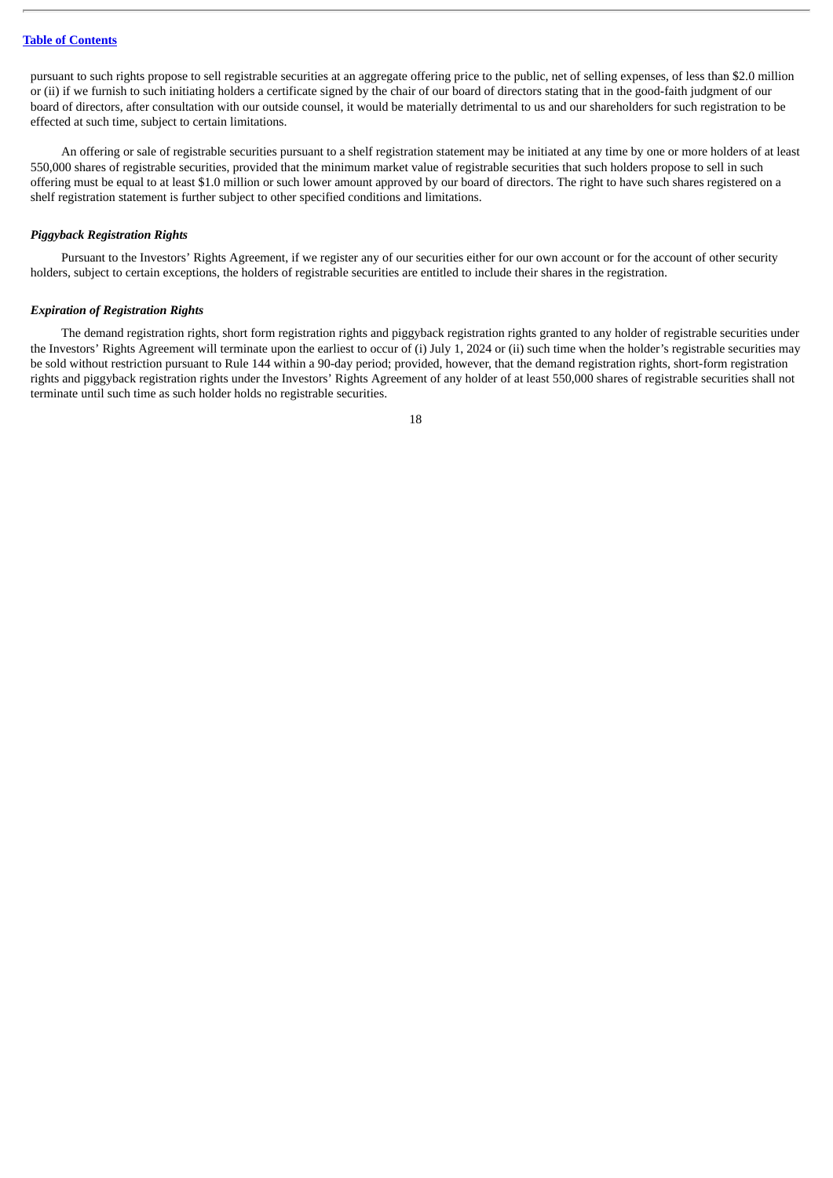pursuant to such rights propose to sell registrable securities at an aggregate offering price to the public, net of selling expenses, of less than \$2.0 million or (ii) if we furnish to such initiating holders a certificate signed by the chair of our board of directors stating that in the good-faith judgment of our board of directors, after consultation with our outside counsel, it would be materially detrimental to us and our shareholders for such registration to be effected at such time, subject to certain limitations.

An offering or sale of registrable securities pursuant to a shelf registration statement may be initiated at any time by one or more holders of at least 550,000 shares of registrable securities, provided that the minimum market value of registrable securities that such holders propose to sell in such offering must be equal to at least \$1.0 million or such lower amount approved by our board of directors. The right to have such shares registered on a shelf registration statement is further subject to other specified conditions and limitations.

### *Piggyback Registration Rights*

Pursuant to the Investors' Rights Agreement, if we register any of our securities either for our own account or for the account of other security holders, subject to certain exceptions, the holders of registrable securities are entitled to include their shares in the registration.

### *Expiration of Registration Rights*

The demand registration rights, short form registration rights and piggyback registration rights granted to any holder of registrable securities under the Investors' Rights Agreement will terminate upon the earliest to occur of (i) July 1, 2024 or (ii) such time when the holder's registrable securities may be sold without restriction pursuant to Rule 144 within a 90-day period; provided, however, that the demand registration rights, short-form registration rights and piggyback registration rights under the Investors' Rights Agreement of any holder of at least 550,000 shares of registrable securities shall not terminate until such time as such holder holds no registrable securities.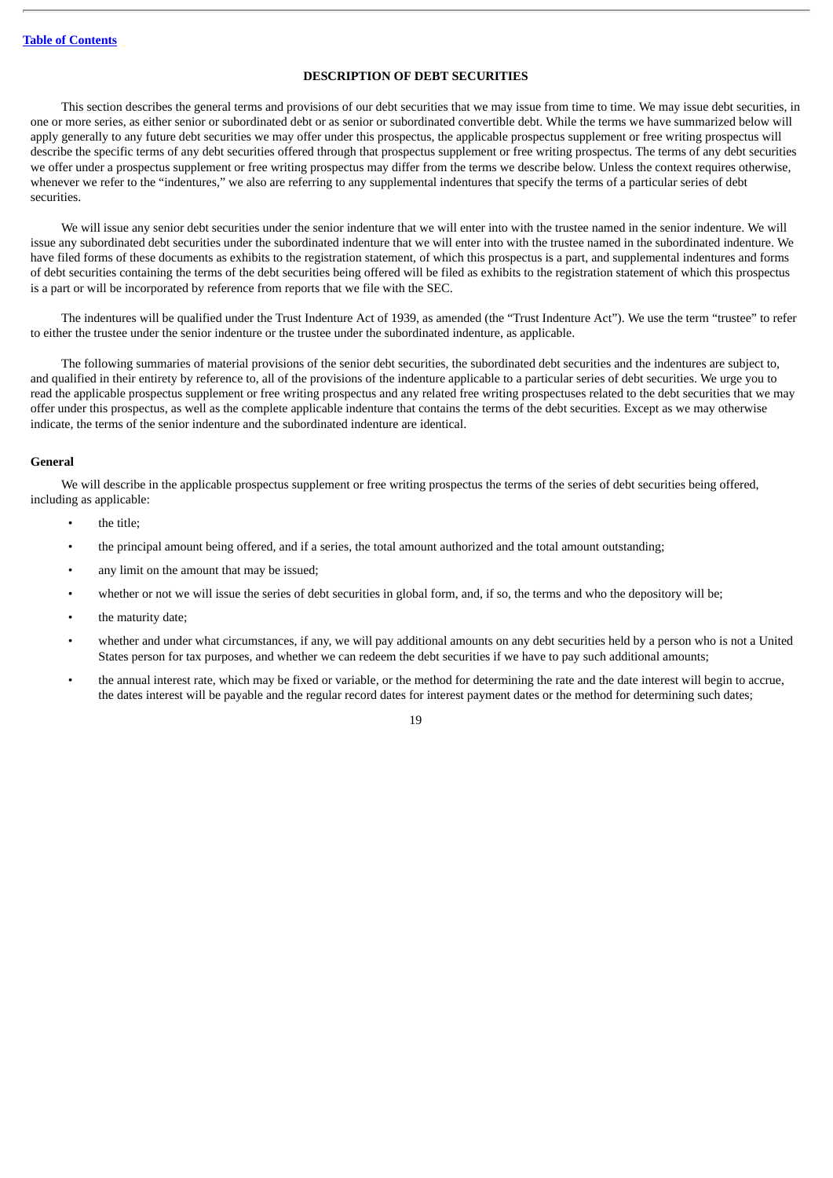### **DESCRIPTION OF DEBT SECURITIES**

<span id="page-37-0"></span>This section describes the general terms and provisions of our debt securities that we may issue from time to time. We may issue debt securities, in one or more series, as either senior or subordinated debt or as senior or subordinated convertible debt. While the terms we have summarized below will apply generally to any future debt securities we may offer under this prospectus, the applicable prospectus supplement or free writing prospectus will describe the specific terms of any debt securities offered through that prospectus supplement or free writing prospectus. The terms of any debt securities we offer under a prospectus supplement or free writing prospectus may differ from the terms we describe below. Unless the context requires otherwise, whenever we refer to the "indentures," we also are referring to any supplemental indentures that specify the terms of a particular series of debt securities.

We will issue any senior debt securities under the senior indenture that we will enter into with the trustee named in the senior indenture. We will issue any subordinated debt securities under the subordinated indenture that we will enter into with the trustee named in the subordinated indenture. We have filed forms of these documents as exhibits to the registration statement, of which this prospectus is a part, and supplemental indentures and forms of debt securities containing the terms of the debt securities being offered will be filed as exhibits to the registration statement of which this prospectus is a part or will be incorporated by reference from reports that we file with the SEC.

The indentures will be qualified under the Trust Indenture Act of 1939, as amended (the "Trust Indenture Act"). We use the term "trustee" to refer to either the trustee under the senior indenture or the trustee under the subordinated indenture, as applicable.

The following summaries of material provisions of the senior debt securities, the subordinated debt securities and the indentures are subject to, and qualified in their entirety by reference to, all of the provisions of the indenture applicable to a particular series of debt securities. We urge you to read the applicable prospectus supplement or free writing prospectus and any related free writing prospectuses related to the debt securities that we may offer under this prospectus, as well as the complete applicable indenture that contains the terms of the debt securities. Except as we may otherwise indicate, the terms of the senior indenture and the subordinated indenture are identical.

#### **General**

We will describe in the applicable prospectus supplement or free writing prospectus the terms of the series of debt securities being offered, including as applicable:

- the title;
- the principal amount being offered, and if a series, the total amount authorized and the total amount outstanding;
- any limit on the amount that may be issued;
- whether or not we will issue the series of debt securities in global form, and, if so, the terms and who the depository will be;
- the maturity date;
- whether and under what circumstances, if any, we will pay additional amounts on any debt securities held by a person who is not a United States person for tax purposes, and whether we can redeem the debt securities if we have to pay such additional amounts;
- the annual interest rate, which may be fixed or variable, or the method for determining the rate and the date interest will begin to accrue, the dates interest will be payable and the regular record dates for interest payment dates or the method for determining such dates;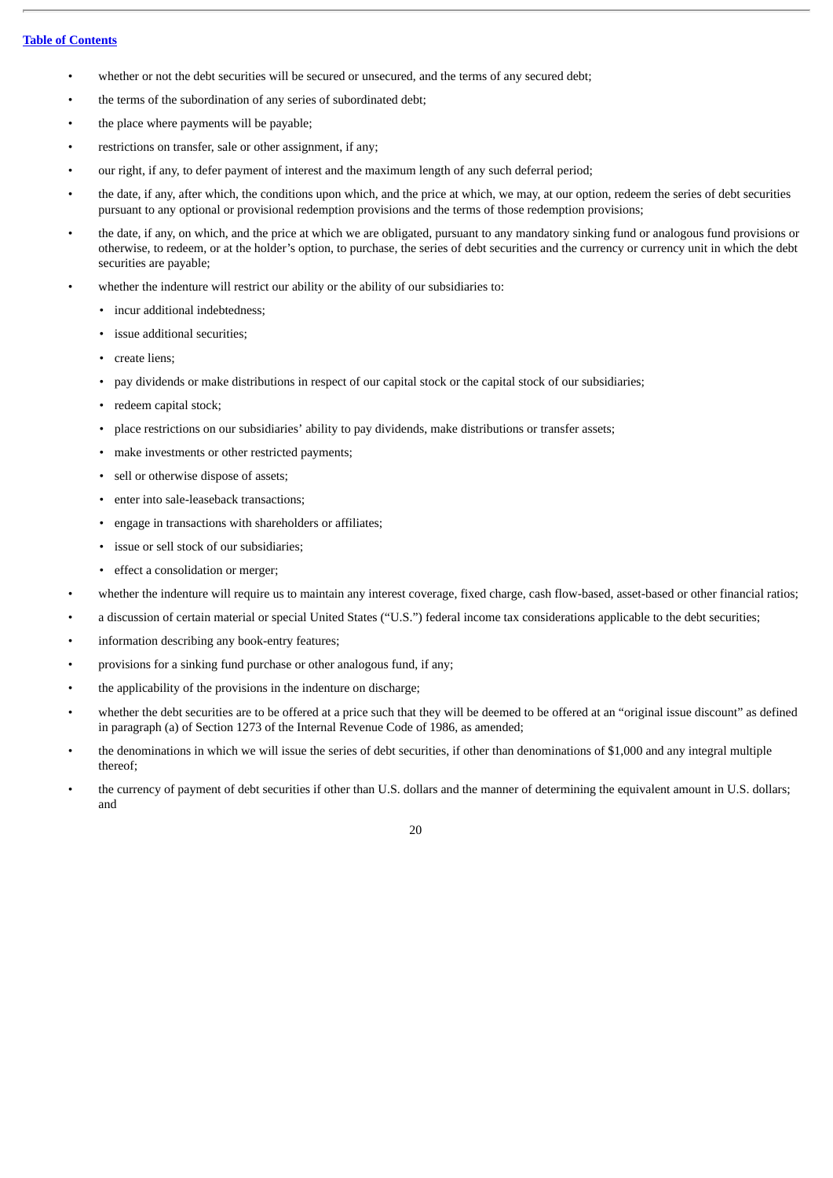### **Table of [Contents](#page-18-0)**

- whether or not the debt securities will be secured or unsecured, and the terms of any secured debt;
- the terms of the subordination of any series of subordinated debt;
- the place where payments will be payable;
- restrictions on transfer, sale or other assignment, if any;
- our right, if any, to defer payment of interest and the maximum length of any such deferral period;
- the date, if any, after which, the conditions upon which, and the price at which, we may, at our option, redeem the series of debt securities pursuant to any optional or provisional redemption provisions and the terms of those redemption provisions;
- the date, if any, on which, and the price at which we are obligated, pursuant to any mandatory sinking fund or analogous fund provisions or otherwise, to redeem, or at the holder's option, to purchase, the series of debt securities and the currency or currency unit in which the debt securities are payable;
- whether the indenture will restrict our ability or the ability of our subsidiaries to:
	- incur additional indebtedness;
	- issue additional securities;
	- create liens;
	- pay dividends or make distributions in respect of our capital stock or the capital stock of our subsidiaries;
	- redeem capital stock;
	- place restrictions on our subsidiaries' ability to pay dividends, make distributions or transfer assets;
	- make investments or other restricted payments;
	- sell or otherwise dispose of assets;
	- enter into sale-leaseback transactions;
	- engage in transactions with shareholders or affiliates;
	- issue or sell stock of our subsidiaries;
	- effect a consolidation or merger;
- whether the indenture will require us to maintain any interest coverage, fixed charge, cash flow-based, asset-based or other financial ratios;
- a discussion of certain material or special United States ("U.S.") federal income tax considerations applicable to the debt securities;
- information describing any book-entry features;
- provisions for a sinking fund purchase or other analogous fund, if any;
- the applicability of the provisions in the indenture on discharge;
- whether the debt securities are to be offered at a price such that they will be deemed to be offered at an "original issue discount" as defined in paragraph (a) of Section 1273 of the Internal Revenue Code of 1986, as amended;
- the denominations in which we will issue the series of debt securities, if other than denominations of \$1,000 and any integral multiple thereof;
- the currency of payment of debt securities if other than U.S. dollars and the manner of determining the equivalent amount in U.S. dollars; and

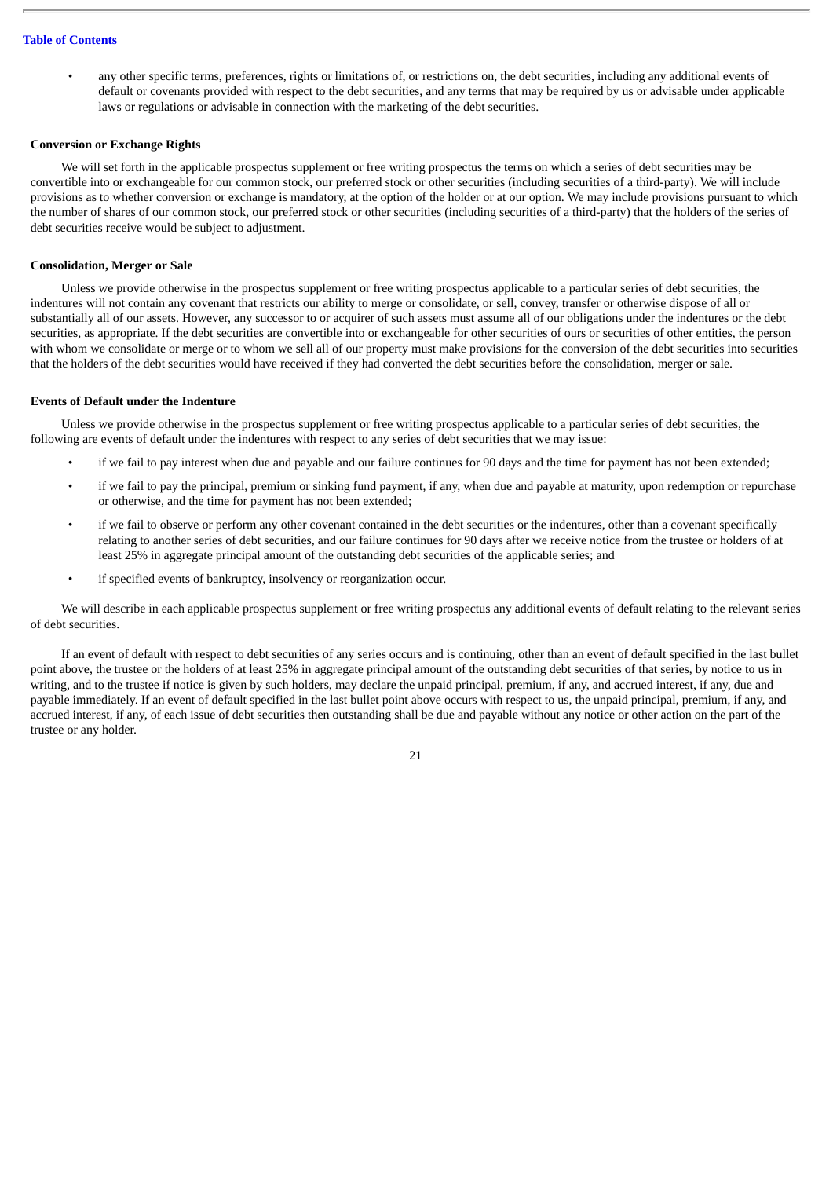• any other specific terms, preferences, rights or limitations of, or restrictions on, the debt securities, including any additional events of default or covenants provided with respect to the debt securities, and any terms that may be required by us or advisable under applicable laws or regulations or advisable in connection with the marketing of the debt securities.

### **Conversion or Exchange Rights**

We will set forth in the applicable prospectus supplement or free writing prospectus the terms on which a series of debt securities may be convertible into or exchangeable for our common stock, our preferred stock or other securities (including securities of a third-party). We will include provisions as to whether conversion or exchange is mandatory, at the option of the holder or at our option. We may include provisions pursuant to which the number of shares of our common stock, our preferred stock or other securities (including securities of a third-party) that the holders of the series of debt securities receive would be subject to adjustment.

### **Consolidation, Merger or Sale**

Unless we provide otherwise in the prospectus supplement or free writing prospectus applicable to a particular series of debt securities, the indentures will not contain any covenant that restricts our ability to merge or consolidate, or sell, convey, transfer or otherwise dispose of all or substantially all of our assets. However, any successor to or acquirer of such assets must assume all of our obligations under the indentures or the debt securities, as appropriate. If the debt securities are convertible into or exchangeable for other securities of ours or securities of other entities, the person with whom we consolidate or merge or to whom we sell all of our property must make provisions for the conversion of the debt securities into securities that the holders of the debt securities would have received if they had converted the debt securities before the consolidation, merger or sale.

### **Events of Default under the Indenture**

Unless we provide otherwise in the prospectus supplement or free writing prospectus applicable to a particular series of debt securities, the following are events of default under the indentures with respect to any series of debt securities that we may issue:

- if we fail to pay interest when due and payable and our failure continues for 90 days and the time for payment has not been extended;
- if we fail to pay the principal, premium or sinking fund payment, if any, when due and payable at maturity, upon redemption or repurchase or otherwise, and the time for payment has not been extended;
- if we fail to observe or perform any other covenant contained in the debt securities or the indentures, other than a covenant specifically relating to another series of debt securities, and our failure continues for 90 days after we receive notice from the trustee or holders of at least 25% in aggregate principal amount of the outstanding debt securities of the applicable series; and
- if specified events of bankruptcy, insolvency or reorganization occur.

We will describe in each applicable prospectus supplement or free writing prospectus any additional events of default relating to the relevant series of debt securities.

If an event of default with respect to debt securities of any series occurs and is continuing, other than an event of default specified in the last bullet point above, the trustee or the holders of at least 25% in aggregate principal amount of the outstanding debt securities of that series, by notice to us in writing, and to the trustee if notice is given by such holders, may declare the unpaid principal, premium, if any, and accrued interest, if any, due and payable immediately. If an event of default specified in the last bullet point above occurs with respect to us, the unpaid principal, premium, if any, and accrued interest, if any, of each issue of debt securities then outstanding shall be due and payable without any notice or other action on the part of the trustee or any holder.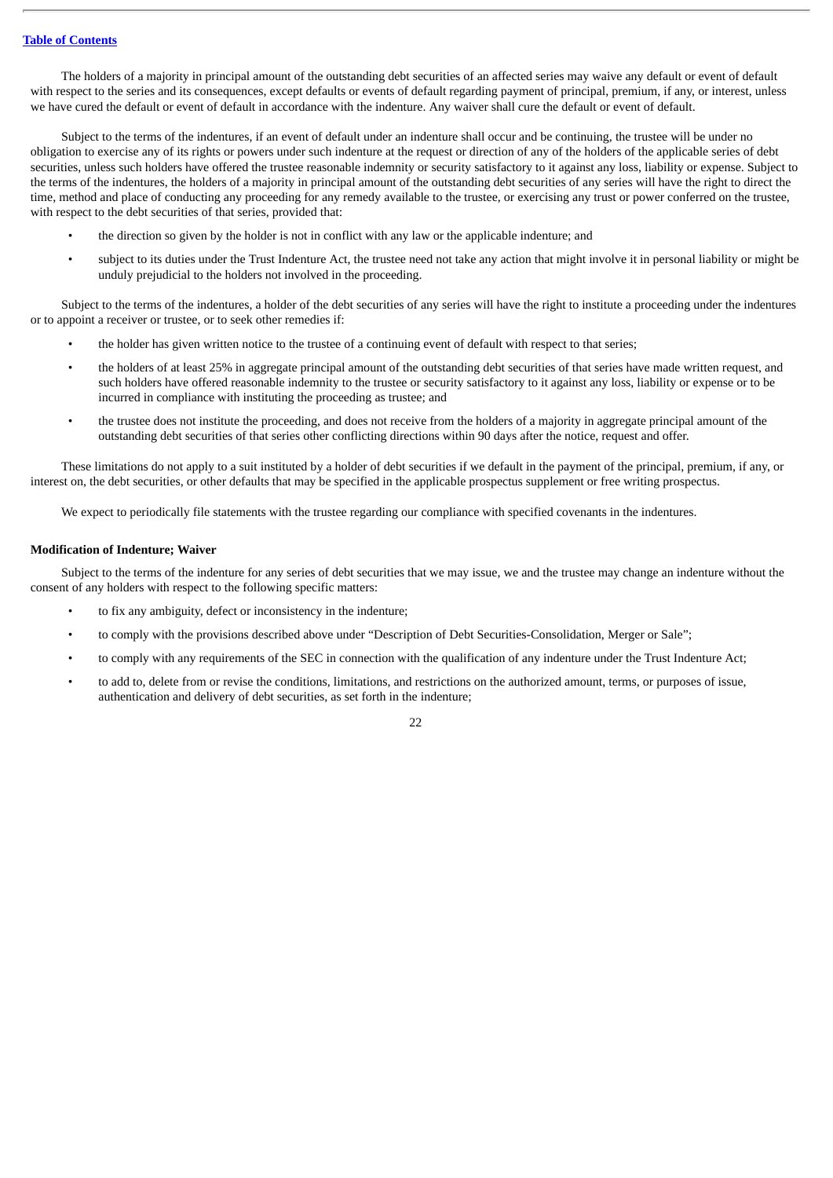The holders of a majority in principal amount of the outstanding debt securities of an affected series may waive any default or event of default with respect to the series and its consequences, except defaults or events of default regarding payment of principal, premium, if any, or interest, unless we have cured the default or event of default in accordance with the indenture. Any waiver shall cure the default or event of default.

Subject to the terms of the indentures, if an event of default under an indenture shall occur and be continuing, the trustee will be under no obligation to exercise any of its rights or powers under such indenture at the request or direction of any of the holders of the applicable series of debt securities, unless such holders have offered the trustee reasonable indemnity or security satisfactory to it against any loss, liability or expense. Subject to the terms of the indentures, the holders of a majority in principal amount of the outstanding debt securities of any series will have the right to direct the time, method and place of conducting any proceeding for any remedy available to the trustee, or exercising any trust or power conferred on the trustee, with respect to the debt securities of that series, provided that:

- the direction so given by the holder is not in conflict with any law or the applicable indenture; and
- subject to its duties under the Trust Indenture Act, the trustee need not take any action that might involve it in personal liability or might be unduly prejudicial to the holders not involved in the proceeding.

Subject to the terms of the indentures, a holder of the debt securities of any series will have the right to institute a proceeding under the indentures or to appoint a receiver or trustee, or to seek other remedies if:

- the holder has given written notice to the trustee of a continuing event of default with respect to that series;
- the holders of at least 25% in aggregate principal amount of the outstanding debt securities of that series have made written request, and such holders have offered reasonable indemnity to the trustee or security satisfactory to it against any loss, liability or expense or to be incurred in compliance with instituting the proceeding as trustee; and
- the trustee does not institute the proceeding, and does not receive from the holders of a majority in aggregate principal amount of the outstanding debt securities of that series other conflicting directions within 90 days after the notice, request and offer.

These limitations do not apply to a suit instituted by a holder of debt securities if we default in the payment of the principal, premium, if any, or interest on, the debt securities, or other defaults that may be specified in the applicable prospectus supplement or free writing prospectus.

We expect to periodically file statements with the trustee regarding our compliance with specified covenants in the indentures.

### **Modification of Indenture; Waiver**

Subject to the terms of the indenture for any series of debt securities that we may issue, we and the trustee may change an indenture without the consent of any holders with respect to the following specific matters:

- to fix any ambiguity, defect or inconsistency in the indenture;
- to comply with the provisions described above under "Description of Debt Securities-Consolidation, Merger or Sale";
- to comply with any requirements of the SEC in connection with the qualification of any indenture under the Trust Indenture Act;
- to add to, delete from or revise the conditions, limitations, and restrictions on the authorized amount, terms, or purposes of issue, authentication and delivery of debt securities, as set forth in the indenture;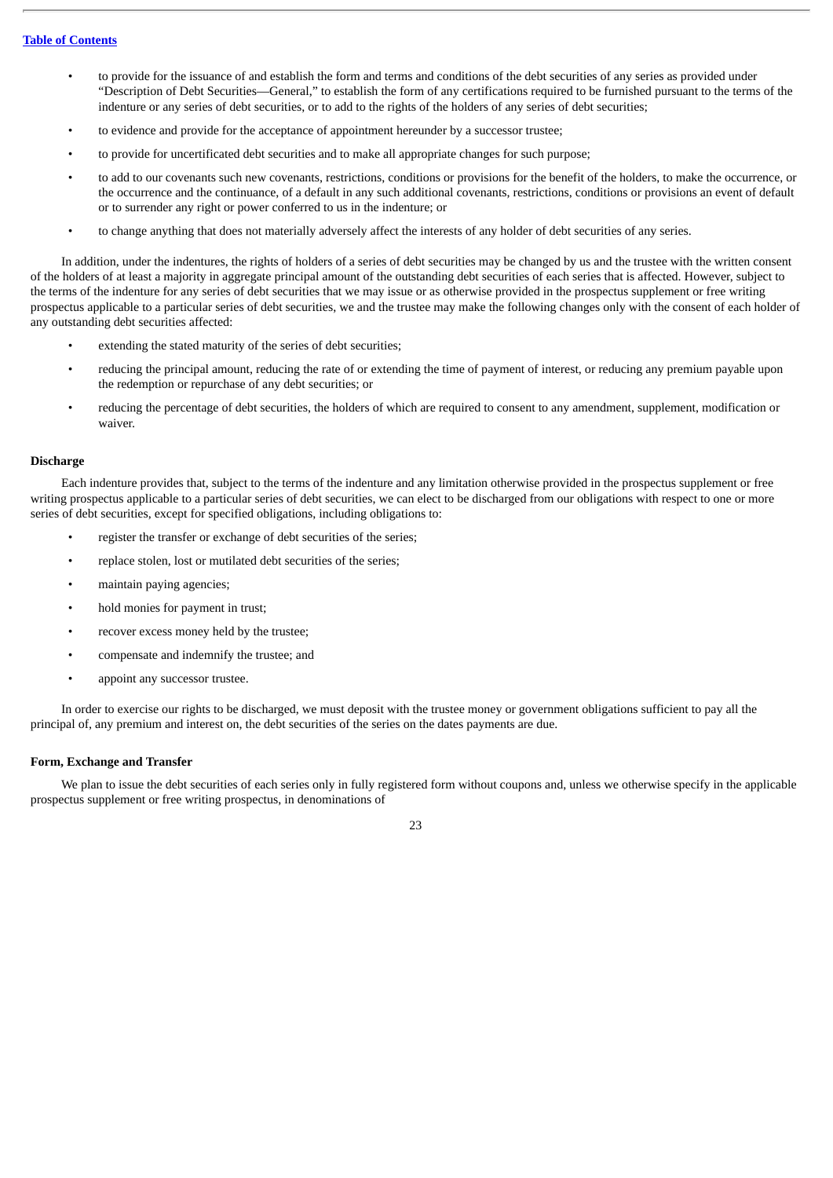- to provide for the issuance of and establish the form and terms and conditions of the debt securities of any series as provided under "Description of Debt Securities—General," to establish the form of any certifications required to be furnished pursuant to the terms of the indenture or any series of debt securities, or to add to the rights of the holders of any series of debt securities;
- to evidence and provide for the acceptance of appointment hereunder by a successor trustee;
- to provide for uncertificated debt securities and to make all appropriate changes for such purpose;
- to add to our covenants such new covenants, restrictions, conditions or provisions for the benefit of the holders, to make the occurrence, or the occurrence and the continuance, of a default in any such additional covenants, restrictions, conditions or provisions an event of default or to surrender any right or power conferred to us in the indenture; or
- to change anything that does not materially adversely affect the interests of any holder of debt securities of any series.

In addition, under the indentures, the rights of holders of a series of debt securities may be changed by us and the trustee with the written consent of the holders of at least a majority in aggregate principal amount of the outstanding debt securities of each series that is affected. However, subject to the terms of the indenture for any series of debt securities that we may issue or as otherwise provided in the prospectus supplement or free writing prospectus applicable to a particular series of debt securities, we and the trustee may make the following changes only with the consent of each holder of any outstanding debt securities affected:

- extending the stated maturity of the series of debt securities;
- reducing the principal amount, reducing the rate of or extending the time of payment of interest, or reducing any premium payable upon the redemption or repurchase of any debt securities; or
- reducing the percentage of debt securities, the holders of which are required to consent to any amendment, supplement, modification or waiver.

### **Discharge**

Each indenture provides that, subject to the terms of the indenture and any limitation otherwise provided in the prospectus supplement or free writing prospectus applicable to a particular series of debt securities, we can elect to be discharged from our obligations with respect to one or more series of debt securities, except for specified obligations, including obligations to:

- register the transfer or exchange of debt securities of the series;
- replace stolen, lost or mutilated debt securities of the series;
- maintain paying agencies;
- hold monies for payment in trust;
- recover excess money held by the trustee;
- compensate and indemnify the trustee; and
- appoint any successor trustee.

In order to exercise our rights to be discharged, we must deposit with the trustee money or government obligations sufficient to pay all the principal of, any premium and interest on, the debt securities of the series on the dates payments are due.

### **Form, Exchange and Transfer**

We plan to issue the debt securities of each series only in fully registered form without coupons and, unless we otherwise specify in the applicable prospectus supplement or free writing prospectus, in denominations of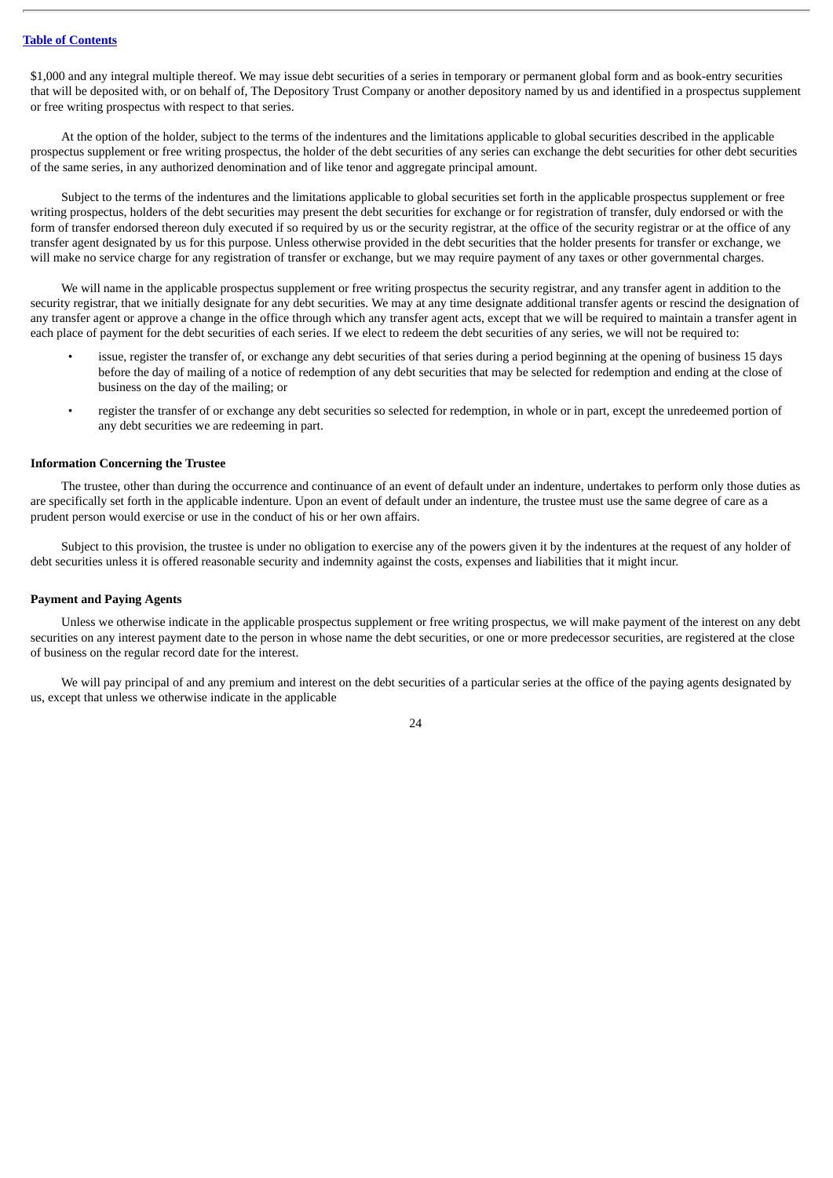\$1,000 and any integral multiple thereof. We may issue debt securities of a series in temporary or permanent global form and as book-entry securities that will be deposited with, or on behalf of, The Depository Trust Company or another depository named by us and identified in a prospectus supplement or free writing prospectus with respect to that series.

At the option of the holder, subject to the terms of the indentures and the limitations applicable to global securities described in the applicable prospectus supplement or free writing prospectus, the holder of the debt securities of any series can exchange the debt securities for other debt securities of the same series, in any authorized denomination and of like tenor and aggregate principal amount.

Subject to the terms of the indentures and the limitations applicable to global securities set forth in the applicable prospectus supplement or free writing prospectus, holders of the debt securities may present the debt securities for exchange or for registration of transfer, duly endorsed or with the form of transfer endorsed thereon duly executed if so required by us or the security registrar, at the office of the security registrar or at the office of any transfer agent designated by us for this purpose. Unless otherwise provided in the debt securities that the holder presents for transfer or exchange, we will make no service charge for any registration of transfer or exchange, but we may require payment of any taxes or other governmental charges.

We will name in the applicable prospectus supplement or free writing prospectus the security registrar, and any transfer agent in addition to the security registrar, that we initially designate for any debt securities. We may at any time designate additional transfer agents or rescind the designation of any transfer agent or approve a change in the office through which any transfer agent acts, except that we will be required to maintain a transfer agent in each place of payment for the debt securities of each series. If we elect to redeem the debt securities of any series, we will not be required to:

- issue, register the transfer of, or exchange any debt securities of that series during a period beginning at the opening of business 15 days before the day of mailing of a notice of redemption of any debt securities that may be selected for redemption and ending at the close of business on the day of the mailing; or
- register the transfer of or exchange any debt securities so selected for redemption, in whole or in part, except the unredeemed portion of any debt securities we are redeeming in part.

#### **Information Concerning the Trustee**

The trustee, other than during the occurrence and continuance of an event of default under an indenture, undertakes to perform only those duties as are specifically set forth in the applicable indenture. Upon an event of default under an indenture, the trustee must use the same degree of care as a prudent person would exercise or use in the conduct of his or her own affairs.

Subject to this provision, the trustee is under no obligation to exercise any of the powers given it by the indentures at the request of any holder of debt securities unless it is offered reasonable security and indemnity against the costs, expenses and liabilities that it might incur.

#### **Payment and Paying Agents**

Unless we otherwise indicate in the applicable prospectus supplement or free writing prospectus, we will make payment of the interest on any debt securities on any interest payment date to the person in whose name the debt securities, or one or more predecessor securities, are registered at the close of business on the regular record date for the interest.

We will pay principal of and any premium and interest on the debt securities of a particular series at the office of the paying agents designated by us, except that unless we otherwise indicate in the applicable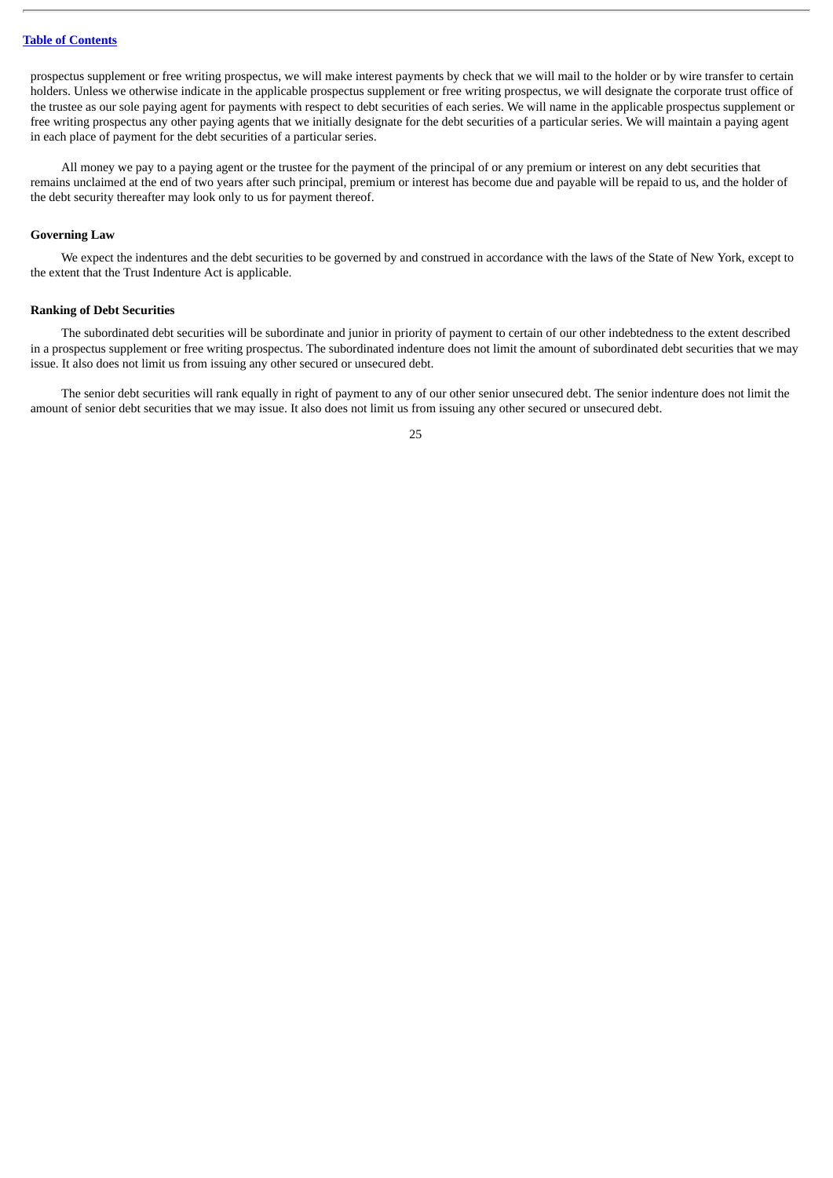### **Table of [Contents](#page-18-0)**

prospectus supplement or free writing prospectus, we will make interest payments by check that we will mail to the holder or by wire transfer to certain holders. Unless we otherwise indicate in the applicable prospectus supplement or free writing prospectus, we will designate the corporate trust office of the trustee as our sole paying agent for payments with respect to debt securities of each series. We will name in the applicable prospectus supplement or free writing prospectus any other paying agents that we initially designate for the debt securities of a particular series. We will maintain a paying agent in each place of payment for the debt securities of a particular series.

All money we pay to a paying agent or the trustee for the payment of the principal of or any premium or interest on any debt securities that remains unclaimed at the end of two years after such principal, premium or interest has become due and payable will be repaid to us, and the holder of the debt security thereafter may look only to us for payment thereof.

#### **Governing Law**

We expect the indentures and the debt securities to be governed by and construed in accordance with the laws of the State of New York, except to the extent that the Trust Indenture Act is applicable.

#### **Ranking of Debt Securities**

The subordinated debt securities will be subordinate and junior in priority of payment to certain of our other indebtedness to the extent described in a prospectus supplement or free writing prospectus. The subordinated indenture does not limit the amount of subordinated debt securities that we may issue. It also does not limit us from issuing any other secured or unsecured debt.

The senior debt securities will rank equally in right of payment to any of our other senior unsecured debt. The senior indenture does not limit the amount of senior debt securities that we may issue. It also does not limit us from issuing any other secured or unsecured debt.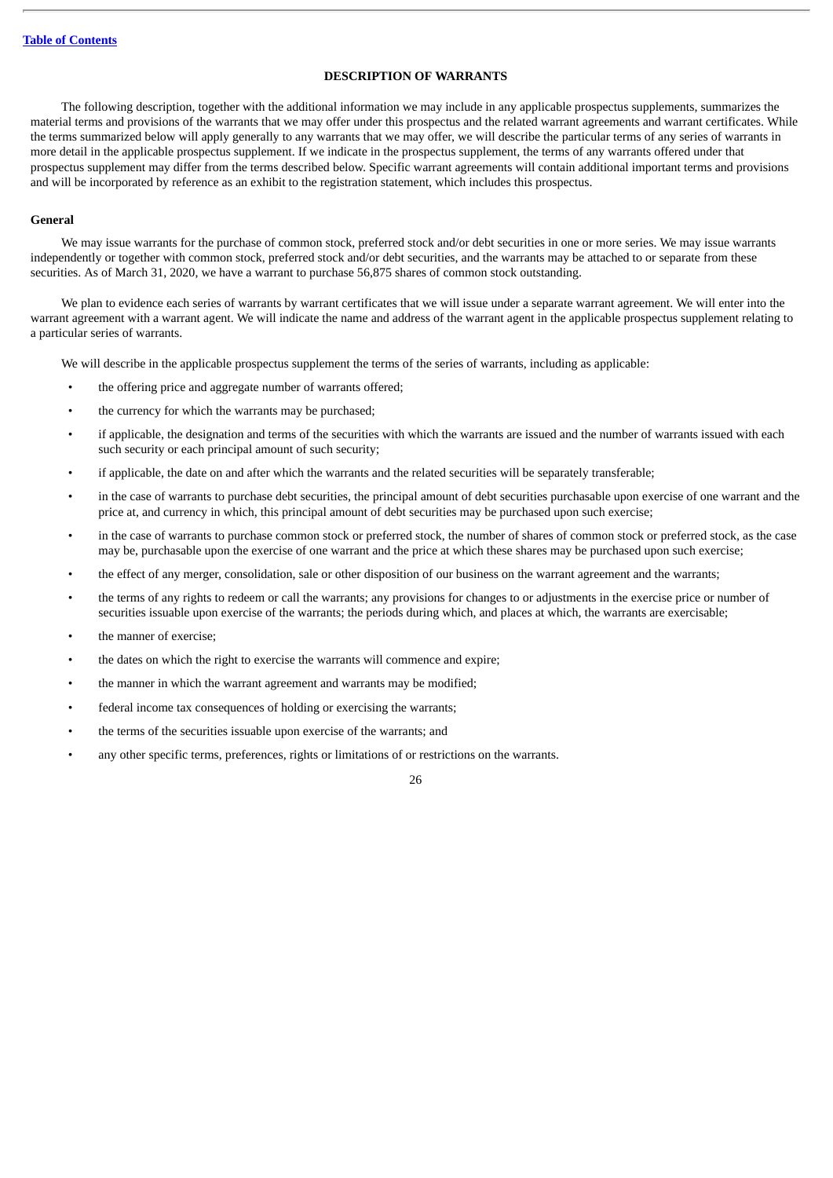### **DESCRIPTION OF WARRANTS**

<span id="page-44-0"></span>The following description, together with the additional information we may include in any applicable prospectus supplements, summarizes the material terms and provisions of the warrants that we may offer under this prospectus and the related warrant agreements and warrant certificates. While the terms summarized below will apply generally to any warrants that we may offer, we will describe the particular terms of any series of warrants in more detail in the applicable prospectus supplement. If we indicate in the prospectus supplement, the terms of any warrants offered under that prospectus supplement may differ from the terms described below. Specific warrant agreements will contain additional important terms and provisions and will be incorporated by reference as an exhibit to the registration statement, which includes this prospectus.

### **General**

We may issue warrants for the purchase of common stock, preferred stock and/or debt securities in one or more series. We may issue warrants independently or together with common stock, preferred stock and/or debt securities, and the warrants may be attached to or separate from these securities. As of March 31, 2020, we have a warrant to purchase 56,875 shares of common stock outstanding.

We plan to evidence each series of warrants by warrant certificates that we will issue under a separate warrant agreement. We will enter into the warrant agreement with a warrant agent. We will indicate the name and address of the warrant agent in the applicable prospectus supplement relating to a particular series of warrants.

We will describe in the applicable prospectus supplement the terms of the series of warrants, including as applicable:

- the offering price and aggregate number of warrants offered;
- the currency for which the warrants may be purchased;
- if applicable, the designation and terms of the securities with which the warrants are issued and the number of warrants issued with each such security or each principal amount of such security;
- if applicable, the date on and after which the warrants and the related securities will be separately transferable;
- in the case of warrants to purchase debt securities, the principal amount of debt securities purchasable upon exercise of one warrant and the price at, and currency in which, this principal amount of debt securities may be purchased upon such exercise;
- in the case of warrants to purchase common stock or preferred stock, the number of shares of common stock or preferred stock, as the case may be, purchasable upon the exercise of one warrant and the price at which these shares may be purchased upon such exercise;
- the effect of any merger, consolidation, sale or other disposition of our business on the warrant agreement and the warrants;
- the terms of any rights to redeem or call the warrants; any provisions for changes to or adjustments in the exercise price or number of securities issuable upon exercise of the warrants; the periods during which, and places at which, the warrants are exercisable;
- the manner of exercise;
- the dates on which the right to exercise the warrants will commence and expire;
- the manner in which the warrant agreement and warrants may be modified;
- federal income tax consequences of holding or exercising the warrants;
- the terms of the securities issuable upon exercise of the warrants; and
- any other specific terms, preferences, rights or limitations of or restrictions on the warrants.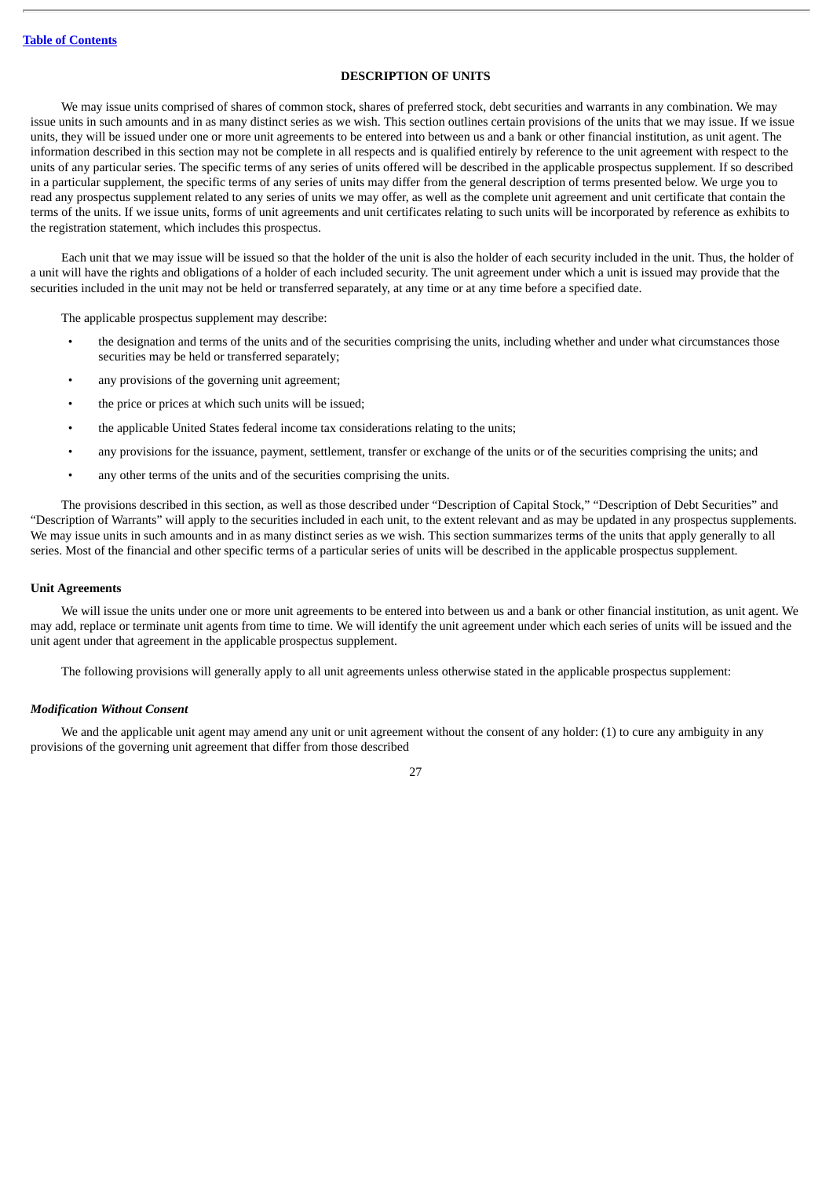### **DESCRIPTION OF UNITS**

<span id="page-45-0"></span>We may issue units comprised of shares of common stock, shares of preferred stock, debt securities and warrants in any combination. We may issue units in such amounts and in as many distinct series as we wish. This section outlines certain provisions of the units that we may issue. If we issue units, they will be issued under one or more unit agreements to be entered into between us and a bank or other financial institution, as unit agent. The information described in this section may not be complete in all respects and is qualified entirely by reference to the unit agreement with respect to the units of any particular series. The specific terms of any series of units offered will be described in the applicable prospectus supplement. If so described in a particular supplement, the specific terms of any series of units may differ from the general description of terms presented below. We urge you to read any prospectus supplement related to any series of units we may offer, as well as the complete unit agreement and unit certificate that contain the terms of the units. If we issue units, forms of unit agreements and unit certificates relating to such units will be incorporated by reference as exhibits to the registration statement, which includes this prospectus.

Each unit that we may issue will be issued so that the holder of the unit is also the holder of each security included in the unit. Thus, the holder of a unit will have the rights and obligations of a holder of each included security. The unit agreement under which a unit is issued may provide that the securities included in the unit may not be held or transferred separately, at any time or at any time before a specified date.

The applicable prospectus supplement may describe:

- the designation and terms of the units and of the securities comprising the units, including whether and under what circumstances those securities may be held or transferred separately;
- any provisions of the governing unit agreement;
- the price or prices at which such units will be issued;
- the applicable United States federal income tax considerations relating to the units;
- any provisions for the issuance, payment, settlement, transfer or exchange of the units or of the securities comprising the units; and
- any other terms of the units and of the securities comprising the units.

The provisions described in this section, as well as those described under "Description of Capital Stock," "Description of Debt Securities" and "Description of Warrants" will apply to the securities included in each unit, to the extent relevant and as may be updated in any prospectus supplements. We may issue units in such amounts and in as many distinct series as we wish. This section summarizes terms of the units that apply generally to all series. Most of the financial and other specific terms of a particular series of units will be described in the applicable prospectus supplement.

### **Unit Agreements**

We will issue the units under one or more unit agreements to be entered into between us and a bank or other financial institution, as unit agent. We may add, replace or terminate unit agents from time to time. We will identify the unit agreement under which each series of units will be issued and the unit agent under that agreement in the applicable prospectus supplement.

The following provisions will generally apply to all unit agreements unless otherwise stated in the applicable prospectus supplement:

### *Modification Without Consent*

We and the applicable unit agent may amend any unit or unit agreement without the consent of any holder: (1) to cure any ambiguity in any provisions of the governing unit agreement that differ from those described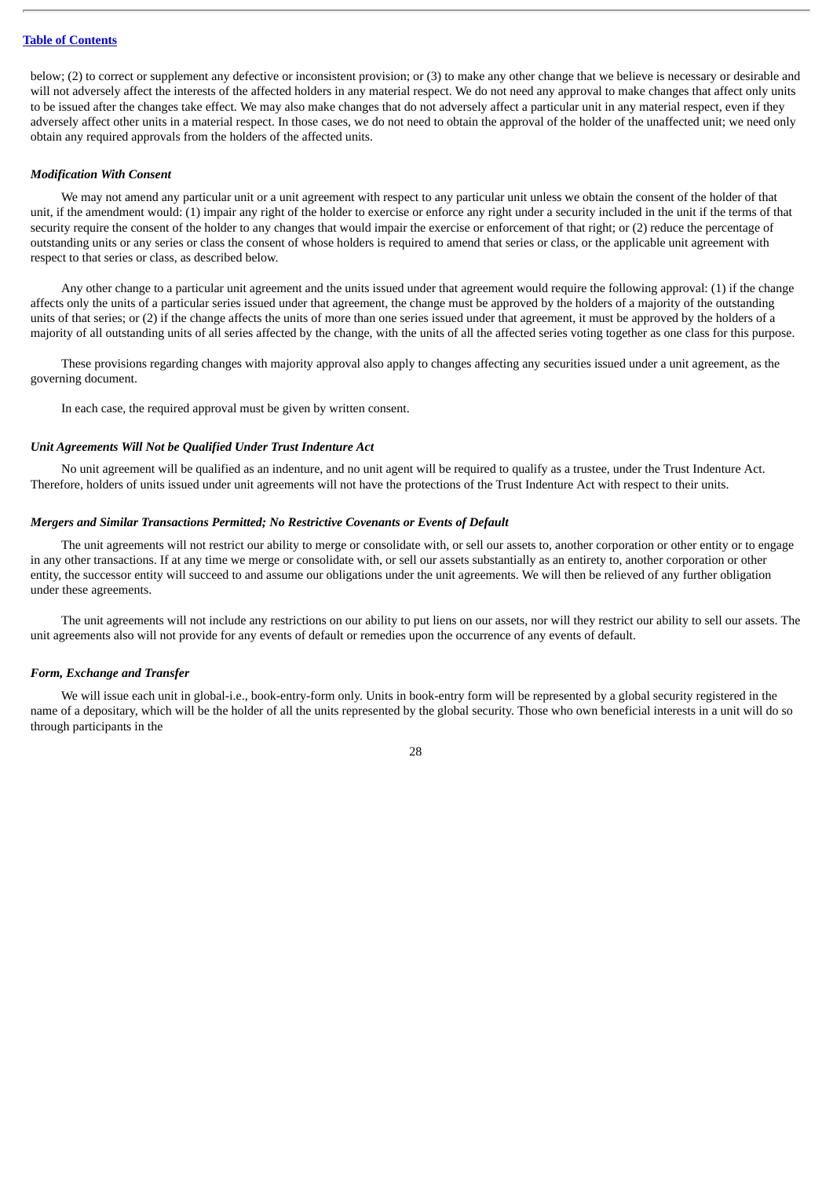#### **Table of [Contents](#page-18-0)**

below; (2) to correct or supplement any defective or inconsistent provision; or (3) to make any other change that we believe is necessary or desirable and will not adversely affect the interests of the affected holders in any material respect. We do not need any approval to make changes that affect only units to be issued after the changes take effect. We may also make changes that do not adversely affect a particular unit in any material respect, even if they adversely affect other units in a material respect. In those cases, we do not need to obtain the approval of the holder of the unaffected unit; we need only obtain any required approvals from the holders of the affected units.

### *Modification With Consent*

We may not amend any particular unit or a unit agreement with respect to any particular unit unless we obtain the consent of the holder of that unit, if the amendment would: (1) impair any right of the holder to exercise or enforce any right under a security included in the unit if the terms of that security require the consent of the holder to any changes that would impair the exercise or enforcement of that right; or (2) reduce the percentage of outstanding units or any series or class the consent of whose holders is required to amend that series or class, or the applicable unit agreement with respect to that series or class, as described below.

Any other change to a particular unit agreement and the units issued under that agreement would require the following approval: (1) if the change affects only the units of a particular series issued under that agreement, the change must be approved by the holders of a majority of the outstanding units of that series; or (2) if the change affects the units of more than one series issued under that agreement, it must be approved by the holders of a majority of all outstanding units of all series affected by the change, with the units of all the affected series voting together as one class for this purpose.

These provisions regarding changes with majority approval also apply to changes affecting any securities issued under a unit agreement, as the governing document.

In each case, the required approval must be given by written consent.

#### *Unit Agreements Will Not be Qualified Under Trust Indenture Act*

No unit agreement will be qualified as an indenture, and no unit agent will be required to qualify as a trustee, under the Trust Indenture Act. Therefore, holders of units issued under unit agreements will not have the protections of the Trust Indenture Act with respect to their units.

#### *Mergers and Similar Transactions Permitted; No Restrictive Covenants or Events of Default*

The unit agreements will not restrict our ability to merge or consolidate with, or sell our assets to, another corporation or other entity or to engage in any other transactions. If at any time we merge or consolidate with, or sell our assets substantially as an entirety to, another corporation or other entity, the successor entity will succeed to and assume our obligations under the unit agreements. We will then be relieved of any further obligation under these agreements.

The unit agreements will not include any restrictions on our ability to put liens on our assets, nor will they restrict our ability to sell our assets. The unit agreements also will not provide for any events of default or remedies upon the occurrence of any events of default.

#### *Form, Exchange and Transfer*

We will issue each unit in global-i.e., book-entry-form only. Units in book-entry form will be represented by a global security registered in the name of a depositary, which will be the holder of all the units represented by the global security. Those who own beneficial interests in a unit will do so through participants in the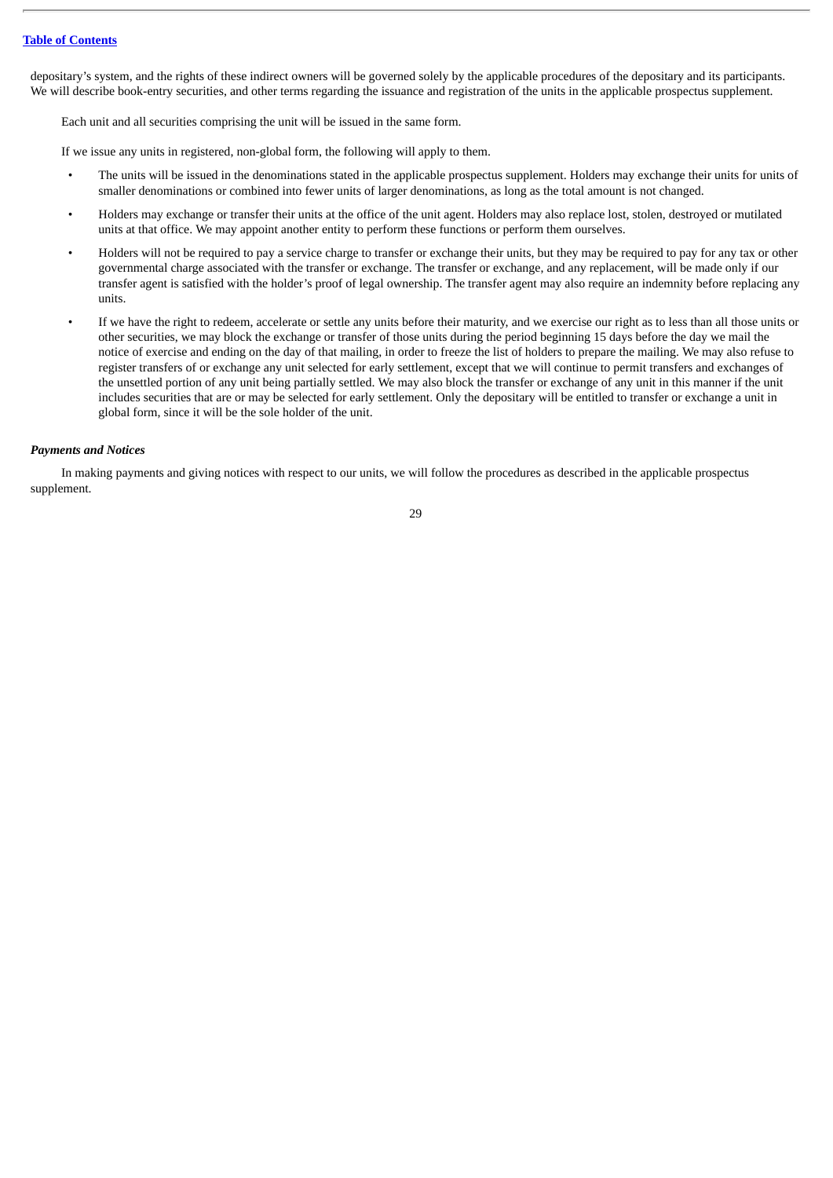depositary's system, and the rights of these indirect owners will be governed solely by the applicable procedures of the depositary and its participants. We will describe book-entry securities, and other terms regarding the issuance and registration of the units in the applicable prospectus supplement.

Each unit and all securities comprising the unit will be issued in the same form.

If we issue any units in registered, non-global form, the following will apply to them.

- The units will be issued in the denominations stated in the applicable prospectus supplement. Holders may exchange their units for units of smaller denominations or combined into fewer units of larger denominations, as long as the total amount is not changed.
- Holders may exchange or transfer their units at the office of the unit agent. Holders may also replace lost, stolen, destroyed or mutilated units at that office. We may appoint another entity to perform these functions or perform them ourselves.
- Holders will not be required to pay a service charge to transfer or exchange their units, but they may be required to pay for any tax or other governmental charge associated with the transfer or exchange. The transfer or exchange, and any replacement, will be made only if our transfer agent is satisfied with the holder's proof of legal ownership. The transfer agent may also require an indemnity before replacing any units.
- If we have the right to redeem, accelerate or settle any units before their maturity, and we exercise our right as to less than all those units or other securities, we may block the exchange or transfer of those units during the period beginning 15 days before the day we mail the notice of exercise and ending on the day of that mailing, in order to freeze the list of holders to prepare the mailing. We may also refuse to register transfers of or exchange any unit selected for early settlement, except that we will continue to permit transfers and exchanges of the unsettled portion of any unit being partially settled. We may also block the transfer or exchange of any unit in this manner if the unit includes securities that are or may be selected for early settlement. Only the depositary will be entitled to transfer or exchange a unit in global form, since it will be the sole holder of the unit.

### *Payments and Notices*

In making payments and giving notices with respect to our units, we will follow the procedures as described in the applicable prospectus supplement.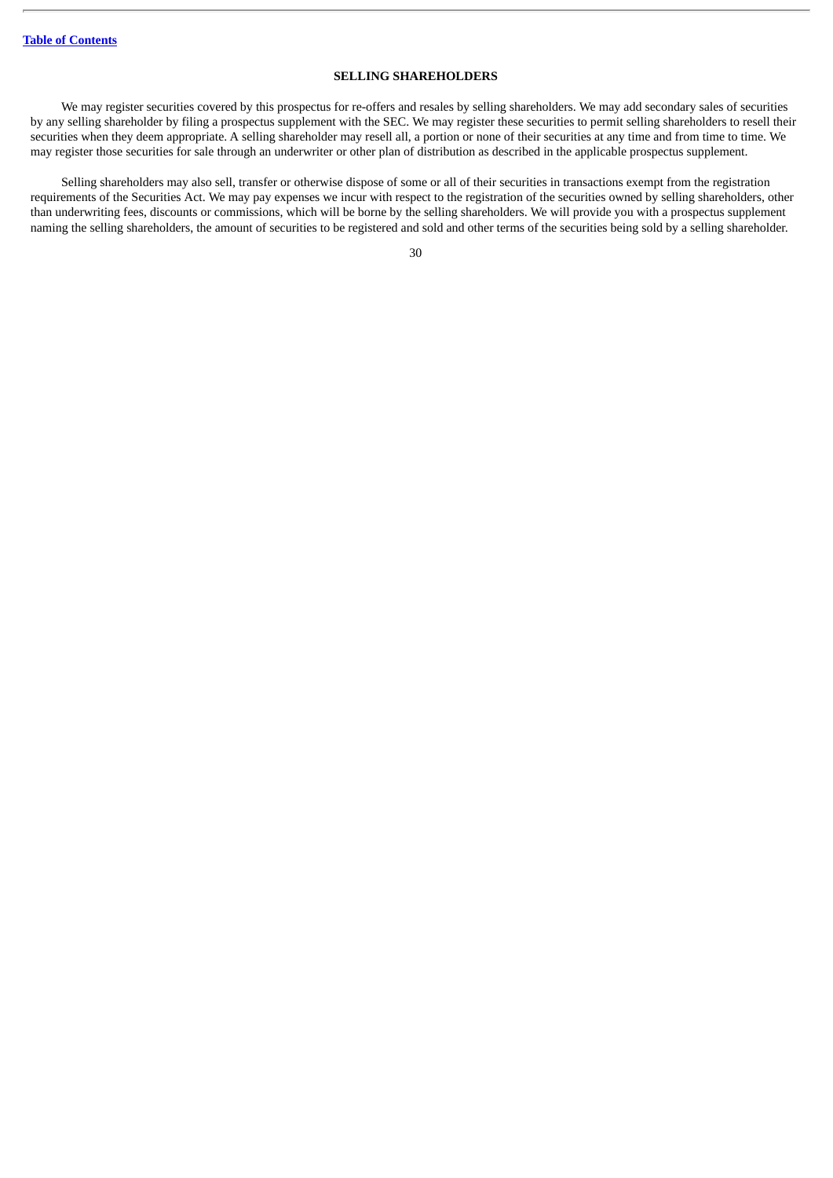### **SELLING SHAREHOLDERS**

<span id="page-48-0"></span>We may register securities covered by this prospectus for re-offers and resales by selling shareholders. We may add secondary sales of securities by any selling shareholder by filing a prospectus supplement with the SEC. We may register these securities to permit selling shareholders to resell their securities when they deem appropriate. A selling shareholder may resell all, a portion or none of their securities at any time and from time to time. We may register those securities for sale through an underwriter or other plan of distribution as described in the applicable prospectus supplement.

Selling shareholders may also sell, transfer or otherwise dispose of some or all of their securities in transactions exempt from the registration requirements of the Securities Act. We may pay expenses we incur with respect to the registration of the securities owned by selling shareholders, other than underwriting fees, discounts or commissions, which will be borne by the selling shareholders. We will provide you with a prospectus supplement naming the selling shareholders, the amount of securities to be registered and sold and other terms of the securities being sold by a selling shareholder.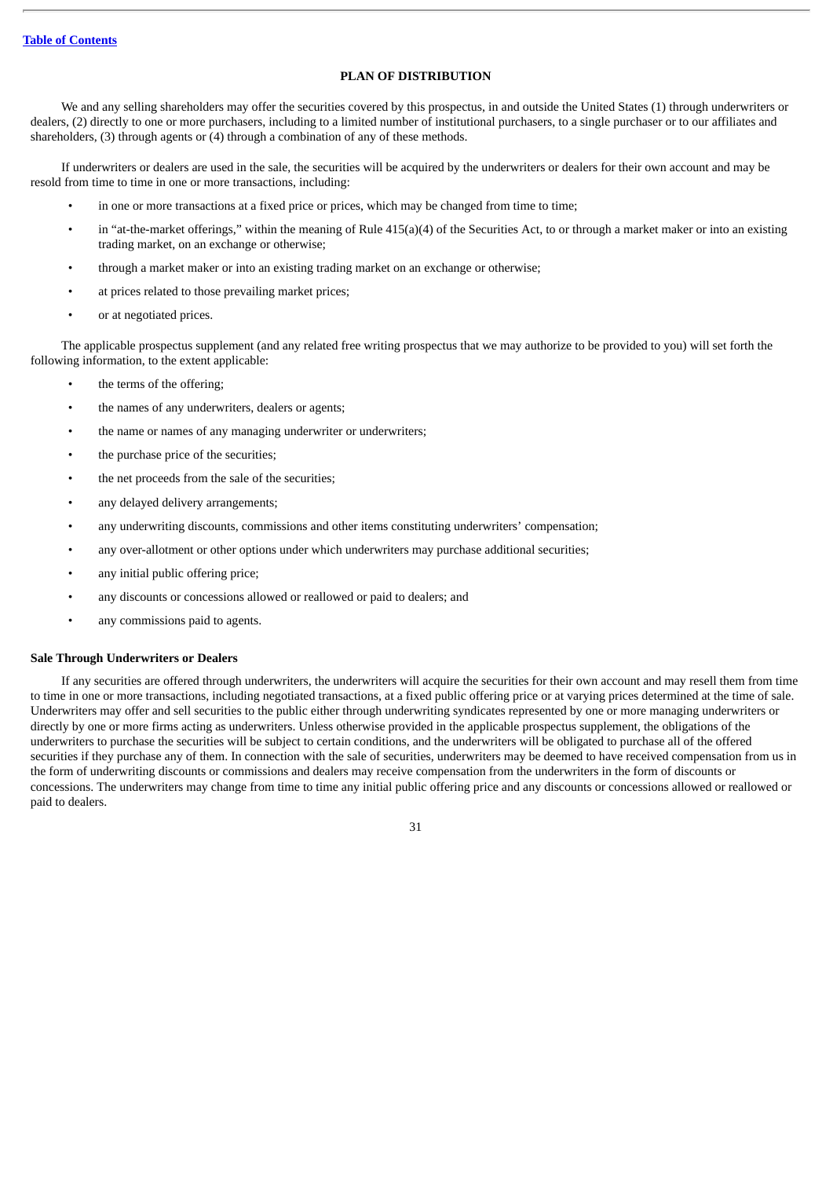### **PLAN OF DISTRIBUTION**

<span id="page-49-0"></span>We and any selling shareholders may offer the securities covered by this prospectus, in and outside the United States (1) through underwriters or dealers, (2) directly to one or more purchasers, including to a limited number of institutional purchasers, to a single purchaser or to our affiliates and shareholders, (3) through agents or (4) through a combination of any of these methods.

If underwriters or dealers are used in the sale, the securities will be acquired by the underwriters or dealers for their own account and may be resold from time to time in one or more transactions, including:

- in one or more transactions at a fixed price or prices, which may be changed from time to time;
- in "at-the-market offerings," within the meaning of Rule 415(a)(4) of the Securities Act, to or through a market maker or into an existing trading market, on an exchange or otherwise;
- through a market maker or into an existing trading market on an exchange or otherwise;
- at prices related to those prevailing market prices;
- or at negotiated prices.

The applicable prospectus supplement (and any related free writing prospectus that we may authorize to be provided to you) will set forth the following information, to the extent applicable:

- the terms of the offering;
- the names of any underwriters, dealers or agents;
- the name or names of any managing underwriter or underwriters;
- the purchase price of the securities;
- the net proceeds from the sale of the securities;
- any delayed delivery arrangements;
- any underwriting discounts, commissions and other items constituting underwriters' compensation;
- any over-allotment or other options under which underwriters may purchase additional securities;
- any initial public offering price;
- any discounts or concessions allowed or reallowed or paid to dealers; and
- any commissions paid to agents.

#### **Sale Through Underwriters or Dealers**

If any securities are offered through underwriters, the underwriters will acquire the securities for their own account and may resell them from time to time in one or more transactions, including negotiated transactions, at a fixed public offering price or at varying prices determined at the time of sale. Underwriters may offer and sell securities to the public either through underwriting syndicates represented by one or more managing underwriters or directly by one or more firms acting as underwriters. Unless otherwise provided in the applicable prospectus supplement, the obligations of the underwriters to purchase the securities will be subject to certain conditions, and the underwriters will be obligated to purchase all of the offered securities if they purchase any of them. In connection with the sale of securities, underwriters may be deemed to have received compensation from us in the form of underwriting discounts or commissions and dealers may receive compensation from the underwriters in the form of discounts or concessions. The underwriters may change from time to time any initial public offering price and any discounts or concessions allowed or reallowed or paid to dealers.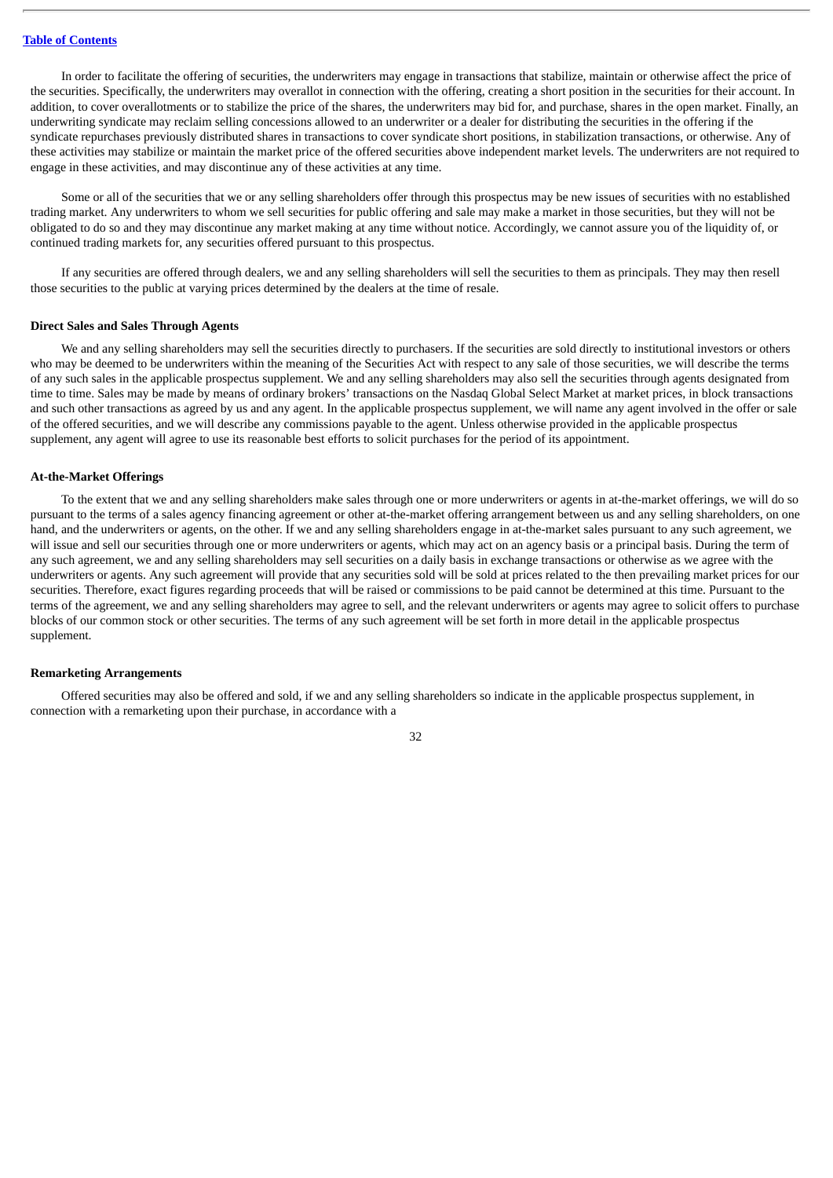In order to facilitate the offering of securities, the underwriters may engage in transactions that stabilize, maintain or otherwise affect the price of the securities. Specifically, the underwriters may overallot in connection with the offering, creating a short position in the securities for their account. In addition, to cover overallotments or to stabilize the price of the shares, the underwriters may bid for, and purchase, shares in the open market. Finally, an underwriting syndicate may reclaim selling concessions allowed to an underwriter or a dealer for distributing the securities in the offering if the syndicate repurchases previously distributed shares in transactions to cover syndicate short positions, in stabilization transactions, or otherwise. Any of these activities may stabilize or maintain the market price of the offered securities above independent market levels. The underwriters are not required to engage in these activities, and may discontinue any of these activities at any time.

Some or all of the securities that we or any selling shareholders offer through this prospectus may be new issues of securities with no established trading market. Any underwriters to whom we sell securities for public offering and sale may make a market in those securities, but they will not be obligated to do so and they may discontinue any market making at any time without notice. Accordingly, we cannot assure you of the liquidity of, or continued trading markets for, any securities offered pursuant to this prospectus.

If any securities are offered through dealers, we and any selling shareholders will sell the securities to them as principals. They may then resell those securities to the public at varying prices determined by the dealers at the time of resale.

#### **Direct Sales and Sales Through Agents**

We and any selling shareholders may sell the securities directly to purchasers. If the securities are sold directly to institutional investors or others who may be deemed to be underwriters within the meaning of the Securities Act with respect to any sale of those securities, we will describe the terms of any such sales in the applicable prospectus supplement. We and any selling shareholders may also sell the securities through agents designated from time to time. Sales may be made by means of ordinary brokers' transactions on the Nasdaq Global Select Market at market prices, in block transactions and such other transactions as agreed by us and any agent. In the applicable prospectus supplement, we will name any agent involved in the offer or sale of the offered securities, and we will describe any commissions payable to the agent. Unless otherwise provided in the applicable prospectus supplement, any agent will agree to use its reasonable best efforts to solicit purchases for the period of its appointment.

#### **At-the-Market Offerings**

To the extent that we and any selling shareholders make sales through one or more underwriters or agents in at-the-market offerings, we will do so pursuant to the terms of a sales agency financing agreement or other at-the-market offering arrangement between us and any selling shareholders, on one hand, and the underwriters or agents, on the other. If we and any selling shareholders engage in at-the-market sales pursuant to any such agreement, we will issue and sell our securities through one or more underwriters or agents, which may act on an agency basis or a principal basis. During the term of any such agreement, we and any selling shareholders may sell securities on a daily basis in exchange transactions or otherwise as we agree with the underwriters or agents. Any such agreement will provide that any securities sold will be sold at prices related to the then prevailing market prices for our securities. Therefore, exact figures regarding proceeds that will be raised or commissions to be paid cannot be determined at this time. Pursuant to the terms of the agreement, we and any selling shareholders may agree to sell, and the relevant underwriters or agents may agree to solicit offers to purchase blocks of our common stock or other securities. The terms of any such agreement will be set forth in more detail in the applicable prospectus supplement.

#### **Remarketing Arrangements**

Offered securities may also be offered and sold, if we and any selling shareholders so indicate in the applicable prospectus supplement, in connection with a remarketing upon their purchase, in accordance with a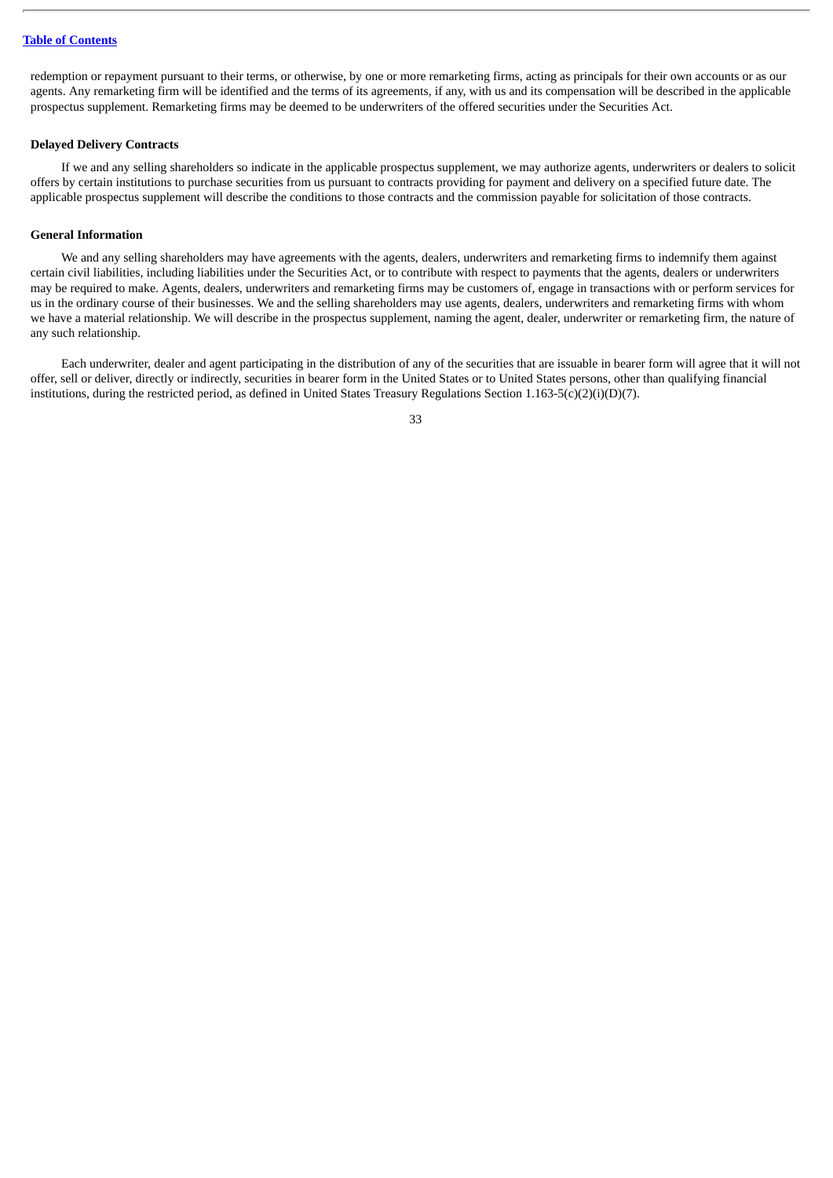# **Table of [Contents](#page-18-0)**

redemption or repayment pursuant to their terms, or otherwise, by one or more remarketing firms, acting as principals for their own accounts or as our agents. Any remarketing firm will be identified and the terms of its agreements, if any, with us and its compensation will be described in the applicable prospectus supplement. Remarketing firms may be deemed to be underwriters of the offered securities under the Securities Act.

### **Delayed Delivery Contracts**

If we and any selling shareholders so indicate in the applicable prospectus supplement, we may authorize agents, underwriters or dealers to solicit offers by certain institutions to purchase securities from us pursuant to contracts providing for payment and delivery on a specified future date. The applicable prospectus supplement will describe the conditions to those contracts and the commission payable for solicitation of those contracts.

#### **General Information**

We and any selling shareholders may have agreements with the agents, dealers, underwriters and remarketing firms to indemnify them against certain civil liabilities, including liabilities under the Securities Act, or to contribute with respect to payments that the agents, dealers or underwriters may be required to make. Agents, dealers, underwriters and remarketing firms may be customers of, engage in transactions with or perform services for us in the ordinary course of their businesses. We and the selling shareholders may use agents, dealers, underwriters and remarketing firms with whom we have a material relationship. We will describe in the prospectus supplement, naming the agent, dealer, underwriter or remarketing firm, the nature of any such relationship.

Each underwriter, dealer and agent participating in the distribution of any of the securities that are issuable in bearer form will agree that it will not offer, sell or deliver, directly or indirectly, securities in bearer form in the United States or to United States persons, other than qualifying financial institutions, during the restricted period, as defined in United States Treasury Regulations Section 1.163-5(c)(2)(i)(D)(7).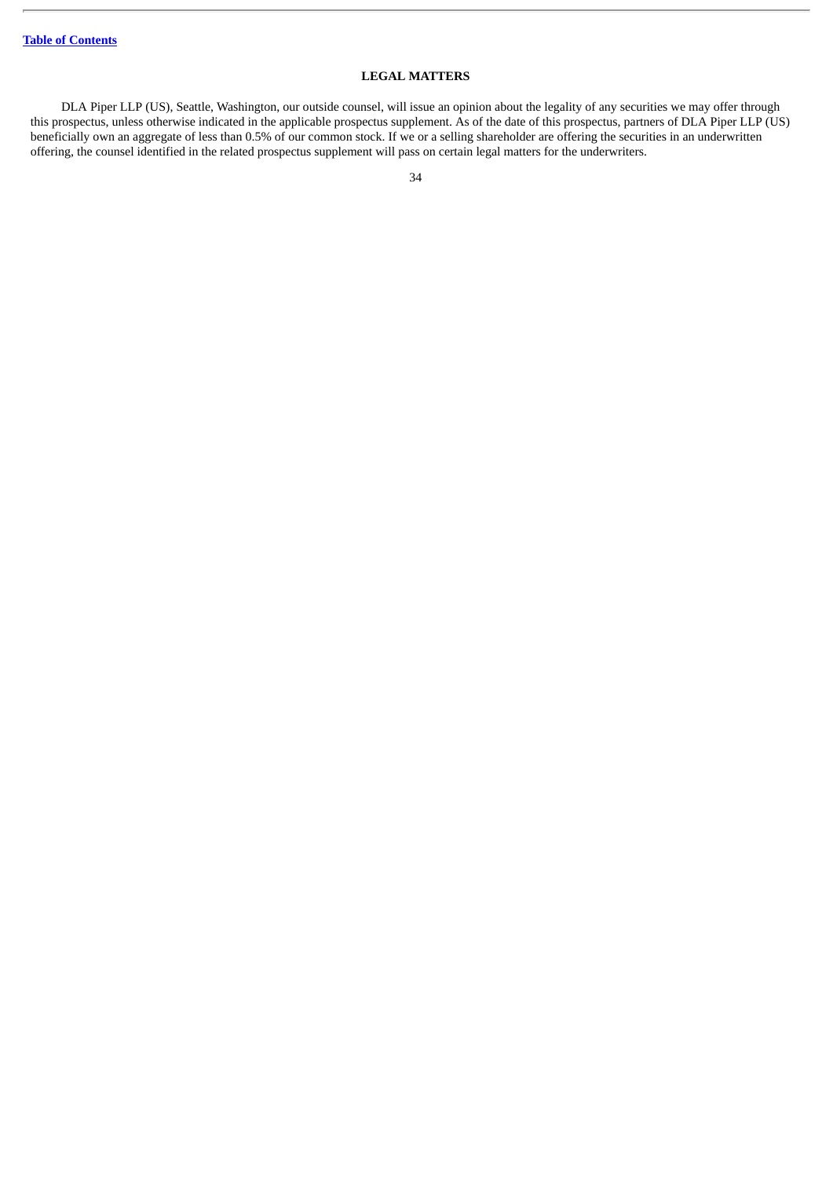### **LEGAL MATTERS**

<span id="page-52-0"></span>DLA Piper LLP (US), Seattle, Washington, our outside counsel, will issue an opinion about the legality of any securities we may offer through this prospectus, unless otherwise indicated in the applicable prospectus supplement. As of the date of this prospectus, partners of DLA Piper LLP (US) beneficially own an aggregate of less than 0.5% of our common stock. If we or a selling shareholder are offering the securities in an underwritten offering, the counsel identified in the related prospectus supplement will pass on certain legal matters for the underwriters.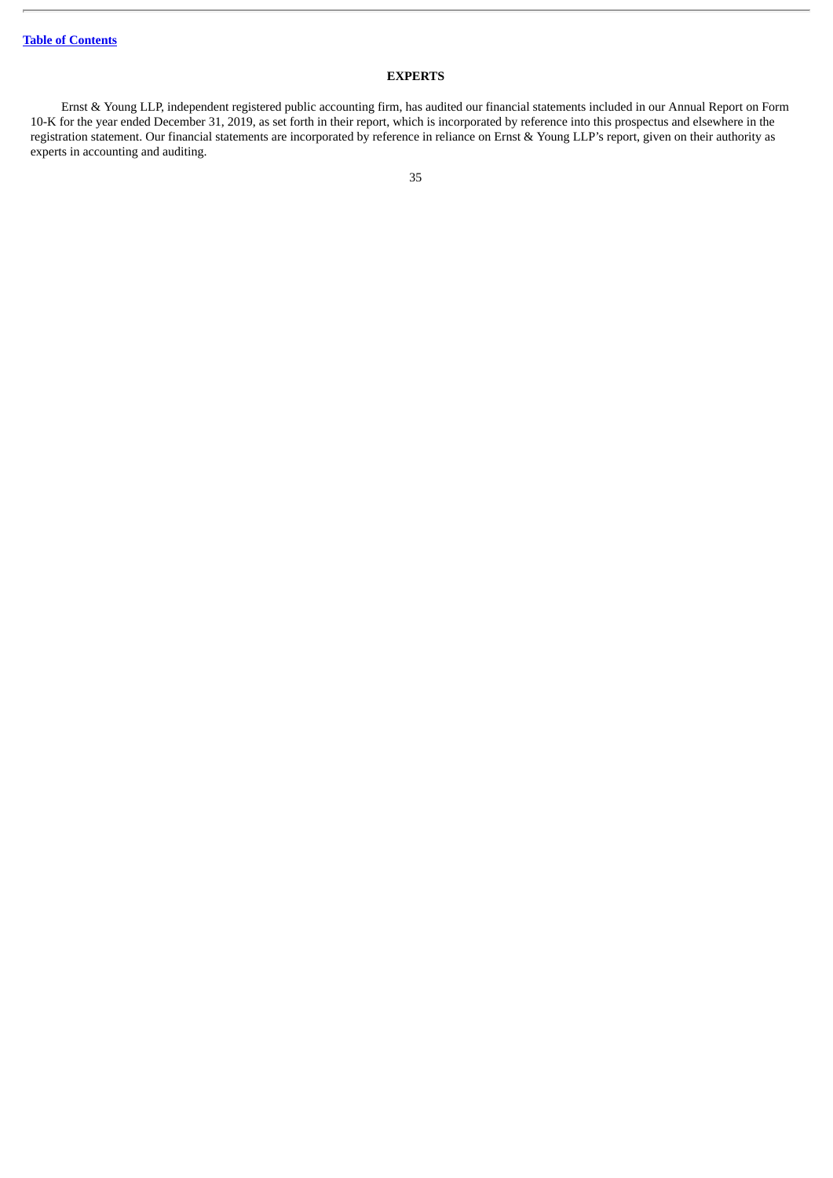# **EXPERTS**

<span id="page-53-0"></span>Ernst & Young LLP, independent registered public accounting firm, has audited our financial statements included in our Annual Report on Form 10-K for the year ended December 31, 2019, as set forth in their report, which is incorporated by reference into this prospectus and elsewhere in the registration statement. Our financial statements are incorporated by reference in reliance on Ernst & Young LLP's report, given on their authority as experts in accounting and auditing.